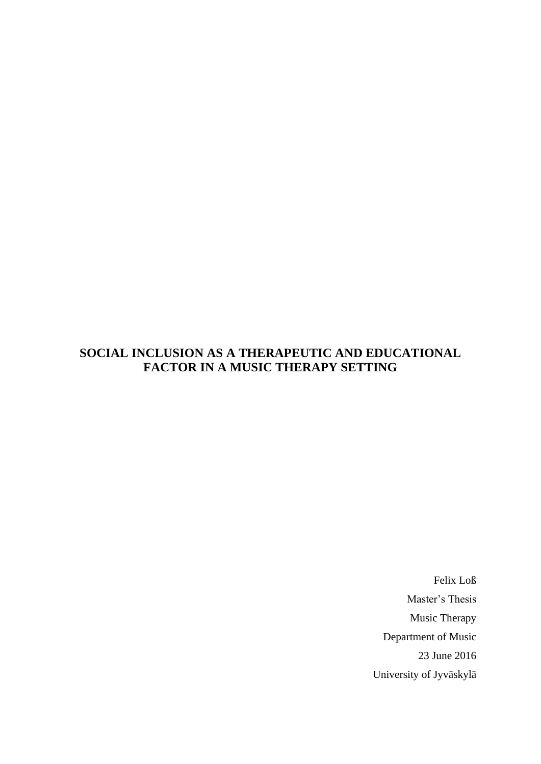# **SOCIAL INCLUSION AS A THERAPEUTIC AND EDUCATIONAL FACTOR IN A MUSIC THERAPY SETTING**

Felix Loß Master's Thesis Music Therapy Department of Music 23 June 2016 University of Jyväskylä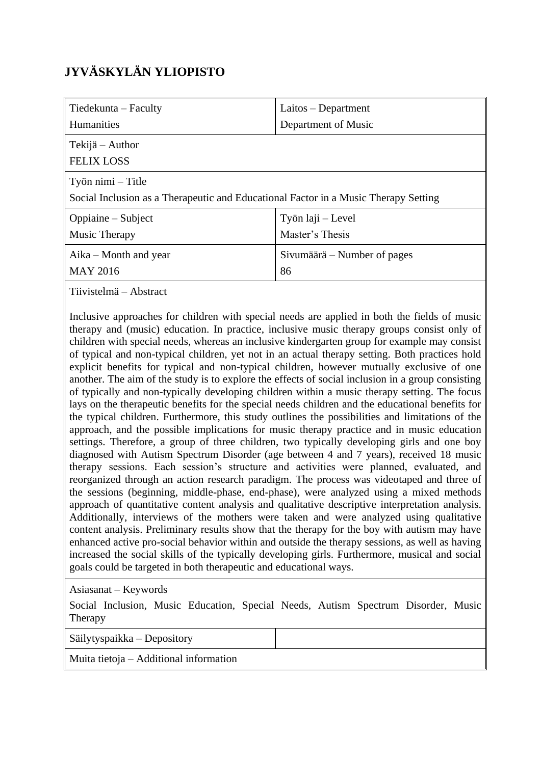# **JYVÄSKYLÄN YLIOPISTO**

| Tiedekunta – Faculty                                                                                     | Laitos – Department                  |  |
|----------------------------------------------------------------------------------------------------------|--------------------------------------|--|
| <b>Humanities</b>                                                                                        | Department of Music                  |  |
| Tekijä – Author<br><b>FELIX LOSS</b>                                                                     |                                      |  |
| Työn nimi – Title<br>Social Inclusion as a Therapeutic and Educational Factor in a Music Therapy Setting |                                      |  |
| Oppiaine – Subject<br>Music Therapy                                                                      | Työn laji – Level<br>Master's Thesis |  |
| $A$ ika – Month and year<br><b>MAY 2016</b>                                                              | Sivumäärä – Number of pages<br>86    |  |

Tiivistelmä – Abstract

Inclusive approaches for children with special needs are applied in both the fields of music therapy and (music) education. In practice, inclusive music therapy groups consist only of children with special needs, whereas an inclusive kindergarten group for example may consist of typical and non-typical children, yet not in an actual therapy setting. Both practices hold explicit benefits for typical and non-typical children, however mutually exclusive of one another. The aim of the study is to explore the effects of social inclusion in a group consisting of typically and non-typically developing children within a music therapy setting. The focus lays on the therapeutic benefits for the special needs children and the educational benefits for the typical children. Furthermore, this study outlines the possibilities and limitations of the approach, and the possible implications for music therapy practice and in music education settings. Therefore, a group of three children, two typically developing girls and one boy diagnosed with Autism Spectrum Disorder (age between 4 and 7 years), received 18 music therapy sessions. Each session's structure and activities were planned, evaluated, and reorganized through an action research paradigm. The process was videotaped and three of the sessions (beginning, middle-phase, end-phase), were analyzed using a mixed methods approach of quantitative content analysis and qualitative descriptive interpretation analysis. Additionally, interviews of the mothers were taken and were analyzed using qualitative content analysis. Preliminary results show that the therapy for the boy with autism may have enhanced active pro-social behavior within and outside the therapy sessions, as well as having increased the social skills of the typically developing girls. Furthermore, musical and social goals could be targeted in both therapeutic and educational ways.

Asiasanat – Keywords

Social Inclusion, Music Education, Special Needs, Autism Spectrum Disorder, Music Therapy

Säilytyspaikka – Depository

Muita tietoja – Additional information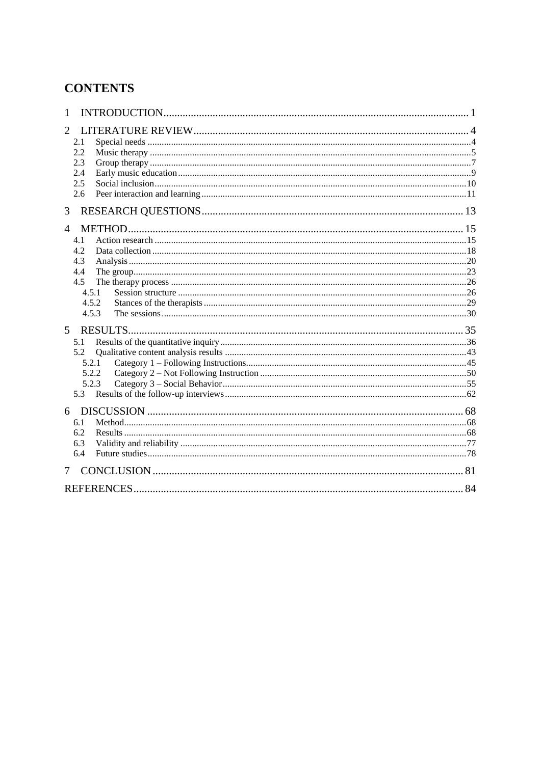# **CONTENTS**

| 1              |  |
|----------------|--|
| 2              |  |
| 2.1            |  |
| 2.2            |  |
| 2.3            |  |
| 2.4            |  |
| 2.5            |  |
| 2.6            |  |
| 3              |  |
| $\overline{4}$ |  |
| 4.1            |  |
| 4.2            |  |
| 4.3            |  |
| 4.4            |  |
| 4.5            |  |
| 4.5.1          |  |
| 4.5.2          |  |
| 4.5.3          |  |
| 5 <sup>5</sup> |  |
| 5.1            |  |
| 5.2            |  |
| 5.2.1          |  |
| 5.2.2          |  |
| 5.2.3          |  |
| 5.3            |  |
| 6              |  |
| 6.1            |  |
| 6.2            |  |
| 6.3            |  |
| 6.4            |  |
| 7              |  |
|                |  |
|                |  |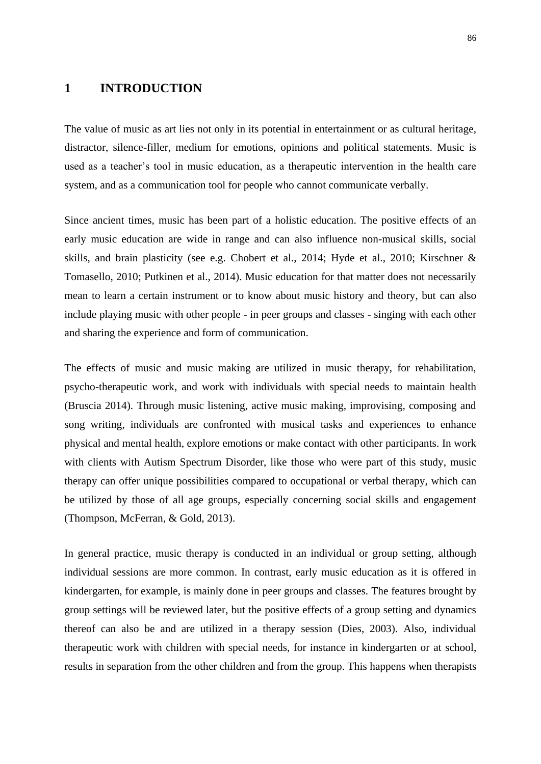## **1 INTRODUCTION**

The value of music as art lies not only in its potential in entertainment or as cultural heritage, distractor, silence-filler, medium for emotions, opinions and political statements. Music is used as a teacher's tool in music education, as a therapeutic intervention in the health care system, and as a communication tool for people who cannot communicate verbally.

Since ancient times, music has been part of a holistic education. The positive effects of an early music education are wide in range and can also influence non-musical skills, social skills, and brain plasticity (see e.g. Chobert et al., 2014; Hyde et al., 2010; Kirschner & Tomasello, 2010; Putkinen et al., 2014). Music education for that matter does not necessarily mean to learn a certain instrument or to know about music history and theory, but can also include playing music with other people - in peer groups and classes - singing with each other and sharing the experience and form of communication.

The effects of music and music making are utilized in music therapy, for rehabilitation, psycho-therapeutic work, and work with individuals with special needs to maintain health (Bruscia 2014). Through music listening, active music making, improvising, composing and song writing, individuals are confronted with musical tasks and experiences to enhance physical and mental health, explore emotions or make contact with other participants. In work with clients with Autism Spectrum Disorder, like those who were part of this study, music therapy can offer unique possibilities compared to occupational or verbal therapy, which can be utilized by those of all age groups, especially concerning social skills and engagement (Thompson, McFerran, & Gold, 2013).

In general practice, music therapy is conducted in an individual or group setting, although individual sessions are more common. In contrast, early music education as it is offered in kindergarten, for example, is mainly done in peer groups and classes. The features brought by group settings will be reviewed later, but the positive effects of a group setting and dynamics thereof can also be and are utilized in a therapy session (Dies, 2003). Also, individual therapeutic work with children with special needs, for instance in kindergarten or at school, results in separation from the other children and from the group. This happens when therapists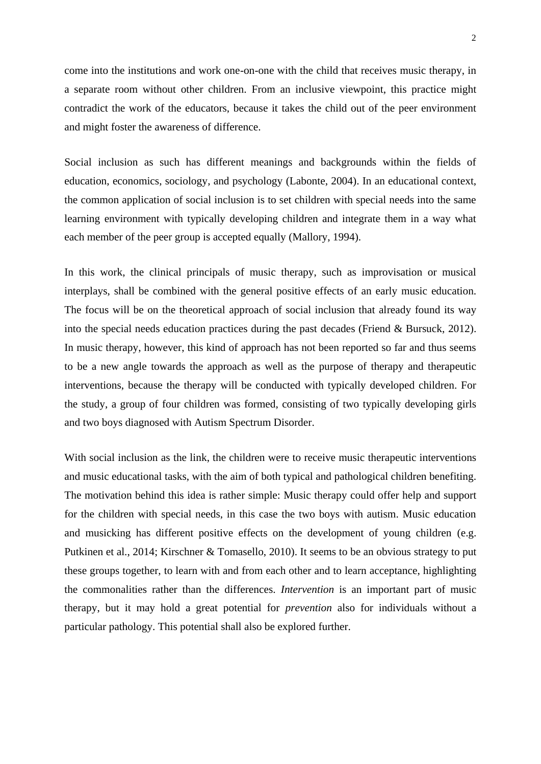come into the institutions and work one-on-one with the child that receives music therapy, in a separate room without other children. From an inclusive viewpoint, this practice might contradict the work of the educators, because it takes the child out of the peer environment and might foster the awareness of difference.

Social inclusion as such has different meanings and backgrounds within the fields of education, economics, sociology, and psychology (Labonte, 2004). In an educational context, the common application of social inclusion is to set children with special needs into the same learning environment with typically developing children and integrate them in a way what each member of the peer group is accepted equally (Mallory, 1994).

In this work, the clinical principals of music therapy, such as improvisation or musical interplays, shall be combined with the general positive effects of an early music education. The focus will be on the theoretical approach of social inclusion that already found its way into the special needs education practices during the past decades (Friend & Bursuck, 2012). In music therapy, however, this kind of approach has not been reported so far and thus seems to be a new angle towards the approach as well as the purpose of therapy and therapeutic interventions, because the therapy will be conducted with typically developed children. For the study, a group of four children was formed, consisting of two typically developing girls and two boys diagnosed with Autism Spectrum Disorder.

With social inclusion as the link, the children were to receive music therapeutic interventions and music educational tasks, with the aim of both typical and pathological children benefiting. The motivation behind this idea is rather simple: Music therapy could offer help and support for the children with special needs, in this case the two boys with autism. Music education and musicking has different positive effects on the development of young children (e.g. Putkinen et al., 2014; Kirschner & Tomasello, 2010). It seems to be an obvious strategy to put these groups together, to learn with and from each other and to learn acceptance, highlighting the commonalities rather than the differences. *Intervention* is an important part of music therapy, but it may hold a great potential for *prevention* also for individuals without a particular pathology. This potential shall also be explored further.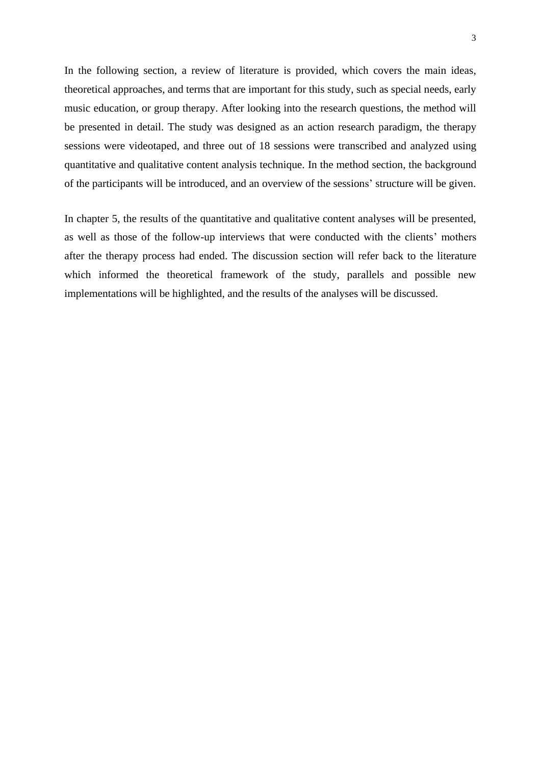In the following section, a review of literature is provided, which covers the main ideas, theoretical approaches, and terms that are important for this study, such as special needs, early music education, or group therapy. After looking into the research questions, the method will be presented in detail. The study was designed as an action research paradigm, the therapy sessions were videotaped, and three out of 18 sessions were transcribed and analyzed using quantitative and qualitative content analysis technique. In the method section, the background of the participants will be introduced, and an overview of the sessions' structure will be given.

In chapter 5, the results of the quantitative and qualitative content analyses will be presented, as well as those of the follow-up interviews that were conducted with the clients' mothers after the therapy process had ended. The discussion section will refer back to the literature which informed the theoretical framework of the study, parallels and possible new implementations will be highlighted, and the results of the analyses will be discussed.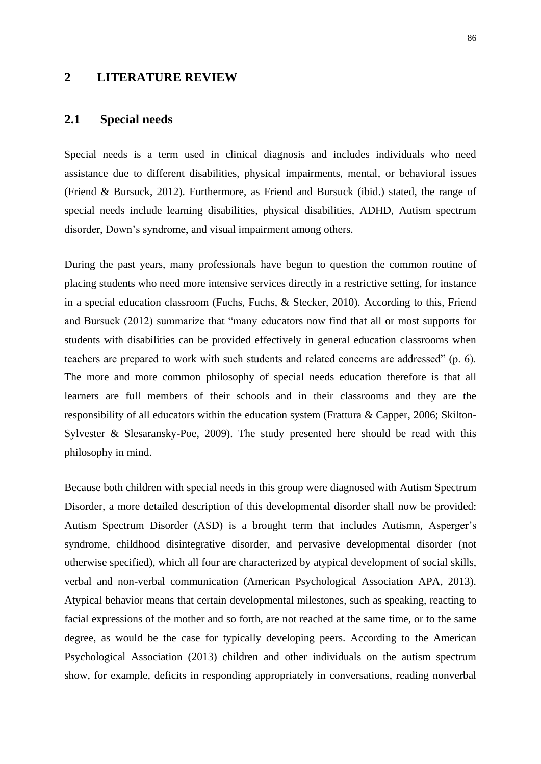## **2 LITERATURE REVIEW**

## **2.1 Special needs**

Special needs is a term used in clinical diagnosis and includes individuals who need assistance due to different disabilities, physical impairments, mental, or behavioral issues (Friend & Bursuck, 2012). Furthermore, as Friend and Bursuck (ibid.) stated, the range of special needs include learning disabilities, physical disabilities, ADHD, Autism spectrum disorder, Down's syndrome, and visual impairment among others.

During the past years, many professionals have begun to question the common routine of placing students who need more intensive services directly in a restrictive setting, for instance in a special education classroom (Fuchs, Fuchs, & Stecker, 2010). According to this, Friend and Bursuck (2012) summarize that "many educators now find that all or most supports for students with disabilities can be provided effectively in general education classrooms when teachers are prepared to work with such students and related concerns are addressed" (p. 6). The more and more common philosophy of special needs education therefore is that all learners are full members of their schools and in their classrooms and they are the responsibility of all educators within the education system (Frattura & Capper, 2006; Skilton-Sylvester & Slesaransky-Poe, 2009). The study presented here should be read with this philosophy in mind.

Because both children with special needs in this group were diagnosed with Autism Spectrum Disorder, a more detailed description of this developmental disorder shall now be provided: Autism Spectrum Disorder (ASD) is a brought term that includes Autismn, Asperger's syndrome, childhood disintegrative disorder, and pervasive developmental disorder (not otherwise specified), which all four are characterized by atypical development of social skills, verbal and non-verbal communication (American Psychological Association APA, 2013). Atypical behavior means that certain developmental milestones, such as speaking, reacting to facial expressions of the mother and so forth, are not reached at the same time, or to the same degree, as would be the case for typically developing peers. According to the American Psychological Association (2013) children and other individuals on the autism spectrum show, for example, deficits in responding appropriately in conversations, reading nonverbal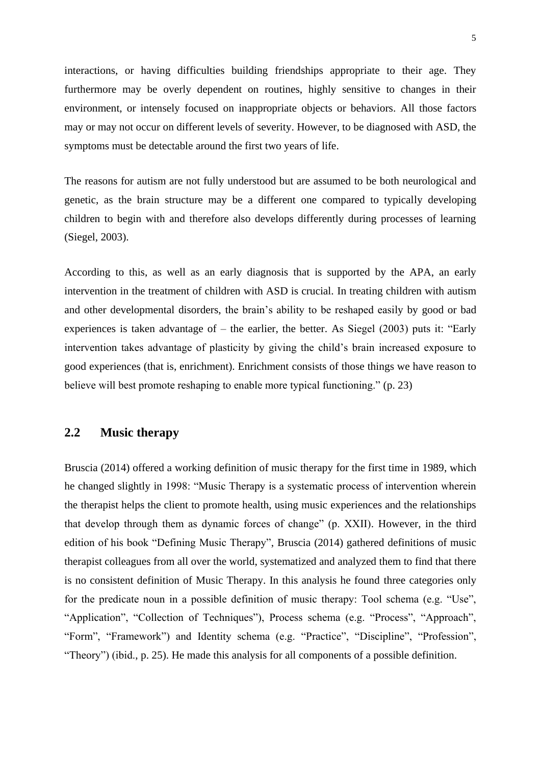interactions, or having difficulties building friendships appropriate to their age. They furthermore may be overly dependent on routines, highly sensitive to changes in their environment, or intensely focused on inappropriate objects or behaviors. All those factors may or may not occur on different levels of severity. However, to be diagnosed with ASD, the symptoms must be detectable around the first two years of life.

The reasons for autism are not fully understood but are assumed to be both neurological and genetic, as the brain structure may be a different one compared to typically developing children to begin with and therefore also develops differently during processes of learning (Siegel, 2003).

According to this, as well as an early diagnosis that is supported by the APA, an early intervention in the treatment of children with ASD is crucial. In treating children with autism and other developmental disorders, the brain's ability to be reshaped easily by good or bad experiences is taken advantage of – the earlier, the better. As Siegel (2003) puts it: "Early intervention takes advantage of plasticity by giving the child's brain increased exposure to good experiences (that is, enrichment). Enrichment consists of those things we have reason to believe will best promote reshaping to enable more typical functioning." (p. 23)

# **2.2 Music therapy**

Bruscia (2014) offered a working definition of music therapy for the first time in 1989, which he changed slightly in 1998: "Music Therapy is a systematic process of intervention wherein the therapist helps the client to promote health, using music experiences and the relationships that develop through them as dynamic forces of change" (p. XXII). However, in the third edition of his book "Defining Music Therapy", Bruscia (2014) gathered definitions of music therapist colleagues from all over the world, systematized and analyzed them to find that there is no consistent definition of Music Therapy. In this analysis he found three categories only for the predicate noun in a possible definition of music therapy: Tool schema (e.g. "Use", "Application", "Collection of Techniques"), Process schema (e.g. "Process", "Approach", "Form", "Framework") and Identity schema (e.g. "Practice", "Discipline", "Profession", "Theory") (ibid., p. 25). He made this analysis for all components of a possible definition.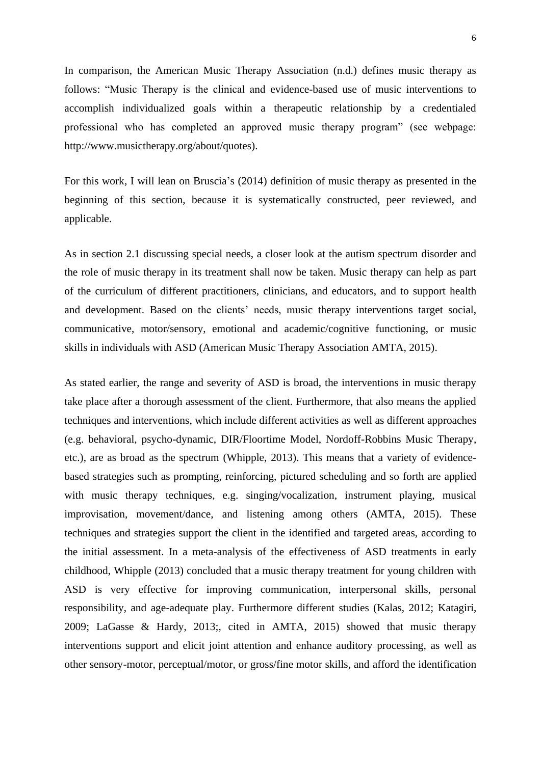In comparison, the American Music Therapy Association (n.d.) defines music therapy as follows: "Music Therapy is the clinical and evidence-based use of music interventions to accomplish individualized goals within a therapeutic relationship by a credentialed professional who has completed an approved music therapy program" (see webpage: http://www.musictherapy.org/about/quotes).

For this work, I will lean on Bruscia's (2014) definition of music therapy as presented in the beginning of this section, because it is systematically constructed, peer reviewed, and applicable.

As in section 2.1 discussing special needs, a closer look at the autism spectrum disorder and the role of music therapy in its treatment shall now be taken. Music therapy can help as part of the curriculum of different practitioners, clinicians, and educators, and to support health and development. Based on the clients' needs, music therapy interventions target social, communicative, motor/sensory, emotional and academic/cognitive functioning, or music skills in individuals with ASD (American Music Therapy Association AMTA, 2015).

As stated earlier, the range and severity of ASD is broad, the interventions in music therapy take place after a thorough assessment of the client. Furthermore, that also means the applied techniques and interventions, which include different activities as well as different approaches (e.g. behavioral, psycho-dynamic, DIR/Floortime Model, Nordoff-Robbins Music Therapy, etc.), are as broad as the spectrum (Whipple, 2013). This means that a variety of evidencebased strategies such as prompting, reinforcing, pictured scheduling and so forth are applied with music therapy techniques, e.g. singing/vocalization, instrument playing, musical improvisation, movement/dance, and listening among others (AMTA, 2015). These techniques and strategies support the client in the identified and targeted areas, according to the initial assessment. In a meta-analysis of the effectiveness of ASD treatments in early childhood, Whipple (2013) concluded that a music therapy treatment for young children with ASD is very effective for improving communication, interpersonal skills, personal responsibility, and age-adequate play. Furthermore different studies (Kalas, 2012; Katagiri, 2009; LaGasse & Hardy, 2013;, cited in AMTA, 2015) showed that music therapy interventions support and elicit joint attention and enhance auditory processing, as well as other sensory-motor, perceptual/motor, or gross/fine motor skills, and afford the identification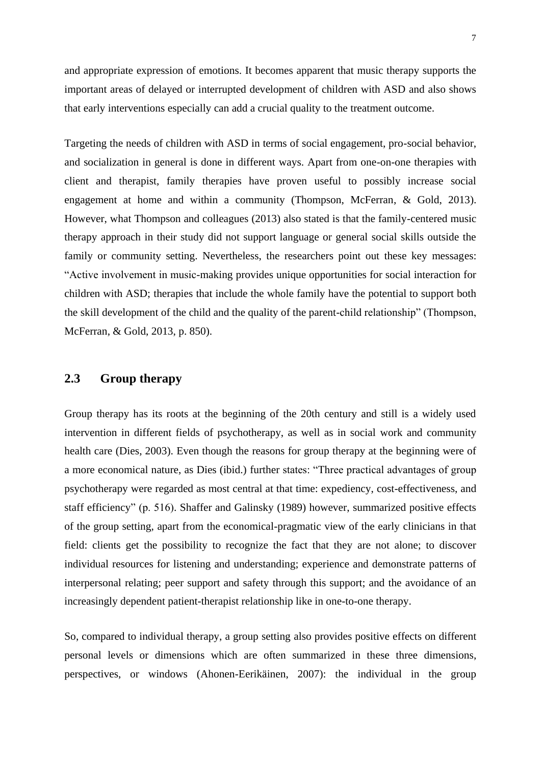and appropriate expression of emotions. It becomes apparent that music therapy supports the important areas of delayed or interrupted development of children with ASD and also shows that early interventions especially can add a crucial quality to the treatment outcome.

Targeting the needs of children with ASD in terms of social engagement, pro-social behavior, and socialization in general is done in different ways. Apart from one-on-one therapies with client and therapist, family therapies have proven useful to possibly increase social engagement at home and within a community (Thompson, McFerran, & Gold, 2013). However, what Thompson and colleagues (2013) also stated is that the family-centered music therapy approach in their study did not support language or general social skills outside the family or community setting. Nevertheless, the researchers point out these key messages: "Active involvement in music-making provides unique opportunities for social interaction for children with ASD; therapies that include the whole family have the potential to support both the skill development of the child and the quality of the parent-child relationship" (Thompson, McFerran, & Gold, 2013, p. 850).

# **2.3 Group therapy**

Group therapy has its roots at the beginning of the 20th century and still is a widely used intervention in different fields of psychotherapy, as well as in social work and community health care (Dies, 2003). Even though the reasons for group therapy at the beginning were of a more economical nature, as Dies (ibid.) further states: "Three practical advantages of group psychotherapy were regarded as most central at that time: expediency, cost-effectiveness, and staff efficiency" (p. 516). Shaffer and Galinsky (1989) however, summarized positive effects of the group setting, apart from the economical-pragmatic view of the early clinicians in that field: clients get the possibility to recognize the fact that they are not alone; to discover individual resources for listening and understanding; experience and demonstrate patterns of interpersonal relating; peer support and safety through this support; and the avoidance of an increasingly dependent patient-therapist relationship like in one-to-one therapy.

So, compared to individual therapy, a group setting also provides positive effects on different personal levels or dimensions which are often summarized in these three dimensions, perspectives, or windows (Ahonen-Eerikäinen, 2007): the individual in the group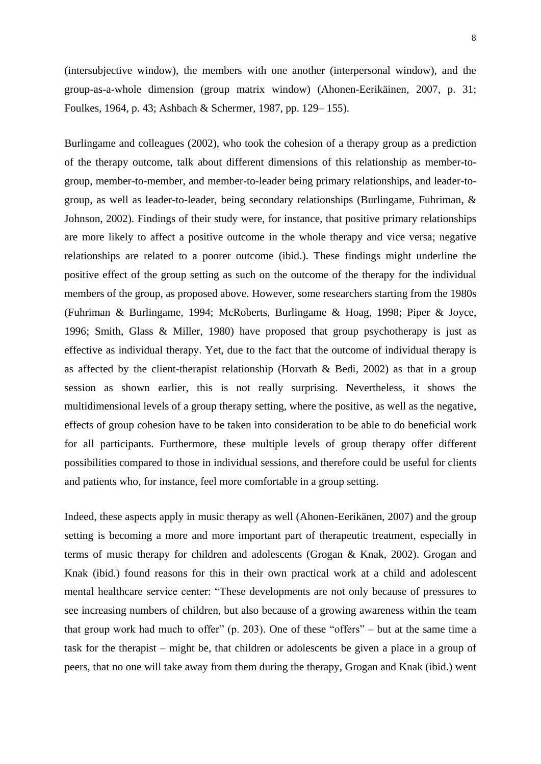(intersubjective window), the members with one another (interpersonal window), and the group-as-a-whole dimension (group matrix window) (Ahonen-Eerikäinen, 2007, p. 31; Foulkes, 1964, p. 43; Ashbach & Schermer, 1987, pp. 129– 155).

Burlingame and colleagues (2002), who took the cohesion of a therapy group as a prediction of the therapy outcome, talk about different dimensions of this relationship as member-togroup, member-to-member, and member-to-leader being primary relationships, and leader-togroup, as well as leader-to-leader, being secondary relationships (Burlingame, Fuhriman, & Johnson, 2002). Findings of their study were, for instance, that positive primary relationships are more likely to affect a positive outcome in the whole therapy and vice versa; negative relationships are related to a poorer outcome (ibid.). These findings might underline the positive effect of the group setting as such on the outcome of the therapy for the individual members of the group, as proposed above. However, some researchers starting from the 1980s (Fuhriman & Burlingame, 1994; McRoberts, Burlingame & Hoag, 1998; Piper & Joyce, 1996; Smith, Glass & Miller, 1980) have proposed that group psychotherapy is just as effective as individual therapy. Yet, due to the fact that the outcome of individual therapy is as affected by the client-therapist relationship (Horvath & Bedi, 2002) as that in a group session as shown earlier, this is not really surprising. Nevertheless, it shows the multidimensional levels of a group therapy setting, where the positive, as well as the negative, effects of group cohesion have to be taken into consideration to be able to do beneficial work for all participants. Furthermore, these multiple levels of group therapy offer different possibilities compared to those in individual sessions, and therefore could be useful for clients and patients who, for instance, feel more comfortable in a group setting.

Indeed, these aspects apply in music therapy as well (Ahonen-Eerikänen, 2007) and the group setting is becoming a more and more important part of therapeutic treatment, especially in terms of music therapy for children and adolescents (Grogan & Knak, 2002). Grogan and Knak (ibid.) found reasons for this in their own practical work at a child and adolescent mental healthcare service center: "These developments are not only because of pressures to see increasing numbers of children, but also because of a growing awareness within the team that group work had much to offer" (p. 203). One of these "offers" – but at the same time a task for the therapist – might be, that children or adolescents be given a place in a group of peers, that no one will take away from them during the therapy, Grogan and Knak (ibid.) went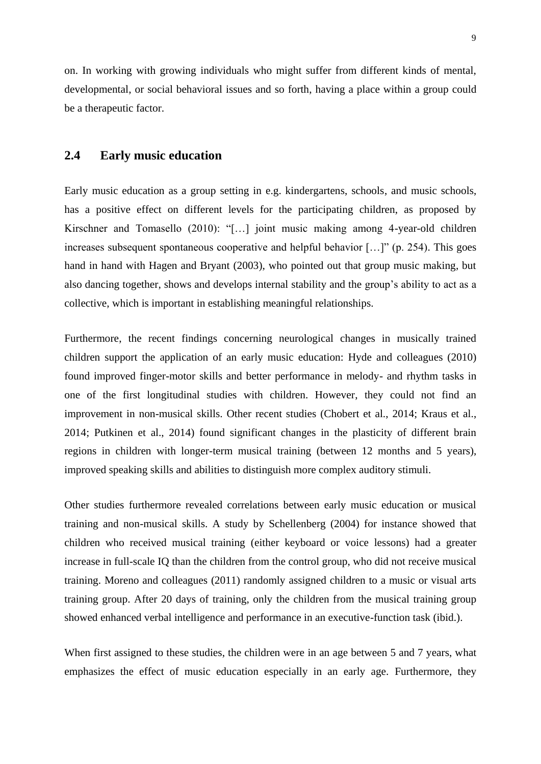on. In working with growing individuals who might suffer from different kinds of mental, developmental, or social behavioral issues and so forth, having a place within a group could be a therapeutic factor.

## **2.4 Early music education**

Early music education as a group setting in e.g. kindergartens, schools, and music schools, has a positive effect on different levels for the participating children, as proposed by Kirschner and Tomasello (2010): "[…] joint music making among 4-year-old children increases subsequent spontaneous cooperative and helpful behavior […]" (p. 254). This goes hand in hand with Hagen and Bryant (2003), who pointed out that group music making, but also dancing together, shows and develops internal stability and the group's ability to act as a collective, which is important in establishing meaningful relationships.

Furthermore, the recent findings concerning neurological changes in musically trained children support the application of an early music education: Hyde and colleagues (2010) found improved finger-motor skills and better performance in melody- and rhythm tasks in one of the first longitudinal studies with children. However, they could not find an improvement in non-musical skills. Other recent studies (Chobert et al., 2014; Kraus et al., 2014; Putkinen et al., 2014) found significant changes in the plasticity of different brain regions in children with longer-term musical training (between 12 months and 5 years), improved speaking skills and abilities to distinguish more complex auditory stimuli.

Other studies furthermore revealed correlations between early music education or musical training and non-musical skills. A study by Schellenberg (2004) for instance showed that children who received musical training (either keyboard or voice lessons) had a greater increase in full-scale IQ than the children from the control group, who did not receive musical training. Moreno and colleagues (2011) randomly assigned children to a music or visual arts training group. After 20 days of training, only the children from the musical training group showed enhanced verbal intelligence and performance in an executive-function task (ibid.).

When first assigned to these studies, the children were in an age between 5 and 7 years, what emphasizes the effect of music education especially in an early age. Furthermore, they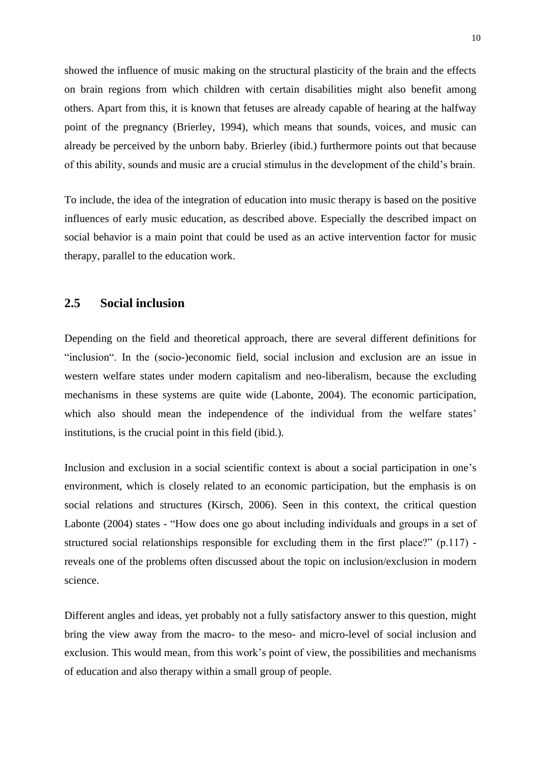showed the influence of music making on the structural plasticity of the brain and the effects on brain regions from which children with certain disabilities might also benefit among others. Apart from this, it is known that fetuses are already capable of hearing at the halfway point of the pregnancy (Brierley, 1994), which means that sounds, voices, and music can already be perceived by the unborn baby. Brierley (ibid.) furthermore points out that because of this ability, sounds and music are a crucial stimulus in the development of the child's brain.

To include, the idea of the integration of education into music therapy is based on the positive influences of early music education, as described above. Especially the described impact on social behavior is a main point that could be used as an active intervention factor for music therapy, parallel to the education work.

## **2.5 Social inclusion**

Depending on the field and theoretical approach, there are several different definitions for "inclusion". In the (socio-)economic field, social inclusion and exclusion are an issue in western welfare states under modern capitalism and neo-liberalism, because the excluding mechanisms in these systems are quite wide (Labonte, 2004). The economic participation, which also should mean the independence of the individual from the welfare states' institutions, is the crucial point in this field (ibid.).

Inclusion and exclusion in a social scientific context is about a social participation in one's environment, which is closely related to an economic participation, but the emphasis is on social relations and structures (Kirsch, 2006). Seen in this context, the critical question Labonte (2004) states - "How does one go about including individuals and groups in a set of structured social relationships responsible for excluding them in the first place?" (p.117) reveals one of the problems often discussed about the topic on inclusion/exclusion in modern science.

Different angles and ideas, yet probably not a fully satisfactory answer to this question, might bring the view away from the macro- to the meso- and micro-level of social inclusion and exclusion. This would mean, from this work's point of view, the possibilities and mechanisms of education and also therapy within a small group of people.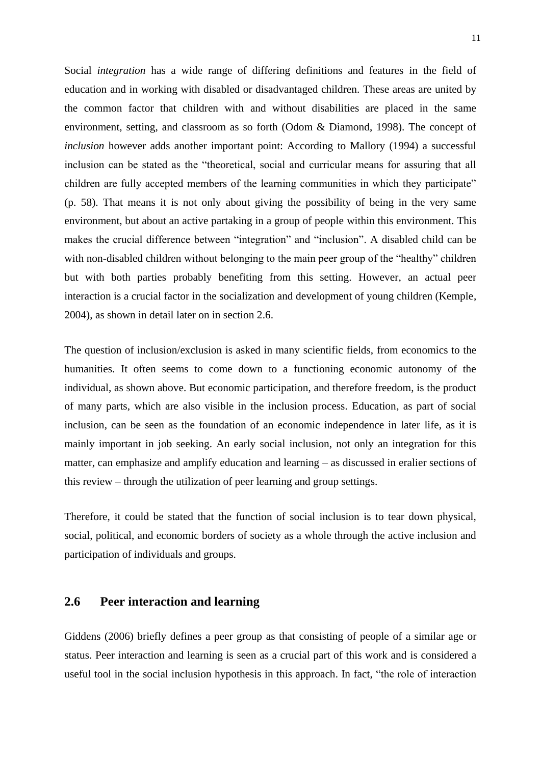Social *integration* has a wide range of differing definitions and features in the field of education and in working with disabled or disadvantaged children. These areas are united by the common factor that children with and without disabilities are placed in the same environment, setting, and classroom as so forth (Odom & Diamond, 1998). The concept of *inclusion* however adds another important point: According to Mallory (1994) a successful inclusion can be stated as the "theoretical, social and curricular means for assuring that all children are fully accepted members of the learning communities in which they participate" (p. 58). That means it is not only about giving the possibility of being in the very same environment, but about an active partaking in a group of people within this environment. This makes the crucial difference between "integration" and "inclusion". A disabled child can be with non-disabled children without belonging to the main peer group of the "healthy" children but with both parties probably benefiting from this setting. However, an actual peer interaction is a crucial factor in the socialization and development of young children (Kemple, 2004), as shown in detail later on in section 2.6.

The question of inclusion/exclusion is asked in many scientific fields, from economics to the humanities. It often seems to come down to a functioning economic autonomy of the individual, as shown above. But economic participation, and therefore freedom, is the product of many parts, which are also visible in the inclusion process. Education, as part of social inclusion, can be seen as the foundation of an economic independence in later life, as it is mainly important in job seeking. An early social inclusion, not only an integration for this matter, can emphasize and amplify education and learning – as discussed in eralier sections of this review – through the utilization of peer learning and group settings.

Therefore, it could be stated that the function of social inclusion is to tear down physical, social, political, and economic borders of society as a whole through the active inclusion and participation of individuals and groups.

# **2.6 Peer interaction and learning**

Giddens (2006) briefly defines a peer group as that consisting of people of a similar age or status. Peer interaction and learning is seen as a crucial part of this work and is considered a useful tool in the social inclusion hypothesis in this approach. In fact, "the role of interaction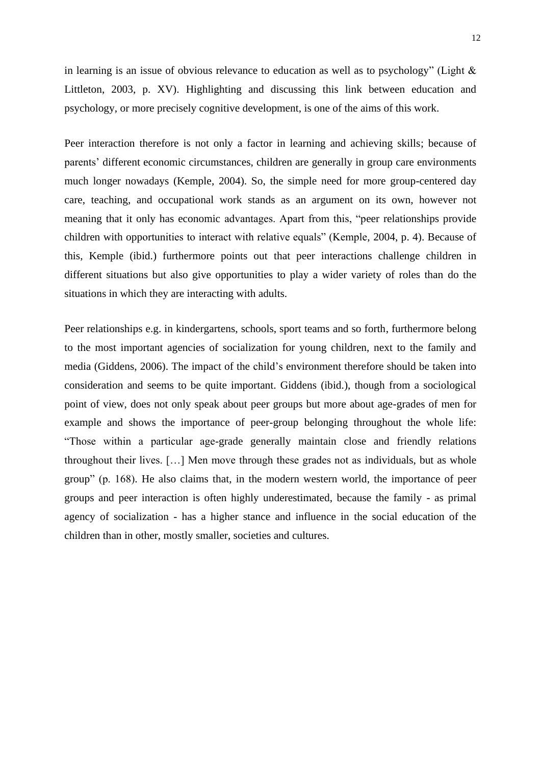in learning is an issue of obvious relevance to education as well as to psychology" (Light & Littleton, 2003, p. XV). Highlighting and discussing this link between education and psychology, or more precisely cognitive development, is one of the aims of this work.

Peer interaction therefore is not only a factor in learning and achieving skills; because of parents' different economic circumstances, children are generally in group care environments much longer nowadays (Kemple, 2004). So, the simple need for more group-centered day care, teaching, and occupational work stands as an argument on its own, however not meaning that it only has economic advantages. Apart from this, "peer relationships provide children with opportunities to interact with relative equals" (Kemple, 2004, p. 4). Because of this, Kemple (ibid.) furthermore points out that peer interactions challenge children in different situations but also give opportunities to play a wider variety of roles than do the situations in which they are interacting with adults.

Peer relationships e.g. in kindergartens, schools, sport teams and so forth, furthermore belong to the most important agencies of socialization for young children, next to the family and media (Giddens, 2006). The impact of the child's environment therefore should be taken into consideration and seems to be quite important. Giddens (ibid.), though from a sociological point of view, does not only speak about peer groups but more about age-grades of men for example and shows the importance of peer-group belonging throughout the whole life: "Those within a particular age-grade generally maintain close and friendly relations throughout their lives. […] Men move through these grades not as individuals, but as whole group" (p. 168). He also claims that, in the modern western world, the importance of peer groups and peer interaction is often highly underestimated, because the family - as primal agency of socialization - has a higher stance and influence in the social education of the children than in other, mostly smaller, societies and cultures.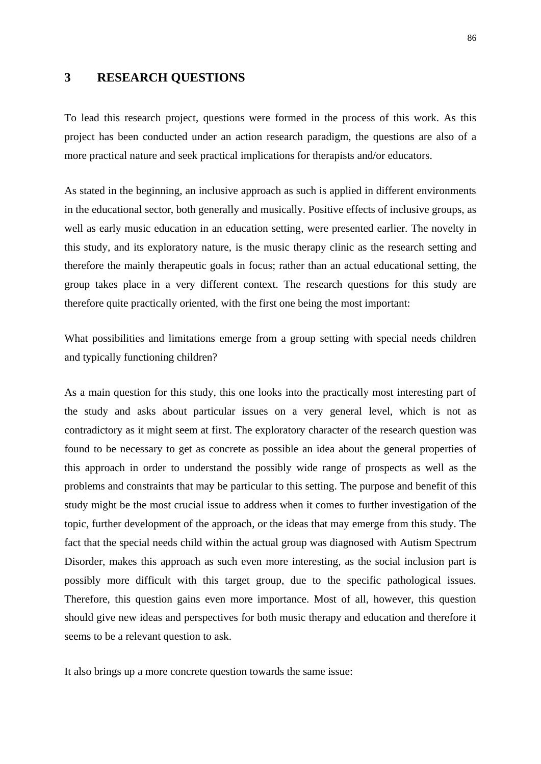## **3 RESEARCH QUESTIONS**

To lead this research project, questions were formed in the process of this work. As this project has been conducted under an action research paradigm, the questions are also of a more practical nature and seek practical implications for therapists and/or educators.

As stated in the beginning, an inclusive approach as such is applied in different environments in the educational sector, both generally and musically. Positive effects of inclusive groups, as well as early music education in an education setting, were presented earlier. The novelty in this study, and its exploratory nature, is the music therapy clinic as the research setting and therefore the mainly therapeutic goals in focus; rather than an actual educational setting, the group takes place in a very different context. The research questions for this study are therefore quite practically oriented, with the first one being the most important:

What possibilities and limitations emerge from a group setting with special needs children and typically functioning children?

As a main question for this study, this one looks into the practically most interesting part of the study and asks about particular issues on a very general level, which is not as contradictory as it might seem at first. The exploratory character of the research question was found to be necessary to get as concrete as possible an idea about the general properties of this approach in order to understand the possibly wide range of prospects as well as the problems and constraints that may be particular to this setting. The purpose and benefit of this study might be the most crucial issue to address when it comes to further investigation of the topic, further development of the approach, or the ideas that may emerge from this study. The fact that the special needs child within the actual group was diagnosed with Autism Spectrum Disorder, makes this approach as such even more interesting, as the social inclusion part is possibly more difficult with this target group, due to the specific pathological issues. Therefore, this question gains even more importance. Most of all, however, this question should give new ideas and perspectives for both music therapy and education and therefore it seems to be a relevant question to ask.

It also brings up a more concrete question towards the same issue: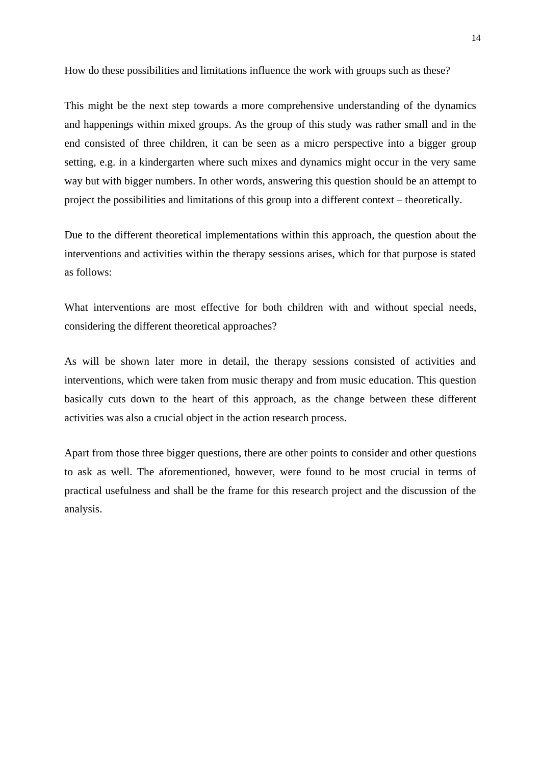How do these possibilities and limitations influence the work with groups such as these?

This might be the next step towards a more comprehensive understanding of the dynamics and happenings within mixed groups. As the group of this study was rather small and in the end consisted of three children, it can be seen as a micro perspective into a bigger group setting, e.g. in a kindergarten where such mixes and dynamics might occur in the very same way but with bigger numbers. In other words, answering this question should be an attempt to project the possibilities and limitations of this group into a different context – theoretically.

Due to the different theoretical implementations within this approach, the question about the interventions and activities within the therapy sessions arises, which for that purpose is stated as follows:

What interventions are most effective for both children with and without special needs, considering the different theoretical approaches?

As will be shown later more in detail, the therapy sessions consisted of activities and interventions, which were taken from music therapy and from music education. This question basically cuts down to the heart of this approach, as the change between these different activities was also a crucial object in the action research process.

Apart from those three bigger questions, there are other points to consider and other questions to ask as well. The aforementioned, however, were found to be most crucial in terms of practical usefulness and shall be the frame for this research project and the discussion of the analysis.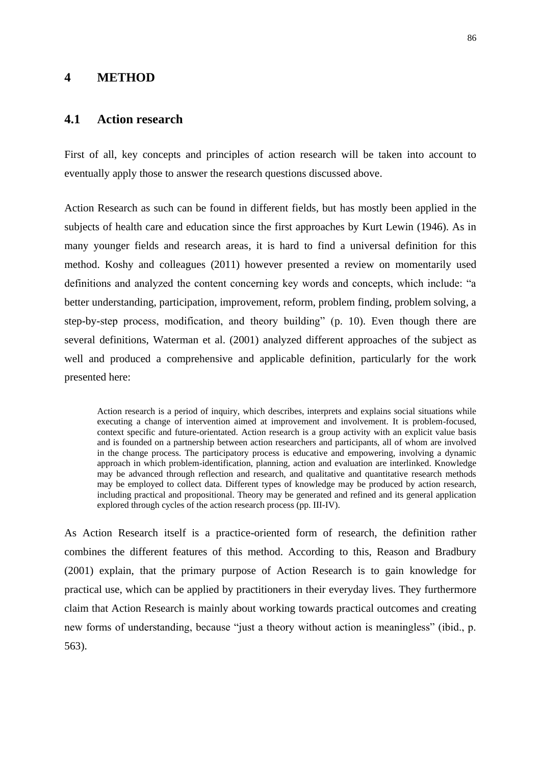## **4 METHOD**

## **4.1 Action research**

First of all, key concepts and principles of action research will be taken into account to eventually apply those to answer the research questions discussed above.

Action Research as such can be found in different fields, but has mostly been applied in the subjects of health care and education since the first approaches by Kurt Lewin (1946). As in many younger fields and research areas, it is hard to find a universal definition for this method. Koshy and colleagues (2011) however presented a review on momentarily used definitions and analyzed the content concerning key words and concepts, which include: "a better understanding, participation, improvement, reform, problem finding, problem solving, a step-by-step process, modification, and theory building" (p. 10). Even though there are several definitions, Waterman et al. (2001) analyzed different approaches of the subject as well and produced a comprehensive and applicable definition, particularly for the work presented here:

Action research is a period of inquiry, which describes, interprets and explains social situations while executing a change of intervention aimed at improvement and involvement. It is problem-focused, context specific and future-orientated. Action research is a group activity with an explicit value basis and is founded on a partnership between action researchers and participants, all of whom are involved in the change process. The participatory process is educative and empowering, involving a dynamic approach in which problem-identification, planning, action and evaluation are interlinked. Knowledge may be advanced through reflection and research, and qualitative and quantitative research methods may be employed to collect data. Different types of knowledge may be produced by action research, including practical and propositional. Theory may be generated and refined and its general application explored through cycles of the action research process (pp. III-IV).

As Action Research itself is a practice-oriented form of research, the definition rather combines the different features of this method. According to this, Reason and Bradbury (2001) explain, that the primary purpose of Action Research is to gain knowledge for practical use, which can be applied by practitioners in their everyday lives. They furthermore claim that Action Research is mainly about working towards practical outcomes and creating new forms of understanding, because "just a theory without action is meaningless" (ibid., p. 563).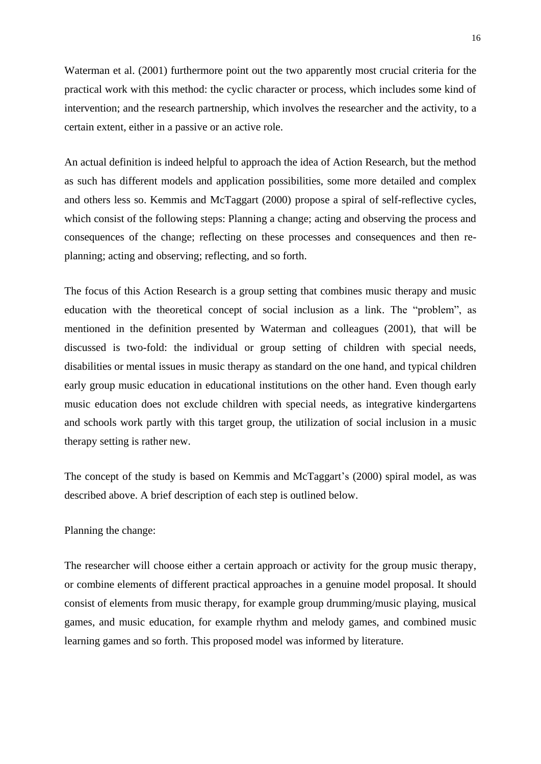Waterman et al. (2001) furthermore point out the two apparently most crucial criteria for the practical work with this method: the cyclic character or process, which includes some kind of intervention; and the research partnership, which involves the researcher and the activity, to a certain extent, either in a passive or an active role.

An actual definition is indeed helpful to approach the idea of Action Research, but the method as such has different models and application possibilities, some more detailed and complex and others less so. Kemmis and McTaggart (2000) propose a spiral of self-reflective cycles, which consist of the following steps: Planning a change; acting and observing the process and consequences of the change; reflecting on these processes and consequences and then replanning; acting and observing; reflecting, and so forth.

The focus of this Action Research is a group setting that combines music therapy and music education with the theoretical concept of social inclusion as a link. The "problem", as mentioned in the definition presented by Waterman and colleagues (2001), that will be discussed is two-fold: the individual or group setting of children with special needs, disabilities or mental issues in music therapy as standard on the one hand, and typical children early group music education in educational institutions on the other hand. Even though early music education does not exclude children with special needs, as integrative kindergartens and schools work partly with this target group, the utilization of social inclusion in a music therapy setting is rather new.

The concept of the study is based on Kemmis and McTaggart's (2000) spiral model, as was described above. A brief description of each step is outlined below.

## Planning the change:

The researcher will choose either a certain approach or activity for the group music therapy, or combine elements of different practical approaches in a genuine model proposal. It should consist of elements from music therapy, for example group drumming/music playing, musical games, and music education, for example rhythm and melody games, and combined music learning games and so forth. This proposed model was informed by literature.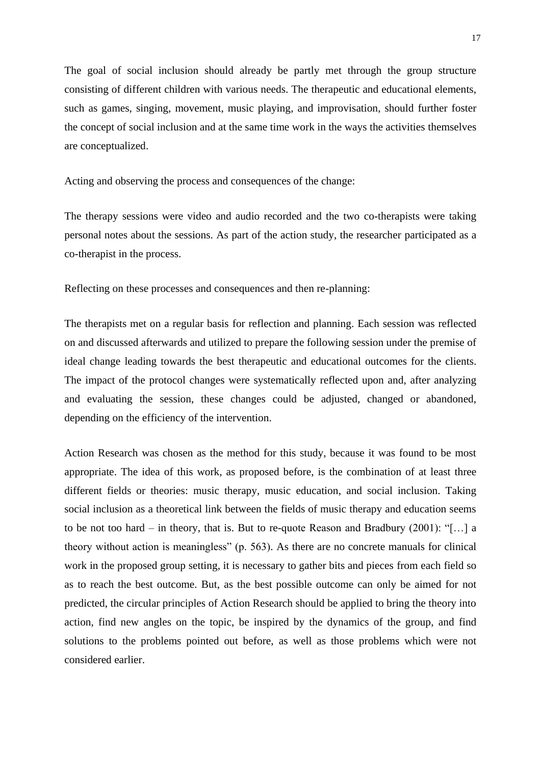The goal of social inclusion should already be partly met through the group structure consisting of different children with various needs. The therapeutic and educational elements, such as games, singing, movement, music playing, and improvisation, should further foster the concept of social inclusion and at the same time work in the ways the activities themselves are conceptualized.

Acting and observing the process and consequences of the change:

The therapy sessions were video and audio recorded and the two co-therapists were taking personal notes about the sessions. As part of the action study, the researcher participated as a co-therapist in the process.

Reflecting on these processes and consequences and then re-planning:

The therapists met on a regular basis for reflection and planning. Each session was reflected on and discussed afterwards and utilized to prepare the following session under the premise of ideal change leading towards the best therapeutic and educational outcomes for the clients. The impact of the protocol changes were systematically reflected upon and, after analyzing and evaluating the session, these changes could be adjusted, changed or abandoned, depending on the efficiency of the intervention.

Action Research was chosen as the method for this study, because it was found to be most appropriate. The idea of this work, as proposed before, is the combination of at least three different fields or theories: music therapy, music education, and social inclusion. Taking social inclusion as a theoretical link between the fields of music therapy and education seems to be not too hard – in theory, that is. But to re-quote Reason and Bradbury (2001): "[…] a theory without action is meaningless" (p. 563). As there are no concrete manuals for clinical work in the proposed group setting, it is necessary to gather bits and pieces from each field so as to reach the best outcome. But, as the best possible outcome can only be aimed for not predicted, the circular principles of Action Research should be applied to bring the theory into action, find new angles on the topic, be inspired by the dynamics of the group, and find solutions to the problems pointed out before, as well as those problems which were not considered earlier.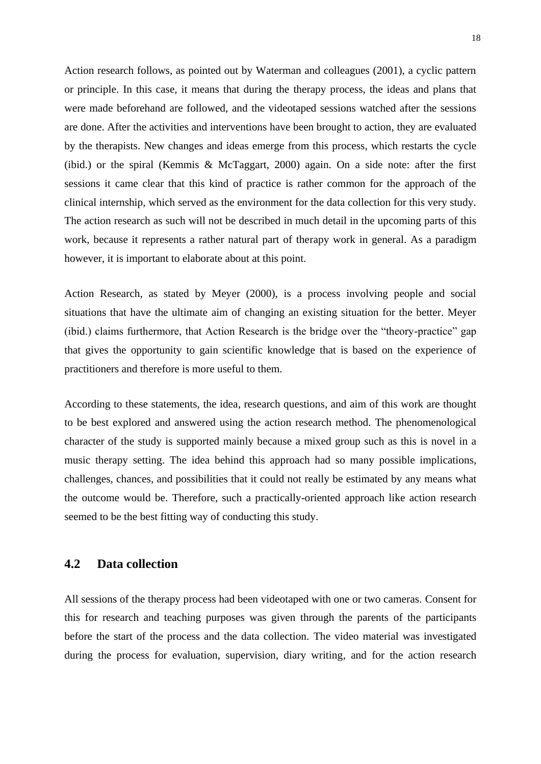Action research follows, as pointed out by Waterman and colleagues (2001), a cyclic pattern or principle. In this case, it means that during the therapy process, the ideas and plans that were made beforehand are followed, and the videotaped sessions watched after the sessions are done. After the activities and interventions have been brought to action, they are evaluated by the therapists. New changes and ideas emerge from this process, which restarts the cycle (ibid.) or the spiral (Kemmis & McTaggart, 2000) again. On a side note: after the first sessions it came clear that this kind of practice is rather common for the approach of the clinical internship, which served as the environment for the data collection for this very study. The action research as such will not be described in much detail in the upcoming parts of this work, because it represents a rather natural part of therapy work in general. As a paradigm however, it is important to elaborate about at this point.

Action Research, as stated by Meyer (2000), is a process involving people and social situations that have the ultimate aim of changing an existing situation for the better. Meyer (ibid.) claims furthermore, that Action Research is the bridge over the "theory-practice" gap that gives the opportunity to gain scientific knowledge that is based on the experience of practitioners and therefore is more useful to them.

According to these statements, the idea, research questions, and aim of this work are thought to be best explored and answered using the action research method. The phenomenological character of the study is supported mainly because a mixed group such as this is novel in a music therapy setting. The idea behind this approach had so many possible implications, challenges, chances, and possibilities that it could not really be estimated by any means what the outcome would be. Therefore, such a practically-oriented approach like action research seemed to be the best fitting way of conducting this study.

## **4.2 Data collection**

All sessions of the therapy process had been videotaped with one or two cameras. Consent for this for research and teaching purposes was given through the parents of the participants before the start of the process and the data collection. The video material was investigated during the process for evaluation, supervision, diary writing, and for the action research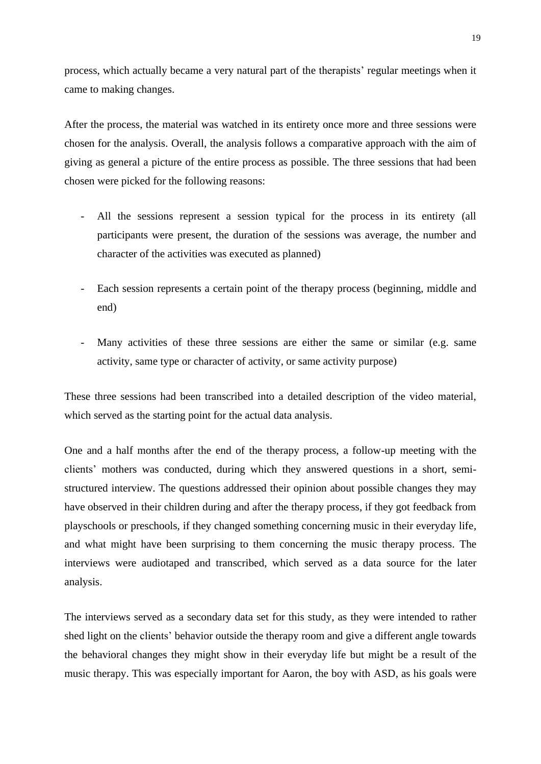process, which actually became a very natural part of the therapists' regular meetings when it came to making changes.

After the process, the material was watched in its entirety once more and three sessions were chosen for the analysis. Overall, the analysis follows a comparative approach with the aim of giving as general a picture of the entire process as possible. The three sessions that had been chosen were picked for the following reasons:

- All the sessions represent a session typical for the process in its entirety (all participants were present, the duration of the sessions was average, the number and character of the activities was executed as planned)
- Each session represents a certain point of the therapy process (beginning, middle and end)
- Many activities of these three sessions are either the same or similar (e.g. same activity, same type or character of activity, or same activity purpose)

These three sessions had been transcribed into a detailed description of the video material, which served as the starting point for the actual data analysis.

One and a half months after the end of the therapy process, a follow-up meeting with the clients' mothers was conducted, during which they answered questions in a short, semistructured interview. The questions addressed their opinion about possible changes they may have observed in their children during and after the therapy process, if they got feedback from playschools or preschools, if they changed something concerning music in their everyday life, and what might have been surprising to them concerning the music therapy process. The interviews were audiotaped and transcribed, which served as a data source for the later analysis.

The interviews served as a secondary data set for this study, as they were intended to rather shed light on the clients' behavior outside the therapy room and give a different angle towards the behavioral changes they might show in their everyday life but might be a result of the music therapy. This was especially important for Aaron, the boy with ASD, as his goals were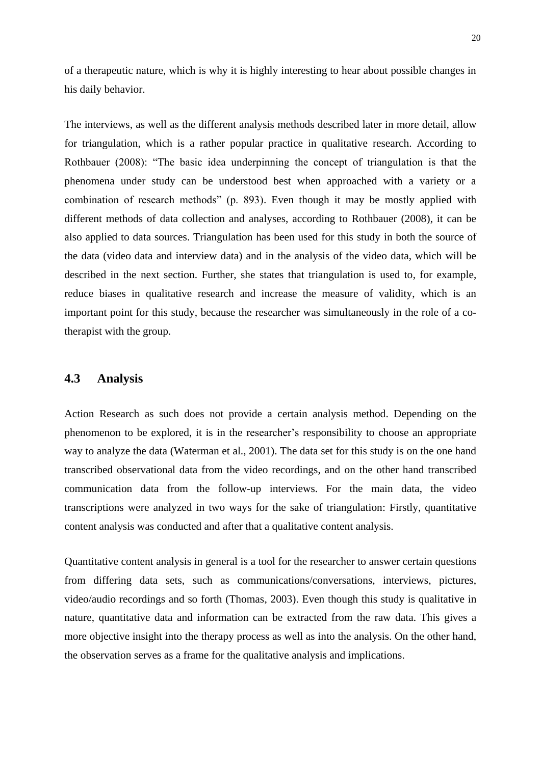of a therapeutic nature, which is why it is highly interesting to hear about possible changes in his daily behavior.

The interviews, as well as the different analysis methods described later in more detail, allow for triangulation, which is a rather popular practice in qualitative research. According to Rothbauer (2008): "The basic idea underpinning the concept of triangulation is that the phenomena under study can be understood best when approached with a variety or a combination of research methods" (p. 893). Even though it may be mostly applied with different methods of data collection and analyses, according to Rothbauer (2008), it can be also applied to data sources. Triangulation has been used for this study in both the source of the data (video data and interview data) and in the analysis of the video data, which will be described in the next section. Further, she states that triangulation is used to, for example, reduce biases in qualitative research and increase the measure of validity, which is an important point for this study, because the researcher was simultaneously in the role of a cotherapist with the group.

## **4.3 Analysis**

Action Research as such does not provide a certain analysis method. Depending on the phenomenon to be explored, it is in the researcher's responsibility to choose an appropriate way to analyze the data (Waterman et al., 2001). The data set for this study is on the one hand transcribed observational data from the video recordings, and on the other hand transcribed communication data from the follow-up interviews. For the main data, the video transcriptions were analyzed in two ways for the sake of triangulation: Firstly, quantitative content analysis was conducted and after that a qualitative content analysis.

Quantitative content analysis in general is a tool for the researcher to answer certain questions from differing data sets, such as communications/conversations, interviews, pictures, video/audio recordings and so forth (Thomas, 2003). Even though this study is qualitative in nature, quantitative data and information can be extracted from the raw data. This gives a more objective insight into the therapy process as well as into the analysis. On the other hand, the observation serves as a frame for the qualitative analysis and implications.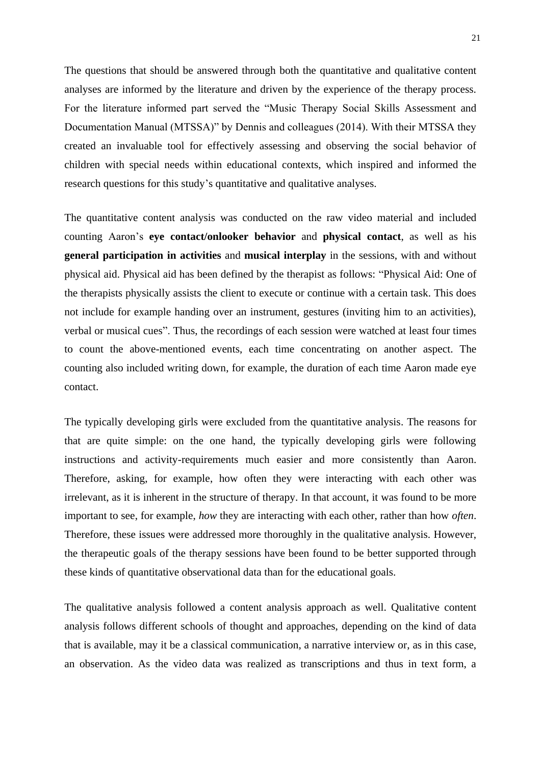The questions that should be answered through both the quantitative and qualitative content analyses are informed by the literature and driven by the experience of the therapy process. For the literature informed part served the "Music Therapy Social Skills Assessment and Documentation Manual (MTSSA)" by Dennis and colleagues (2014). With their MTSSA they created an invaluable tool for effectively assessing and observing the social behavior of children with special needs within educational contexts, which inspired and informed the research questions for this study's quantitative and qualitative analyses.

The quantitative content analysis was conducted on the raw video material and included counting Aaron's **eye contact/onlooker behavior** and **physical contact**, as well as his **general participation in activities** and **musical interplay** in the sessions, with and without physical aid. Physical aid has been defined by the therapist as follows: "Physical Aid: One of the therapists physically assists the client to execute or continue with a certain task. This does not include for example handing over an instrument, gestures (inviting him to an activities), verbal or musical cues". Thus, the recordings of each session were watched at least four times to count the above-mentioned events, each time concentrating on another aspect. The counting also included writing down, for example, the duration of each time Aaron made eye contact.

The typically developing girls were excluded from the quantitative analysis. The reasons for that are quite simple: on the one hand, the typically developing girls were following instructions and activity-requirements much easier and more consistently than Aaron. Therefore, asking, for example, how often they were interacting with each other was irrelevant, as it is inherent in the structure of therapy. In that account, it was found to be more important to see, for example, *how* they are interacting with each other, rather than how *often*. Therefore, these issues were addressed more thoroughly in the qualitative analysis. However, the therapeutic goals of the therapy sessions have been found to be better supported through these kinds of quantitative observational data than for the educational goals.

The qualitative analysis followed a content analysis approach as well. Qualitative content analysis follows different schools of thought and approaches, depending on the kind of data that is available, may it be a classical communication, a narrative interview or, as in this case, an observation. As the video data was realized as transcriptions and thus in text form, a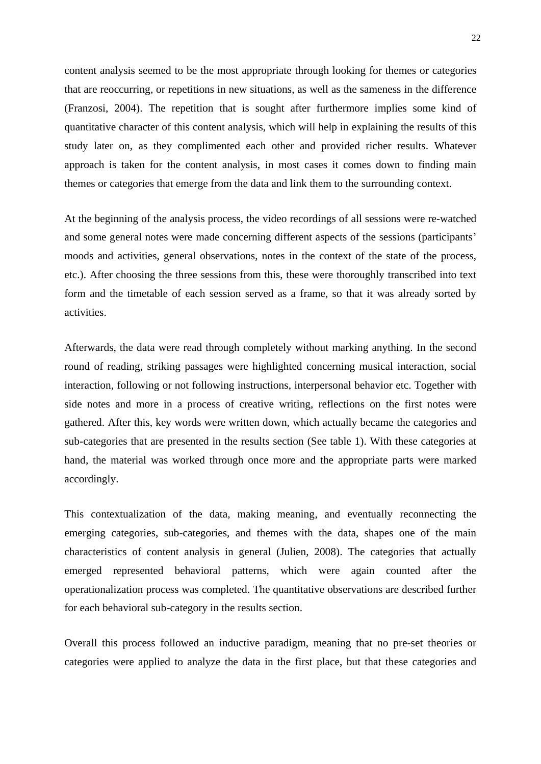content analysis seemed to be the most appropriate through looking for themes or categories that are reoccurring, or repetitions in new situations, as well as the sameness in the difference (Franzosi, 2004). The repetition that is sought after furthermore implies some kind of quantitative character of this content analysis, which will help in explaining the results of this study later on, as they complimented each other and provided richer results. Whatever approach is taken for the content analysis, in most cases it comes down to finding main themes or categories that emerge from the data and link them to the surrounding context.

At the beginning of the analysis process, the video recordings of all sessions were re-watched and some general notes were made concerning different aspects of the sessions (participants' moods and activities, general observations, notes in the context of the state of the process, etc.). After choosing the three sessions from this, these were thoroughly transcribed into text form and the timetable of each session served as a frame, so that it was already sorted by activities.

Afterwards, the data were read through completely without marking anything. In the second round of reading, striking passages were highlighted concerning musical interaction, social interaction, following or not following instructions, interpersonal behavior etc. Together with side notes and more in a process of creative writing, reflections on the first notes were gathered. After this, key words were written down, which actually became the categories and sub-categories that are presented in the results section (See table 1). With these categories at hand, the material was worked through once more and the appropriate parts were marked accordingly.

This contextualization of the data, making meaning, and eventually reconnecting the emerging categories, sub-categories, and themes with the data, shapes one of the main characteristics of content analysis in general (Julien, 2008). The categories that actually emerged represented behavioral patterns, which were again counted after the operationalization process was completed. The quantitative observations are described further for each behavioral sub-category in the results section.

Overall this process followed an inductive paradigm, meaning that no pre-set theories or categories were applied to analyze the data in the first place, but that these categories and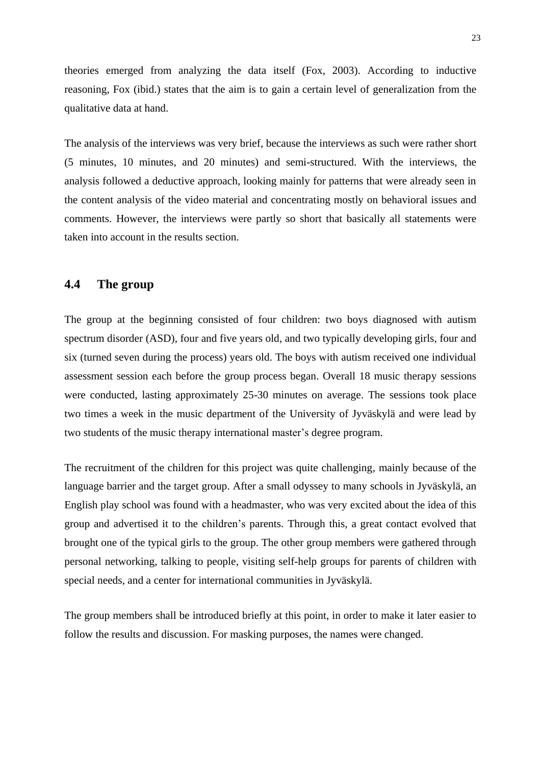theories emerged from analyzing the data itself (Fox, 2003). According to inductive reasoning, Fox (ibid.) states that the aim is to gain a certain level of generalization from the qualitative data at hand.

The analysis of the interviews was very brief, because the interviews as such were rather short (5 minutes, 10 minutes, and 20 minutes) and semi-structured. With the interviews, the analysis followed a deductive approach, looking mainly for patterns that were already seen in the content analysis of the video material and concentrating mostly on behavioral issues and comments. However, the interviews were partly so short that basically all statements were taken into account in the results section.

# **4.4 The group**

The group at the beginning consisted of four children: two boys diagnosed with autism spectrum disorder (ASD), four and five years old, and two typically developing girls, four and six (turned seven during the process) years old. The boys with autism received one individual assessment session each before the group process began. Overall 18 music therapy sessions were conducted, lasting approximately 25-30 minutes on average. The sessions took place two times a week in the music department of the University of Jyväskylä and were lead by two students of the music therapy international master's degree program.

The recruitment of the children for this project was quite challenging, mainly because of the language barrier and the target group. After a small odyssey to many schools in Jyväskylä, an English play school was found with a headmaster, who was very excited about the idea of this group and advertised it to the children's parents. Through this, a great contact evolved that brought one of the typical girls to the group. The other group members were gathered through personal networking, talking to people, visiting self-help groups for parents of children with special needs, and a center for international communities in Jyväskylä.

The group members shall be introduced briefly at this point, in order to make it later easier to follow the results and discussion. For masking purposes, the names were changed.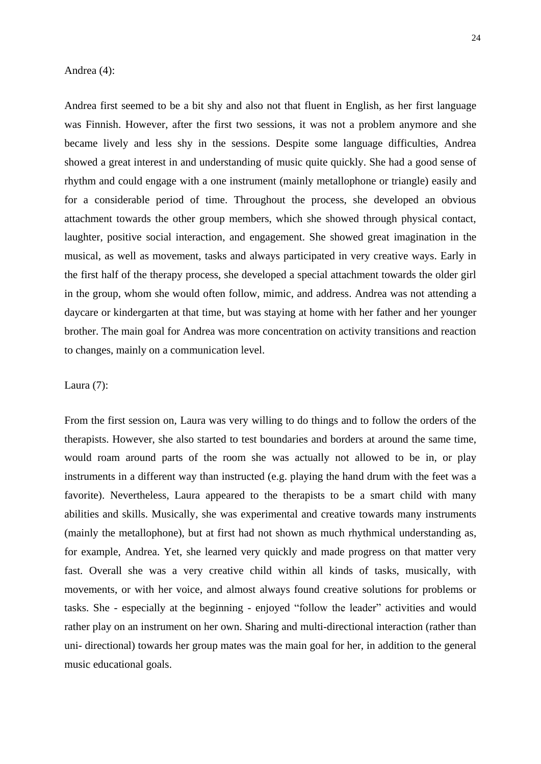### Andrea (4):

Andrea first seemed to be a bit shy and also not that fluent in English, as her first language was Finnish. However, after the first two sessions, it was not a problem anymore and she became lively and less shy in the sessions. Despite some language difficulties, Andrea showed a great interest in and understanding of music quite quickly. She had a good sense of rhythm and could engage with a one instrument (mainly metallophone or triangle) easily and for a considerable period of time. Throughout the process, she developed an obvious attachment towards the other group members, which she showed through physical contact, laughter, positive social interaction, and engagement. She showed great imagination in the musical, as well as movement, tasks and always participated in very creative ways. Early in the first half of the therapy process, she developed a special attachment towards the older girl in the group, whom she would often follow, mimic, and address. Andrea was not attending a daycare or kindergarten at that time, but was staying at home with her father and her younger brother. The main goal for Andrea was more concentration on activity transitions and reaction to changes, mainly on a communication level.

## Laura (7):

From the first session on, Laura was very willing to do things and to follow the orders of the therapists. However, she also started to test boundaries and borders at around the same time, would roam around parts of the room she was actually not allowed to be in, or play instruments in a different way than instructed (e.g. playing the hand drum with the feet was a favorite). Nevertheless, Laura appeared to the therapists to be a smart child with many abilities and skills. Musically, she was experimental and creative towards many instruments (mainly the metallophone), but at first had not shown as much rhythmical understanding as, for example, Andrea. Yet, she learned very quickly and made progress on that matter very fast. Overall she was a very creative child within all kinds of tasks, musically, with movements, or with her voice, and almost always found creative solutions for problems or tasks. She - especially at the beginning - enjoyed "follow the leader" activities and would rather play on an instrument on her own. Sharing and multi-directional interaction (rather than uni- directional) towards her group mates was the main goal for her, in addition to the general music educational goals.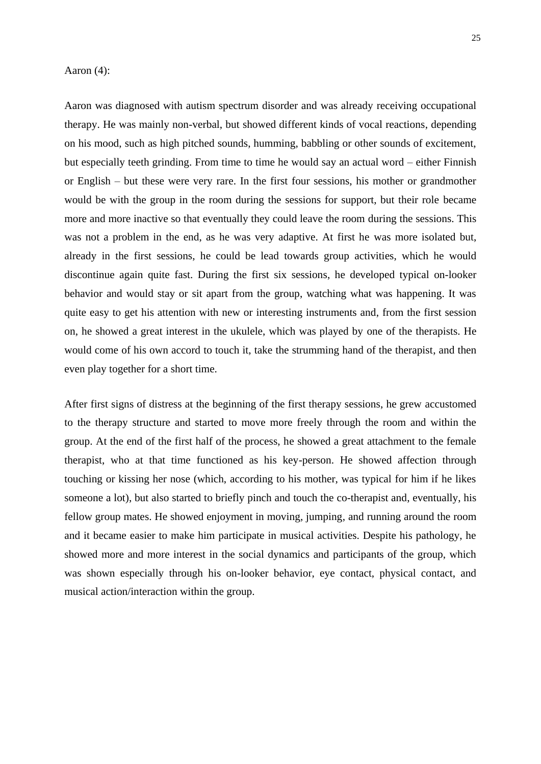### Aaron (4):

Aaron was diagnosed with autism spectrum disorder and was already receiving occupational therapy. He was mainly non-verbal, but showed different kinds of vocal reactions, depending on his mood, such as high pitched sounds, humming, babbling or other sounds of excitement, but especially teeth grinding. From time to time he would say an actual word – either Finnish or English – but these were very rare. In the first four sessions, his mother or grandmother would be with the group in the room during the sessions for support, but their role became more and more inactive so that eventually they could leave the room during the sessions. This was not a problem in the end, as he was very adaptive. At first he was more isolated but, already in the first sessions, he could be lead towards group activities, which he would discontinue again quite fast. During the first six sessions, he developed typical on-looker behavior and would stay or sit apart from the group, watching what was happening. It was quite easy to get his attention with new or interesting instruments and, from the first session on, he showed a great interest in the ukulele, which was played by one of the therapists. He would come of his own accord to touch it, take the strumming hand of the therapist, and then even play together for a short time.

After first signs of distress at the beginning of the first therapy sessions, he grew accustomed to the therapy structure and started to move more freely through the room and within the group. At the end of the first half of the process, he showed a great attachment to the female therapist, who at that time functioned as his key-person. He showed affection through touching or kissing her nose (which, according to his mother, was typical for him if he likes someone a lot), but also started to briefly pinch and touch the co-therapist and, eventually, his fellow group mates. He showed enjoyment in moving, jumping, and running around the room and it became easier to make him participate in musical activities. Despite his pathology, he showed more and more interest in the social dynamics and participants of the group, which was shown especially through his on-looker behavior, eye contact, physical contact, and musical action/interaction within the group.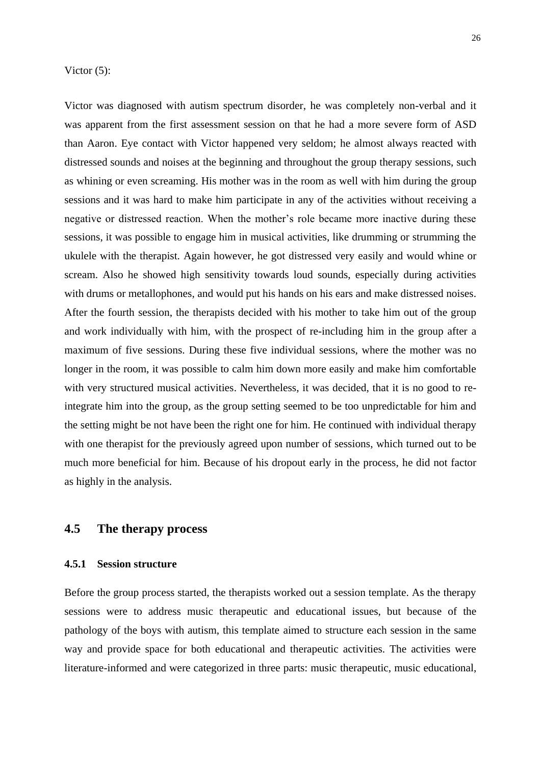#### Victor  $(5)$ :

Victor was diagnosed with autism spectrum disorder, he was completely non-verbal and it was apparent from the first assessment session on that he had a more severe form of ASD than Aaron. Eye contact with Victor happened very seldom; he almost always reacted with distressed sounds and noises at the beginning and throughout the group therapy sessions, such as whining or even screaming. His mother was in the room as well with him during the group sessions and it was hard to make him participate in any of the activities without receiving a negative or distressed reaction. When the mother's role became more inactive during these sessions, it was possible to engage him in musical activities, like drumming or strumming the ukulele with the therapist. Again however, he got distressed very easily and would whine or scream. Also he showed high sensitivity towards loud sounds, especially during activities with drums or metallophones, and would put his hands on his ears and make distressed noises. After the fourth session, the therapists decided with his mother to take him out of the group and work individually with him, with the prospect of re-including him in the group after a maximum of five sessions. During these five individual sessions, where the mother was no longer in the room, it was possible to calm him down more easily and make him comfortable with very structured musical activities. Nevertheless, it was decided, that it is no good to reintegrate him into the group, as the group setting seemed to be too unpredictable for him and the setting might be not have been the right one for him. He continued with individual therapy with one therapist for the previously agreed upon number of sessions, which turned out to be much more beneficial for him. Because of his dropout early in the process, he did not factor as highly in the analysis.

# **4.5 The therapy process**

## **4.5.1 Session structure**

Before the group process started, the therapists worked out a session template. As the therapy sessions were to address music therapeutic and educational issues, but because of the pathology of the boys with autism, this template aimed to structure each session in the same way and provide space for both educational and therapeutic activities. The activities were literature-informed and were categorized in three parts: music therapeutic, music educational,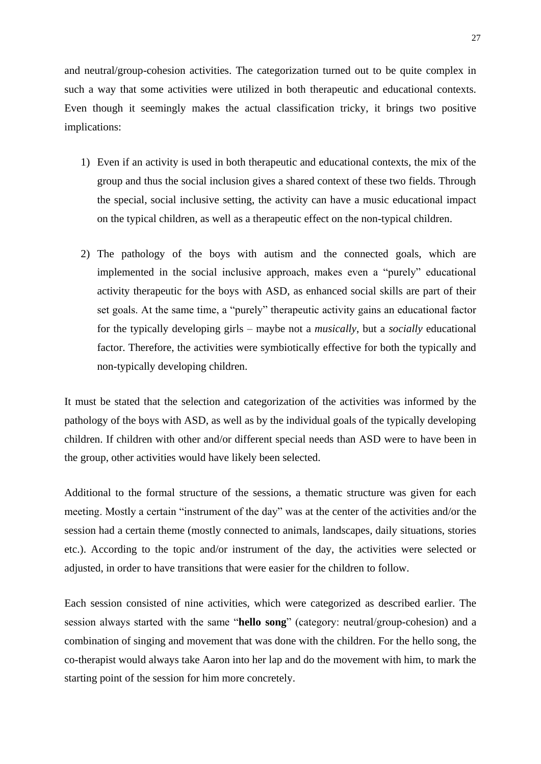and neutral/group-cohesion activities. The categorization turned out to be quite complex in such a way that some activities were utilized in both therapeutic and educational contexts. Even though it seemingly makes the actual classification tricky, it brings two positive implications:

- 1) Even if an activity is used in both therapeutic and educational contexts, the mix of the group and thus the social inclusion gives a shared context of these two fields. Through the special, social inclusive setting, the activity can have a music educational impact on the typical children, as well as a therapeutic effect on the non-typical children.
- 2) The pathology of the boys with autism and the connected goals, which are implemented in the social inclusive approach, makes even a "purely" educational activity therapeutic for the boys with ASD, as enhanced social skills are part of their set goals. At the same time, a "purely" therapeutic activity gains an educational factor for the typically developing girls – maybe not a *musically*, but a *socially* educational factor. Therefore, the activities were symbiotically effective for both the typically and non-typically developing children.

It must be stated that the selection and categorization of the activities was informed by the pathology of the boys with ASD, as well as by the individual goals of the typically developing children. If children with other and/or different special needs than ASD were to have been in the group, other activities would have likely been selected.

Additional to the formal structure of the sessions, a thematic structure was given for each meeting. Mostly a certain "instrument of the day" was at the center of the activities and/or the session had a certain theme (mostly connected to animals, landscapes, daily situations, stories etc.). According to the topic and/or instrument of the day, the activities were selected or adjusted, in order to have transitions that were easier for the children to follow.

Each session consisted of nine activities, which were categorized as described earlier. The session always started with the same "**hello song**" (category: neutral/group-cohesion) and a combination of singing and movement that was done with the children. For the hello song, the co-therapist would always take Aaron into her lap and do the movement with him, to mark the starting point of the session for him more concretely.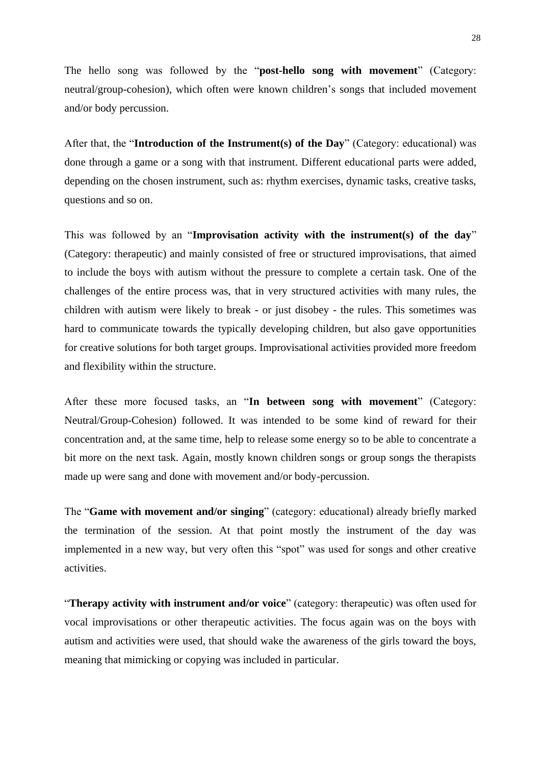The hello song was followed by the "**post-hello song with movement**" (Category: neutral/group-cohesion), which often were known children's songs that included movement and/or body percussion.

After that, the "**Introduction of the Instrument(s) of the Day**" (Category: educational) was done through a game or a song with that instrument. Different educational parts were added, depending on the chosen instrument, such as: rhythm exercises, dynamic tasks, creative tasks, questions and so on.

This was followed by an "**Improvisation activity with the instrument(s) of the day**" (Category: therapeutic) and mainly consisted of free or structured improvisations, that aimed to include the boys with autism without the pressure to complete a certain task. One of the challenges of the entire process was, that in very structured activities with many rules, the children with autism were likely to break - or just disobey - the rules. This sometimes was hard to communicate towards the typically developing children, but also gave opportunities for creative solutions for both target groups. Improvisational activities provided more freedom and flexibility within the structure.

After these more focused tasks, an "**In between song with movement**" (Category: Neutral/Group-Cohesion) followed. It was intended to be some kind of reward for their concentration and, at the same time, help to release some energy so to be able to concentrate a bit more on the next task. Again, mostly known children songs or group songs the therapists made up were sang and done with movement and/or body-percussion.

The "**Game with movement and/or singing**" (category: educational) already briefly marked the termination of the session. At that point mostly the instrument of the day was implemented in a new way, but very often this "spot" was used for songs and other creative activities.

"**Therapy activity with instrument and/or voice**" (category: therapeutic) was often used for vocal improvisations or other therapeutic activities. The focus again was on the boys with autism and activities were used, that should wake the awareness of the girls toward the boys, meaning that mimicking or copying was included in particular.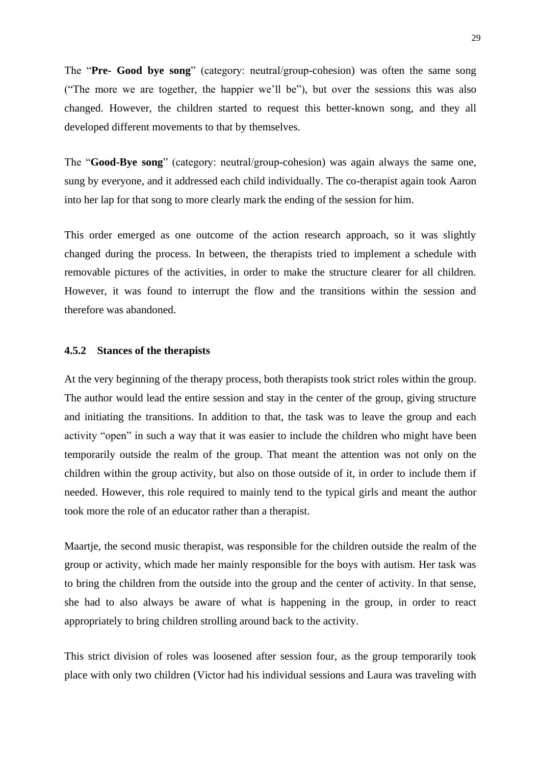The "**Pre- Good bye song**" (category: neutral/group-cohesion) was often the same song ("The more we are together, the happier we'll be"), but over the sessions this was also changed. However, the children started to request this better-known song, and they all developed different movements to that by themselves.

The "**Good-Bye song**" (category: neutral/group-cohesion) was again always the same one, sung by everyone, and it addressed each child individually. The co-therapist again took Aaron into her lap for that song to more clearly mark the ending of the session for him.

This order emerged as one outcome of the action research approach, so it was slightly changed during the process. In between, the therapists tried to implement a schedule with removable pictures of the activities, in order to make the structure clearer for all children. However, it was found to interrupt the flow and the transitions within the session and therefore was abandoned.

#### **4.5.2 Stances of the therapists**

At the very beginning of the therapy process, both therapists took strict roles within the group. The author would lead the entire session and stay in the center of the group, giving structure and initiating the transitions. In addition to that, the task was to leave the group and each activity "open" in such a way that it was easier to include the children who might have been temporarily outside the realm of the group. That meant the attention was not only on the children within the group activity, but also on those outside of it, in order to include them if needed. However, this role required to mainly tend to the typical girls and meant the author took more the role of an educator rather than a therapist.

Maartje, the second music therapist, was responsible for the children outside the realm of the group or activity, which made her mainly responsible for the boys with autism. Her task was to bring the children from the outside into the group and the center of activity. In that sense, she had to also always be aware of what is happening in the group, in order to react appropriately to bring children strolling around back to the activity.

This strict division of roles was loosened after session four, as the group temporarily took place with only two children (Victor had his individual sessions and Laura was traveling with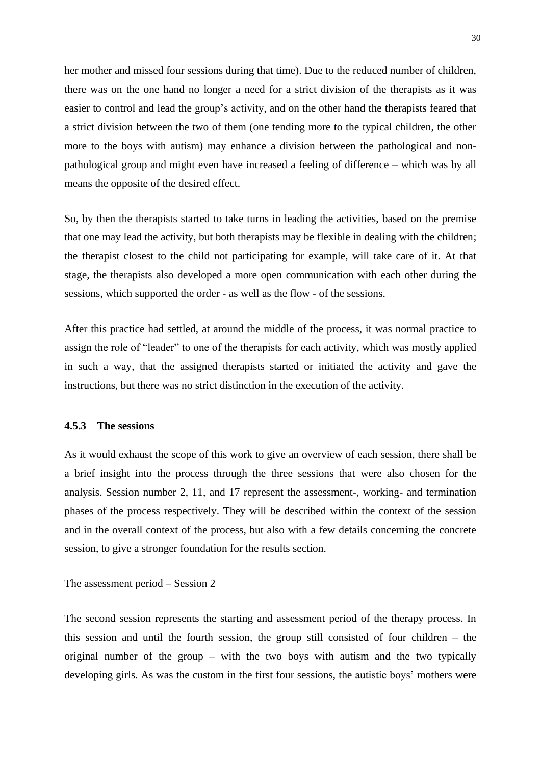her mother and missed four sessions during that time). Due to the reduced number of children, there was on the one hand no longer a need for a strict division of the therapists as it was easier to control and lead the group's activity, and on the other hand the therapists feared that a strict division between the two of them (one tending more to the typical children, the other more to the boys with autism) may enhance a division between the pathological and nonpathological group and might even have increased a feeling of difference – which was by all means the opposite of the desired effect.

So, by then the therapists started to take turns in leading the activities, based on the premise that one may lead the activity, but both therapists may be flexible in dealing with the children; the therapist closest to the child not participating for example, will take care of it. At that stage, the therapists also developed a more open communication with each other during the sessions, which supported the order - as well as the flow - of the sessions.

After this practice had settled, at around the middle of the process, it was normal practice to assign the role of "leader" to one of the therapists for each activity, which was mostly applied in such a way, that the assigned therapists started or initiated the activity and gave the instructions, but there was no strict distinction in the execution of the activity.

### **4.5.3 The sessions**

As it would exhaust the scope of this work to give an overview of each session, there shall be a brief insight into the process through the three sessions that were also chosen for the analysis. Session number 2, 11, and 17 represent the assessment-, working- and termination phases of the process respectively. They will be described within the context of the session and in the overall context of the process, but also with a few details concerning the concrete session, to give a stronger foundation for the results section.

The assessment period – Session 2

The second session represents the starting and assessment period of the therapy process. In this session and until the fourth session, the group still consisted of four children – the original number of the group – with the two boys with autism and the two typically developing girls. As was the custom in the first four sessions, the autistic boys' mothers were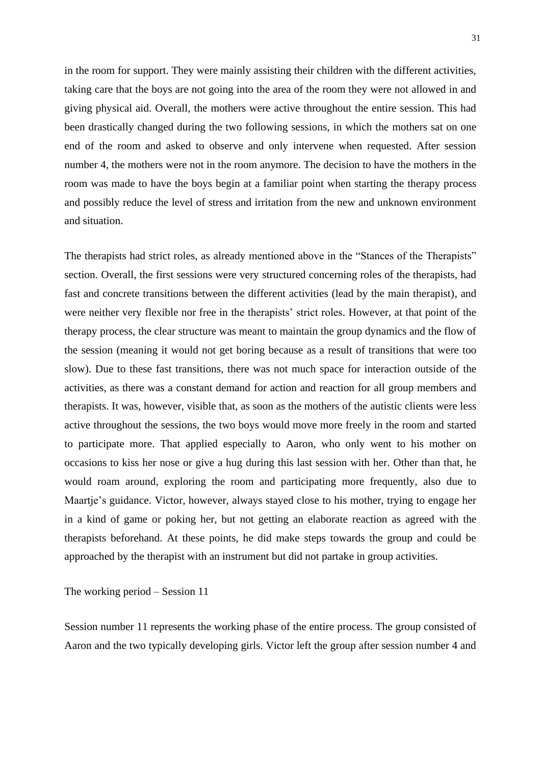in the room for support. They were mainly assisting their children with the different activities, taking care that the boys are not going into the area of the room they were not allowed in and giving physical aid. Overall, the mothers were active throughout the entire session. This had been drastically changed during the two following sessions, in which the mothers sat on one end of the room and asked to observe and only intervene when requested. After session number 4, the mothers were not in the room anymore. The decision to have the mothers in the room was made to have the boys begin at a familiar point when starting the therapy process and possibly reduce the level of stress and irritation from the new and unknown environment and situation.

The therapists had strict roles, as already mentioned above in the "Stances of the Therapists" section. Overall, the first sessions were very structured concerning roles of the therapists, had fast and concrete transitions between the different activities (lead by the main therapist), and were neither very flexible nor free in the therapists' strict roles. However, at that point of the therapy process, the clear structure was meant to maintain the group dynamics and the flow of the session (meaning it would not get boring because as a result of transitions that were too slow). Due to these fast transitions, there was not much space for interaction outside of the activities, as there was a constant demand for action and reaction for all group members and therapists. It was, however, visible that, as soon as the mothers of the autistic clients were less active throughout the sessions, the two boys would move more freely in the room and started to participate more. That applied especially to Aaron, who only went to his mother on occasions to kiss her nose or give a hug during this last session with her. Other than that, he would roam around, exploring the room and participating more frequently, also due to Maartje's guidance. Victor, however, always stayed close to his mother, trying to engage her in a kind of game or poking her, but not getting an elaborate reaction as agreed with the therapists beforehand. At these points, he did make steps towards the group and could be approached by the therapist with an instrument but did not partake in group activities.

The working period – Session 11

Session number 11 represents the working phase of the entire process. The group consisted of Aaron and the two typically developing girls. Victor left the group after session number 4 and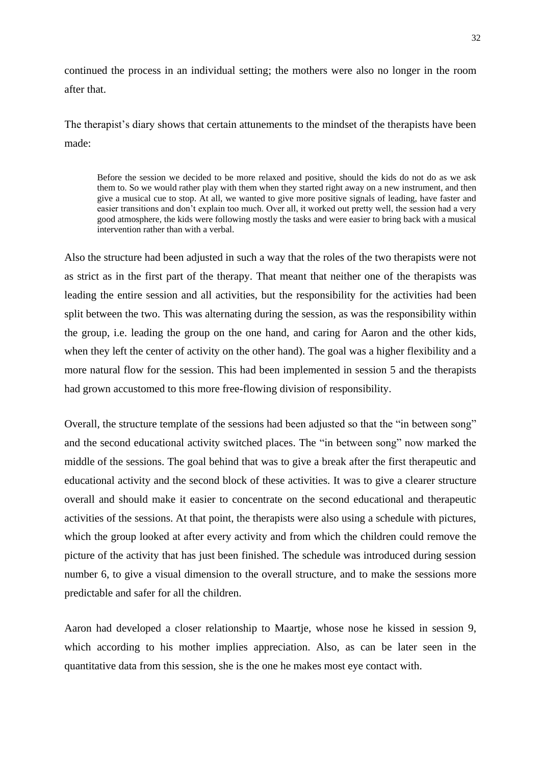continued the process in an individual setting; the mothers were also no longer in the room after that.

The therapist's diary shows that certain attunements to the mindset of the therapists have been made:

Before the session we decided to be more relaxed and positive, should the kids do not do as we ask them to. So we would rather play with them when they started right away on a new instrument, and then give a musical cue to stop. At all, we wanted to give more positive signals of leading, have faster and easier transitions and don't explain too much. Over all, it worked out pretty well, the session had a very good atmosphere, the kids were following mostly the tasks and were easier to bring back with a musical intervention rather than with a verbal.

Also the structure had been adjusted in such a way that the roles of the two therapists were not as strict as in the first part of the therapy. That meant that neither one of the therapists was leading the entire session and all activities, but the responsibility for the activities had been split between the two. This was alternating during the session, as was the responsibility within the group, i.e. leading the group on the one hand, and caring for Aaron and the other kids, when they left the center of activity on the other hand). The goal was a higher flexibility and a more natural flow for the session. This had been implemented in session 5 and the therapists had grown accustomed to this more free-flowing division of responsibility.

Overall, the structure template of the sessions had been adjusted so that the "in between song" and the second educational activity switched places. The "in between song" now marked the middle of the sessions. The goal behind that was to give a break after the first therapeutic and educational activity and the second block of these activities. It was to give a clearer structure overall and should make it easier to concentrate on the second educational and therapeutic activities of the sessions. At that point, the therapists were also using a schedule with pictures, which the group looked at after every activity and from which the children could remove the picture of the activity that has just been finished. The schedule was introduced during session number 6, to give a visual dimension to the overall structure, and to make the sessions more predictable and safer for all the children.

Aaron had developed a closer relationship to Maartje, whose nose he kissed in session 9, which according to his mother implies appreciation. Also, as can be later seen in the quantitative data from this session, she is the one he makes most eye contact with.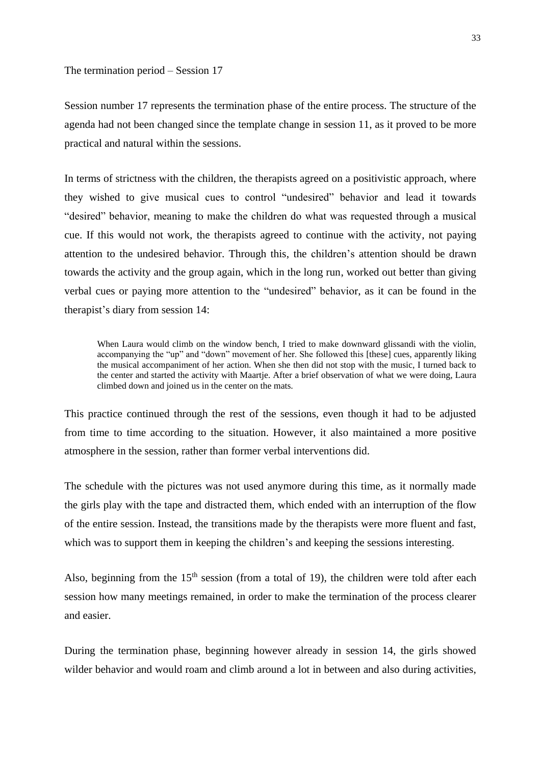#### The termination period – Session 17

Session number 17 represents the termination phase of the entire process. The structure of the agenda had not been changed since the template change in session 11, as it proved to be more practical and natural within the sessions.

In terms of strictness with the children, the therapists agreed on a positivistic approach, where they wished to give musical cues to control "undesired" behavior and lead it towards "desired" behavior, meaning to make the children do what was requested through a musical cue. If this would not work, the therapists agreed to continue with the activity, not paying attention to the undesired behavior. Through this, the children's attention should be drawn towards the activity and the group again, which in the long run, worked out better than giving verbal cues or paying more attention to the "undesired" behavior, as it can be found in the therapist's diary from session 14:

When Laura would climb on the window bench. I tried to make downward glissandi with the violin, accompanying the "up" and "down" movement of her. She followed this [these] cues, apparently liking the musical accompaniment of her action. When she then did not stop with the music, I turned back to the center and started the activity with Maartje. After a brief observation of what we were doing, Laura climbed down and joined us in the center on the mats.

This practice continued through the rest of the sessions, even though it had to be adjusted from time to time according to the situation. However, it also maintained a more positive atmosphere in the session, rather than former verbal interventions did.

The schedule with the pictures was not used anymore during this time, as it normally made the girls play with the tape and distracted them, which ended with an interruption of the flow of the entire session. Instead, the transitions made by the therapists were more fluent and fast, which was to support them in keeping the children's and keeping the sessions interesting.

Also, beginning from the  $15<sup>th</sup>$  session (from a total of 19), the children were told after each session how many meetings remained, in order to make the termination of the process clearer and easier.

During the termination phase, beginning however already in session 14, the girls showed wilder behavior and would roam and climb around a lot in between and also during activities,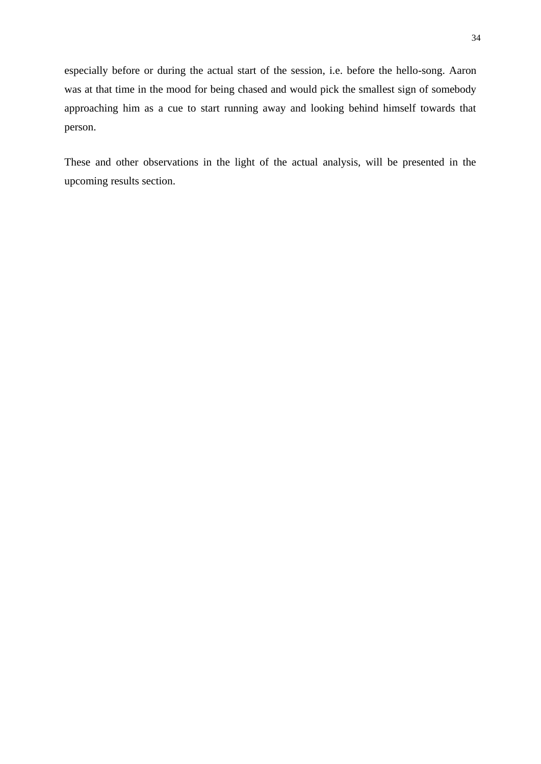especially before or during the actual start of the session, i.e. before the hello-song. Aaron was at that time in the mood for being chased and would pick the smallest sign of somebody approaching him as a cue to start running away and looking behind himself towards that person.

These and other observations in the light of the actual analysis, will be presented in the upcoming results section.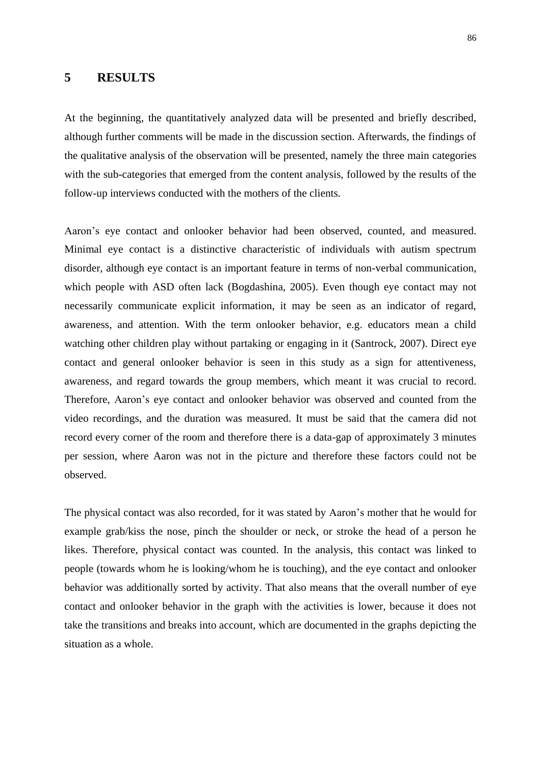## **5 RESULTS**

At the beginning, the quantitatively analyzed data will be presented and briefly described, although further comments will be made in the discussion section. Afterwards, the findings of the qualitative analysis of the observation will be presented, namely the three main categories with the sub-categories that emerged from the content analysis, followed by the results of the follow-up interviews conducted with the mothers of the clients.

Aaron's eye contact and onlooker behavior had been observed, counted, and measured. Minimal eye contact is a distinctive characteristic of individuals with autism spectrum disorder, although eye contact is an important feature in terms of non-verbal communication, which people with ASD often lack (Bogdashina, 2005). Even though eye contact may not necessarily communicate explicit information, it may be seen as an indicator of regard, awareness, and attention. With the term onlooker behavior, e.g. educators mean a child watching other children play without partaking or engaging in it (Santrock, 2007). Direct eye contact and general onlooker behavior is seen in this study as a sign for attentiveness, awareness, and regard towards the group members, which meant it was crucial to record. Therefore, Aaron's eye contact and onlooker behavior was observed and counted from the video recordings, and the duration was measured. It must be said that the camera did not record every corner of the room and therefore there is a data-gap of approximately 3 minutes per session, where Aaron was not in the picture and therefore these factors could not be observed.

The physical contact was also recorded, for it was stated by Aaron's mother that he would for example grab/kiss the nose, pinch the shoulder or neck, or stroke the head of a person he likes. Therefore, physical contact was counted. In the analysis, this contact was linked to people (towards whom he is looking/whom he is touching), and the eye contact and onlooker behavior was additionally sorted by activity. That also means that the overall number of eye contact and onlooker behavior in the graph with the activities is lower, because it does not take the transitions and breaks into account, which are documented in the graphs depicting the situation as a whole.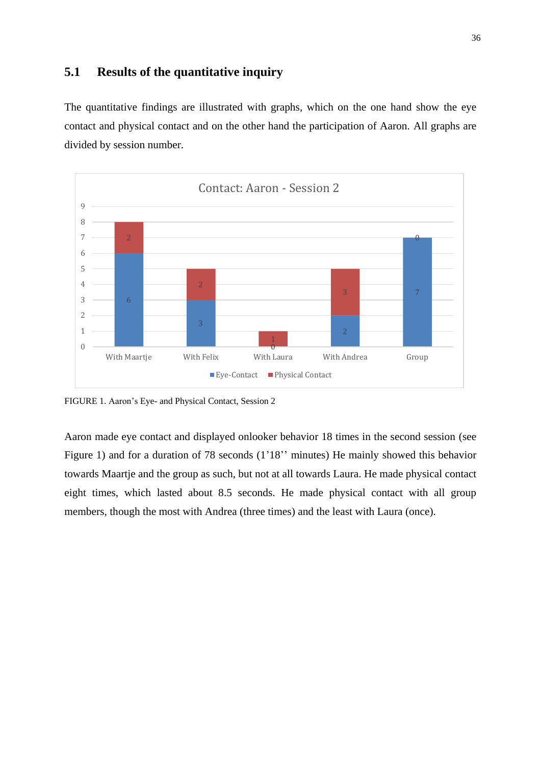# **5.1 Results of the quantitative inquiry**

The quantitative findings are illustrated with graphs, which on the one hand show the eye contact and physical contact and on the other hand the participation of Aaron. All graphs are divided by session number.



FIGURE 1. Aaron's Eye- and Physical Contact, Session 2

Aaron made eye contact and displayed onlooker behavior 18 times in the second session (see Figure 1) and for a duration of 78 seconds (1'18'' minutes) He mainly showed this behavior towards Maartje and the group as such, but not at all towards Laura. He made physical contact eight times, which lasted about 8.5 seconds. He made physical contact with all group members, though the most with Andrea (three times) and the least with Laura (once).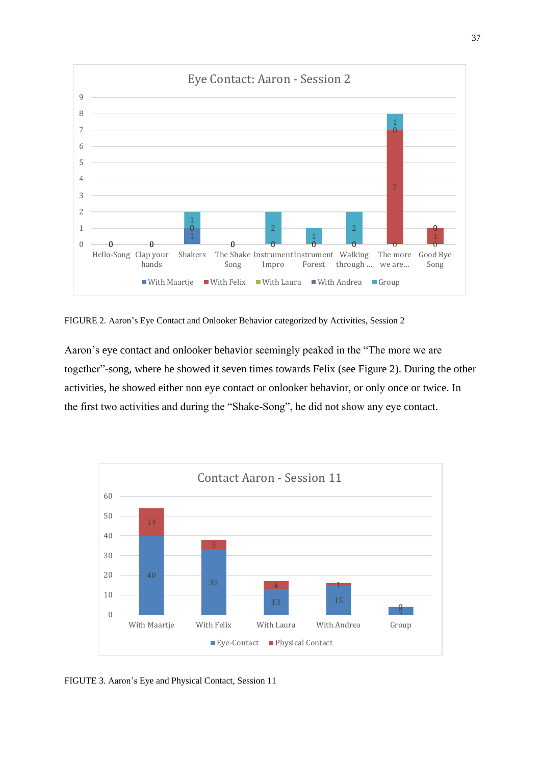

FIGURE 2*.* Aaron's Eye Contact and Onlooker Behavior categorized by Activities, Session 2

Aaron's eye contact and onlooker behavior seemingly peaked in the "The more we are together"-song, where he showed it seven times towards Felix (see Figure 2). During the other activities, he showed either non eye contact or onlooker behavior, or only once or twice. In the first two activities and during the "Shake-Song", he did not show any eye contact.



FIGUTE 3. Aaron's Eye and Physical Contact, Session 11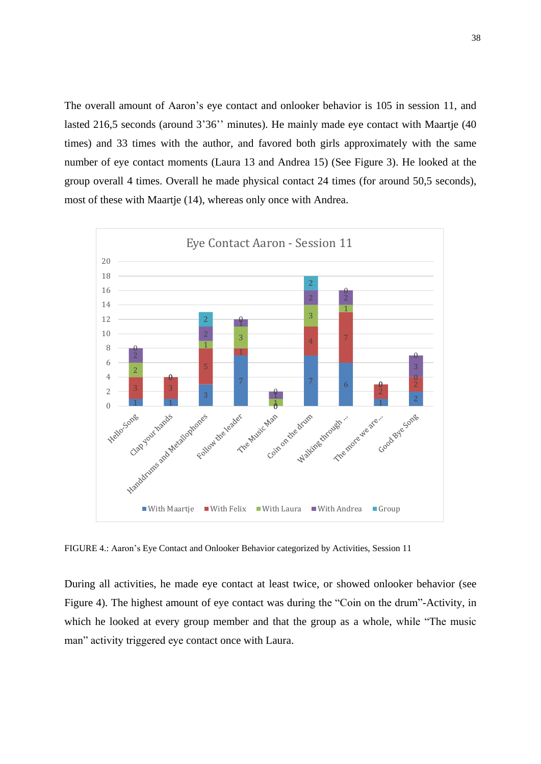The overall amount of Aaron's eye contact and onlooker behavior is 105 in session 11, and lasted 216,5 seconds (around 3'36'' minutes). He mainly made eye contact with Maartje (40) times) and 33 times with the author, and favored both girls approximately with the same number of eye contact moments (Laura 13 and Andrea 15) (See Figure 3). He looked at the group overall 4 times. Overall he made physical contact 24 times (for around 50,5 seconds), most of these with Maartje (14), whereas only once with Andrea.



FIGURE 4.: Aaron's Eye Contact and Onlooker Behavior categorized by Activities, Session 11

During all activities, he made eye contact at least twice, or showed onlooker behavior (see Figure 4). The highest amount of eye contact was during the "Coin on the drum"-Activity, in which he looked at every group member and that the group as a whole, while "The music man" activity triggered eye contact once with Laura.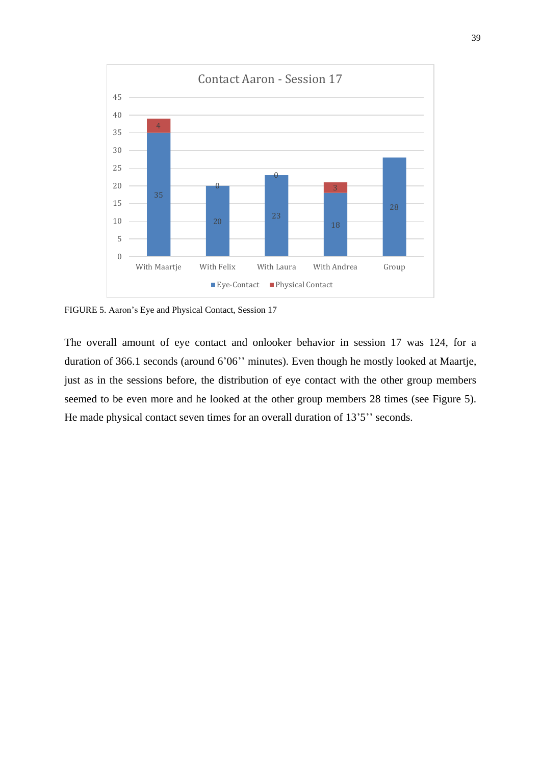

FIGURE 5. Aaron's Eye and Physical Contact, Session 17

The overall amount of eye contact and onlooker behavior in session 17 was 124, for a duration of 366.1 seconds (around 6'06'' minutes). Even though he mostly looked at Maartje, just as in the sessions before, the distribution of eye contact with the other group members seemed to be even more and he looked at the other group members 28 times (see Figure 5). He made physical contact seven times for an overall duration of 13'5" seconds.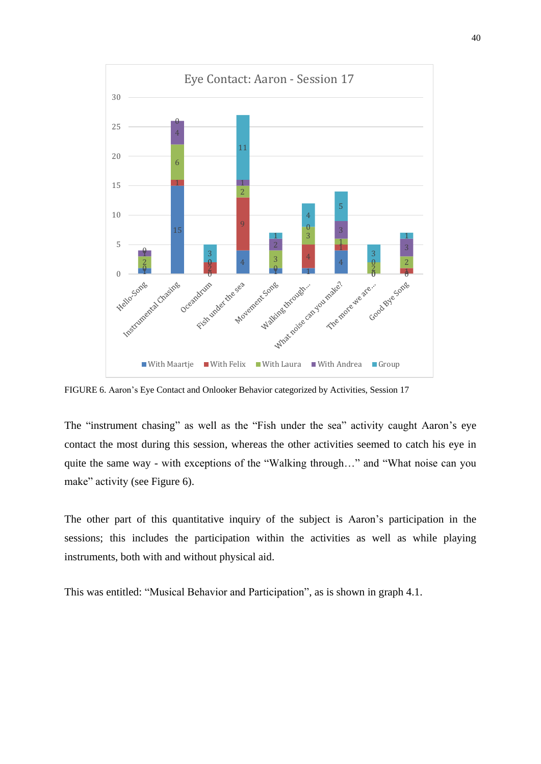

FIGURE 6. Aaron's Eye Contact and Onlooker Behavior categorized by Activities, Session 17

The "instrument chasing" as well as the "Fish under the sea" activity caught Aaron's eye contact the most during this session, whereas the other activities seemed to catch his eye in quite the same way - with exceptions of the "Walking through…" and "What noise can you make" activity (see Figure 6).

The other part of this quantitative inquiry of the subject is Aaron's participation in the sessions; this includes the participation within the activities as well as while playing instruments, both with and without physical aid.

This was entitled: "Musical Behavior and Participation", as is shown in graph 4.1.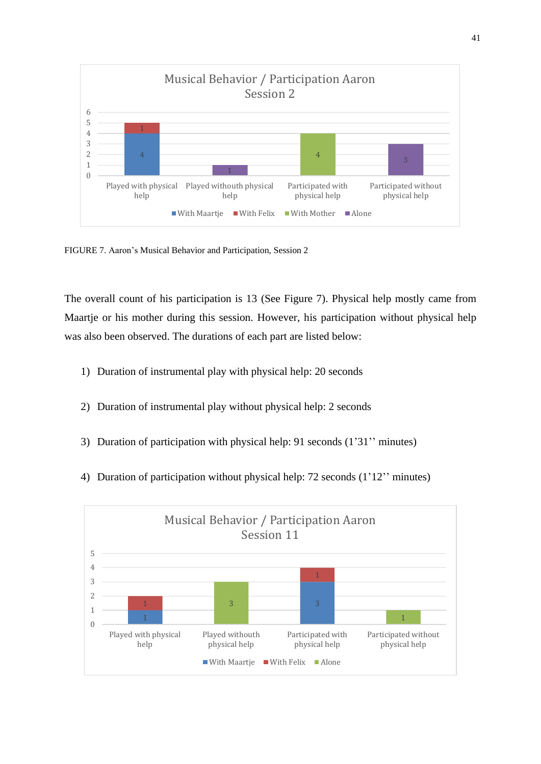

FIGURE 7. Aaron's Musical Behavior and Participation, Session 2

The overall count of his participation is 13 (See Figure 7). Physical help mostly came from Maartje or his mother during this session. However, his participation without physical help was also been observed. The durations of each part are listed below:

- 1) Duration of instrumental play with physical help: 20 seconds
- 2) Duration of instrumental play without physical help: 2 seconds
- 3) Duration of participation with physical help: 91 seconds (1'31'' minutes)
- 4) Duration of participation without physical help: 72 seconds (1'12'' minutes)

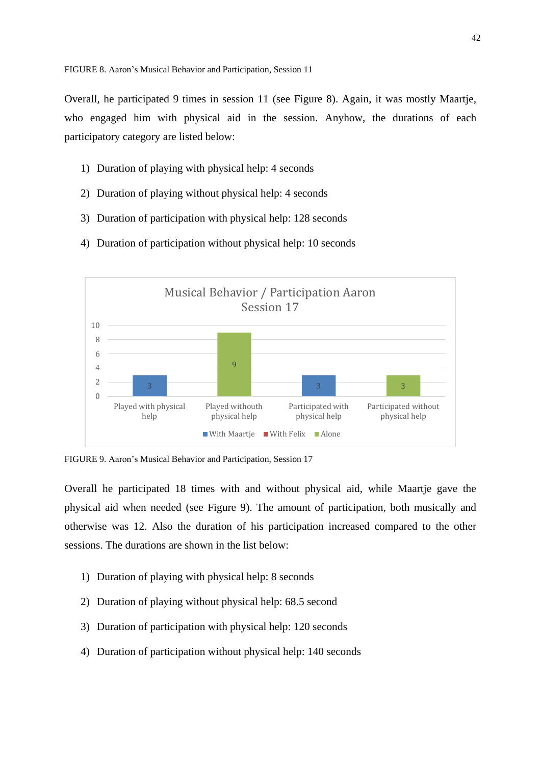Overall, he participated 9 times in session 11 (see Figure 8). Again, it was mostly Maartje, who engaged him with physical aid in the session. Anyhow, the durations of each participatory category are listed below:

- 1) Duration of playing with physical help: 4 seconds
- 2) Duration of playing without physical help: 4 seconds
- 3) Duration of participation with physical help: 128 seconds
- 4) Duration of participation without physical help: 10 seconds



FIGURE 9. Aaron's Musical Behavior and Participation, Session 17

Overall he participated 18 times with and without physical aid, while Maartje gave the physical aid when needed (see Figure 9). The amount of participation, both musically and otherwise was 12. Also the duration of his participation increased compared to the other sessions. The durations are shown in the list below:

- 1) Duration of playing with physical help: 8 seconds
- 2) Duration of playing without physical help: 68.5 second
- 3) Duration of participation with physical help: 120 seconds
- 4) Duration of participation without physical help: 140 seconds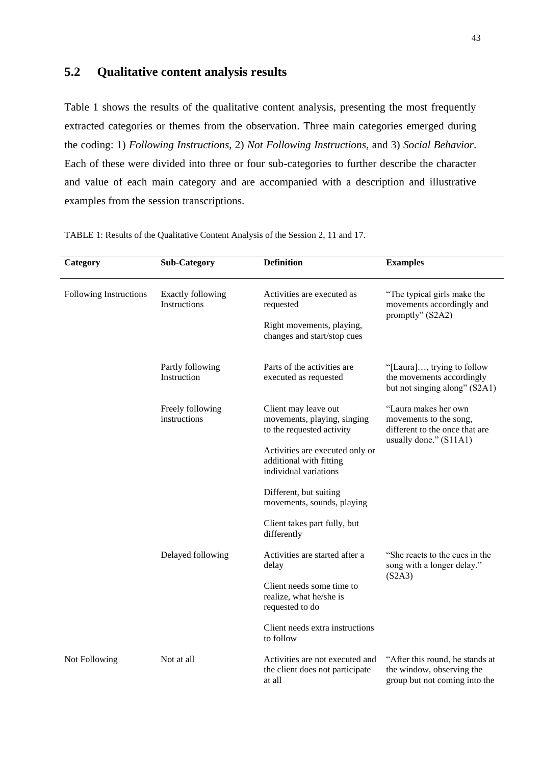# **5.2 Qualitative content analysis results**

Table 1 shows the results of the qualitative content analysis, presenting the most frequently extracted categories or themes from the observation. Three main categories emerged during the coding: 1) *Following Instructions*, 2) *Not Following Instructions*, and 3) *Social Behavior*. Each of these were divided into three or four sub-categories to further describe the character and value of each main category and are accompanied with a description and illustrative examples from the session transcriptions.

| Category               | <b>Sub-Category</b>                             | <b>Definition</b>                                                                   | <b>Examples</b>                                                                                            |
|------------------------|-------------------------------------------------|-------------------------------------------------------------------------------------|------------------------------------------------------------------------------------------------------------|
| Following Instructions | <b>Exactly following</b><br><b>Instructions</b> | Activities are executed as<br>requested                                             | "The typical girls make the<br>movements accordingly and<br>promptly" (S2A2)                               |
|                        |                                                 | Right movements, playing,<br>changes and start/stop cues                            |                                                                                                            |
|                        | Partly following<br>Instruction                 | Parts of the activities are<br>executed as requested                                | "[Laura], trying to follow<br>the movements accordingly<br>but not singing along" (S2A1)                   |
|                        | Freely following<br>instructions                | Client may leave out<br>movements, playing, singing<br>to the requested activity    | "Laura makes her own<br>movements to the song,<br>different to the once that are<br>usually done." (S11A1) |
|                        |                                                 | Activities are executed only or<br>additional with fitting<br>individual variations |                                                                                                            |
|                        |                                                 | Different, but suiting<br>movements, sounds, playing                                |                                                                                                            |
|                        |                                                 | Client takes part fully, but<br>differently                                         |                                                                                                            |
|                        | Delayed following                               | Activities are started after a<br>delay                                             | "She reacts to the cues in the<br>song with a longer delay."<br>(S2A3)                                     |
|                        |                                                 | Client needs some time to<br>realize, what he/she is<br>requested to do             |                                                                                                            |
|                        |                                                 | Client needs extra instructions<br>to follow                                        |                                                                                                            |
| Not Following          | Not at all                                      | Activities are not executed and<br>the client does not participate<br>at all        | "After this round, he stands at<br>the window, observing the<br>group but not coming into the              |

TABLE 1: Results of the Qualitative Content Analysis of the Session 2, 11 and 17.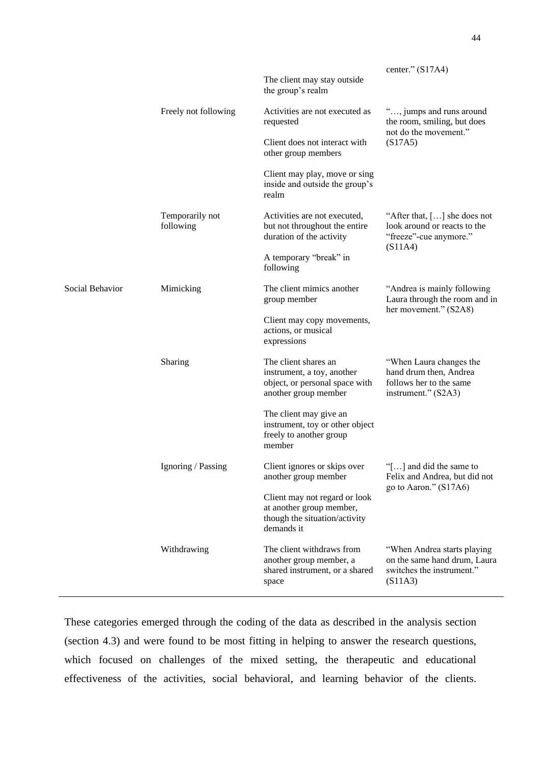|                 |                              | The client may stay outside<br>the group's realm                                                             | center." $(S17A4)$                                                                                  |
|-----------------|------------------------------|--------------------------------------------------------------------------------------------------------------|-----------------------------------------------------------------------------------------------------|
|                 | Freely not following         | Activities are not executed as<br>requested                                                                  | ", jumps and runs around<br>the room, smiling, but does<br>not do the movement."<br>(S17A5)         |
|                 |                              | Client does not interact with<br>other group members                                                         |                                                                                                     |
|                 |                              | Client may play, move or sing<br>inside and outside the group's<br>realm                                     |                                                                                                     |
|                 | Temporarily not<br>following | Activities are not executed,<br>but not throughout the entire<br>duration of the activity                    | "After that, [] she does not<br>look around or reacts to the<br>"freeze"-cue anymore."<br>(S11A4)   |
|                 |                              | A temporary "break" in<br>following                                                                          |                                                                                                     |
| Social Behavior | Mimicking                    | The client mimics another<br>group member                                                                    | "Andrea is mainly following<br>Laura through the room and in<br>her movement." (S2A8)               |
|                 |                              | Client may copy movements,<br>actions, or musical<br>expressions                                             |                                                                                                     |
|                 | Sharing                      | The client shares an<br>instrument, a toy, another<br>object, or personal space with<br>another group member | "When Laura changes the<br>hand drum then, Andrea<br>follows her to the same<br>instrument." (S2A3) |
|                 |                              | The client may give an<br>instrument, toy or other object<br>freely to another group<br>member               |                                                                                                     |
|                 | Ignoring / Passing           | Client ignores or skips over<br>another group member                                                         | "[] and did the same to<br>Felix and Andrea, but did not<br>go to Aaron." (S17A6)                   |
|                 |                              | Client may not regard or look<br>at another group member,<br>though the situation/activity<br>demands it     |                                                                                                     |
|                 | Withdrawing                  | The client withdraws from<br>another group member, a<br>shared instrument, or a shared<br>space              | "When Andrea starts playing<br>on the same hand drum, Laura<br>switches the instrument."<br>(S11A3) |

These categories emerged through the coding of the data as described in the analysis section (section 4.3) and were found to be most fitting in helping to answer the research questions, which focused on challenges of the mixed setting, the therapeutic and educational effectiveness of the activities, social behavioral, and learning behavior of the clients.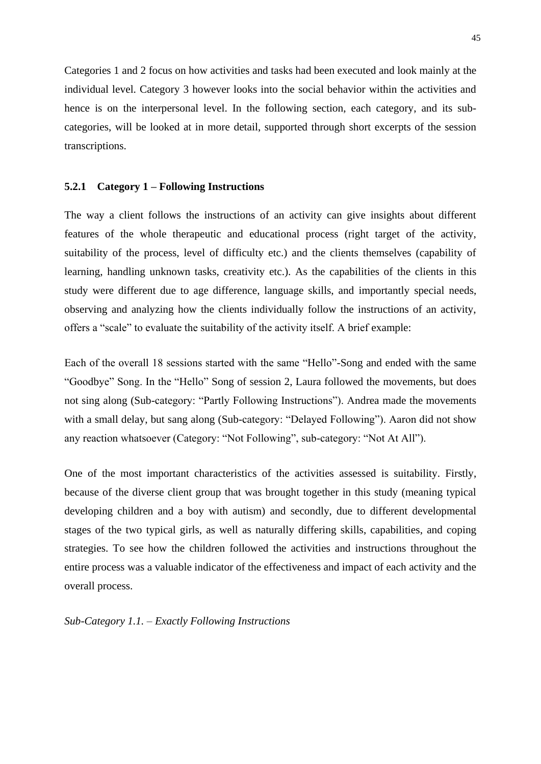Categories 1 and 2 focus on how activities and tasks had been executed and look mainly at the individual level. Category 3 however looks into the social behavior within the activities and hence is on the interpersonal level. In the following section, each category, and its subcategories, will be looked at in more detail, supported through short excerpts of the session transcriptions.

## **5.2.1 Category 1 – Following Instructions**

The way a client follows the instructions of an activity can give insights about different features of the whole therapeutic and educational process (right target of the activity, suitability of the process, level of difficulty etc.) and the clients themselves (capability of learning, handling unknown tasks, creativity etc.). As the capabilities of the clients in this study were different due to age difference, language skills, and importantly special needs, observing and analyzing how the clients individually follow the instructions of an activity, offers a "scale" to evaluate the suitability of the activity itself. A brief example:

Each of the overall 18 sessions started with the same "Hello"-Song and ended with the same "Goodbye" Song. In the "Hello" Song of session 2, Laura followed the movements, but does not sing along (Sub-category: "Partly Following Instructions"). Andrea made the movements with a small delay, but sang along (Sub-category: "Delayed Following"). Aaron did not show any reaction whatsoever (Category: "Not Following", sub-category: "Not At All").

One of the most important characteristics of the activities assessed is suitability. Firstly, because of the diverse client group that was brought together in this study (meaning typical developing children and a boy with autism) and secondly, due to different developmental stages of the two typical girls, as well as naturally differing skills, capabilities, and coping strategies. To see how the children followed the activities and instructions throughout the entire process was a valuable indicator of the effectiveness and impact of each activity and the overall process.

*Sub-Category 1.1. – Exactly Following Instructions*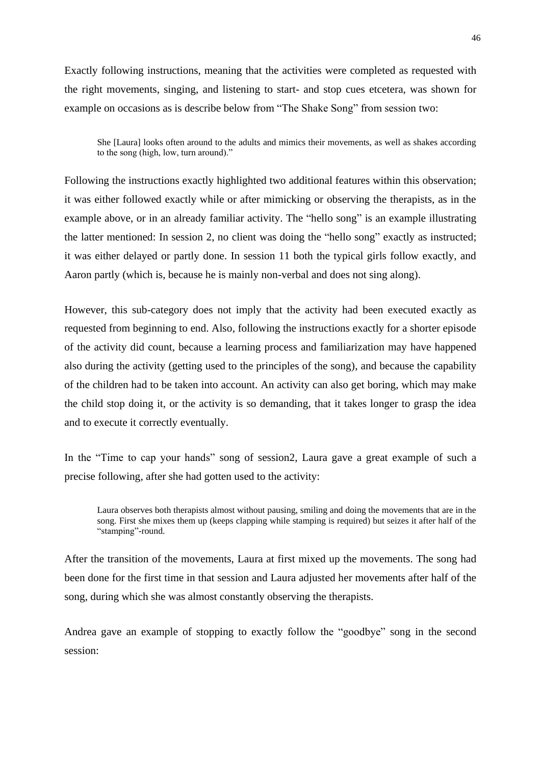Exactly following instructions, meaning that the activities were completed as requested with the right movements, singing, and listening to start- and stop cues etcetera, was shown for example on occasions as is describe below from "The Shake Song" from session two:

She [Laura] looks often around to the adults and mimics their movements, as well as shakes according to the song (high, low, turn around)."

Following the instructions exactly highlighted two additional features within this observation; it was either followed exactly while or after mimicking or observing the therapists, as in the example above, or in an already familiar activity. The "hello song" is an example illustrating the latter mentioned: In session 2, no client was doing the "hello song" exactly as instructed; it was either delayed or partly done. In session 11 both the typical girls follow exactly, and Aaron partly (which is, because he is mainly non-verbal and does not sing along).

However, this sub-category does not imply that the activity had been executed exactly as requested from beginning to end. Also, following the instructions exactly for a shorter episode of the activity did count, because a learning process and familiarization may have happened also during the activity (getting used to the principles of the song), and because the capability of the children had to be taken into account. An activity can also get boring, which may make the child stop doing it, or the activity is so demanding, that it takes longer to grasp the idea and to execute it correctly eventually.

In the "Time to cap your hands" song of session2, Laura gave a great example of such a precise following, after she had gotten used to the activity:

Laura observes both therapists almost without pausing, smiling and doing the movements that are in the song. First she mixes them up (keeps clapping while stamping is required) but seizes it after half of the "stamping"-round.

After the transition of the movements, Laura at first mixed up the movements. The song had been done for the first time in that session and Laura adjusted her movements after half of the song, during which she was almost constantly observing the therapists.

Andrea gave an example of stopping to exactly follow the "goodbye" song in the second session: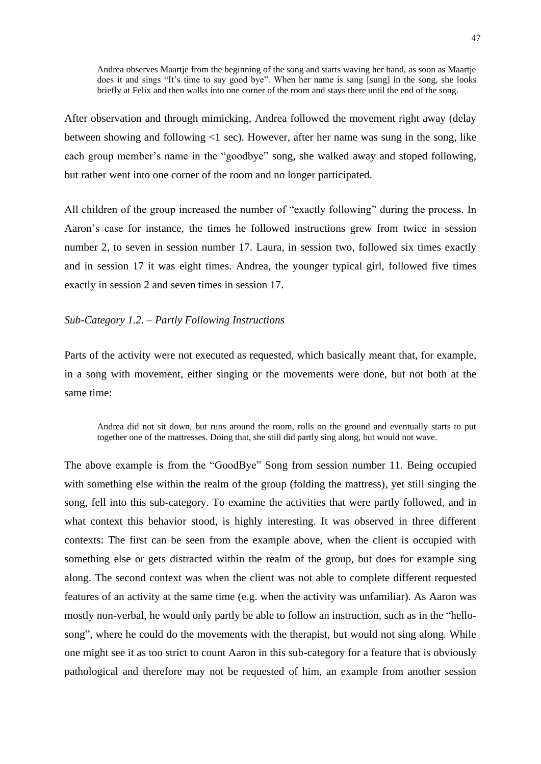Andrea observes Maartje from the beginning of the song and starts waving her hand, as soon as Maartje does it and sings "It's time to say good bye". When her name is sang [sung] in the song, she looks briefly at Felix and then walks into one corner of the room and stays there until the end of the song.

After observation and through mimicking, Andrea followed the movement right away (delay between showing and following <1 sec). However, after her name was sung in the song, like each group member's name in the "goodbye" song, she walked away and stoped following, but rather went into one corner of the room and no longer participated.

All children of the group increased the number of "exactly following" during the process. In Aaron's case for instance, the times he followed instructions grew from twice in session number 2, to seven in session number 17. Laura, in session two, followed six times exactly and in session 17 it was eight times. Andrea, the younger typical girl, followed five times exactly in session 2 and seven times in session 17.

#### *Sub-Category 1.2. – Partly Following Instructions*

Parts of the activity were not executed as requested, which basically meant that, for example, in a song with movement, either singing or the movements were done, but not both at the same time:

Andrea did not sit down, but runs around the room, rolls on the ground and eventually starts to put together one of the mattresses. Doing that, she still did partly sing along, but would not wave.

The above example is from the "GoodBye" Song from session number 11. Being occupied with something else within the realm of the group (folding the mattress), yet still singing the song, fell into this sub-category. To examine the activities that were partly followed, and in what context this behavior stood, is highly interesting. It was observed in three different contexts: The first can be seen from the example above, when the client is occupied with something else or gets distracted within the realm of the group, but does for example sing along. The second context was when the client was not able to complete different requested features of an activity at the same time (e.g. when the activity was unfamiliar). As Aaron was mostly non-verbal, he would only partly be able to follow an instruction, such as in the "hellosong", where he could do the movements with the therapist, but would not sing along. While one might see it as too strict to count Aaron in this sub-category for a feature that is obviously pathological and therefore may not be requested of him, an example from another session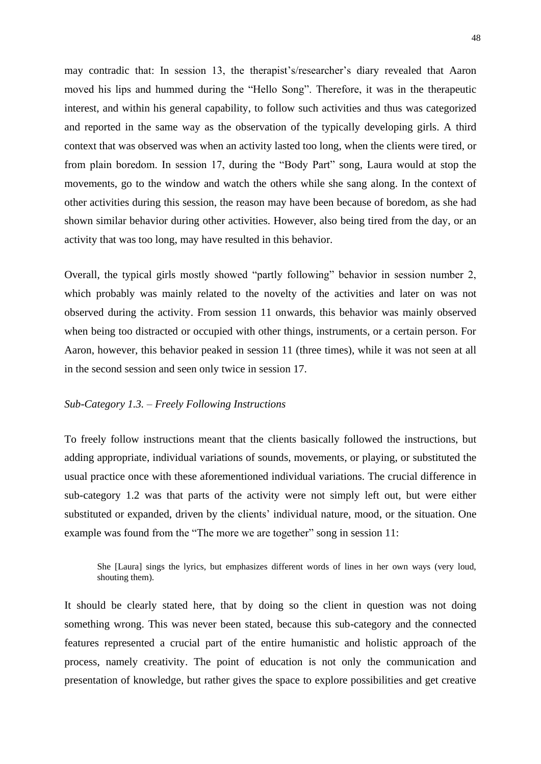may contradic that: In session 13, the therapist's/researcher's diary revealed that Aaron moved his lips and hummed during the "Hello Song". Therefore, it was in the therapeutic interest, and within his general capability, to follow such activities and thus was categorized and reported in the same way as the observation of the typically developing girls. A third context that was observed was when an activity lasted too long, when the clients were tired, or from plain boredom. In session 17, during the "Body Part" song, Laura would at stop the movements, go to the window and watch the others while she sang along. In the context of other activities during this session, the reason may have been because of boredom, as she had shown similar behavior during other activities. However, also being tired from the day, or an activity that was too long, may have resulted in this behavior.

Overall, the typical girls mostly showed "partly following" behavior in session number 2, which probably was mainly related to the novelty of the activities and later on was not observed during the activity. From session 11 onwards, this behavior was mainly observed when being too distracted or occupied with other things, instruments, or a certain person. For Aaron, however, this behavior peaked in session 11 (three times), while it was not seen at all in the second session and seen only twice in session 17.

## *Sub-Category 1.3. – Freely Following Instructions*

To freely follow instructions meant that the clients basically followed the instructions, but adding appropriate, individual variations of sounds, movements, or playing, or substituted the usual practice once with these aforementioned individual variations. The crucial difference in sub-category 1.2 was that parts of the activity were not simply left out, but were either substituted or expanded, driven by the clients' individual nature, mood, or the situation. One example was found from the "The more we are together" song in session 11:

She [Laura] sings the lyrics, but emphasizes different words of lines in her own ways (very loud, shouting them).

It should be clearly stated here, that by doing so the client in question was not doing something wrong. This was never been stated, because this sub-category and the connected features represented a crucial part of the entire humanistic and holistic approach of the process, namely creativity. The point of education is not only the communication and presentation of knowledge, but rather gives the space to explore possibilities and get creative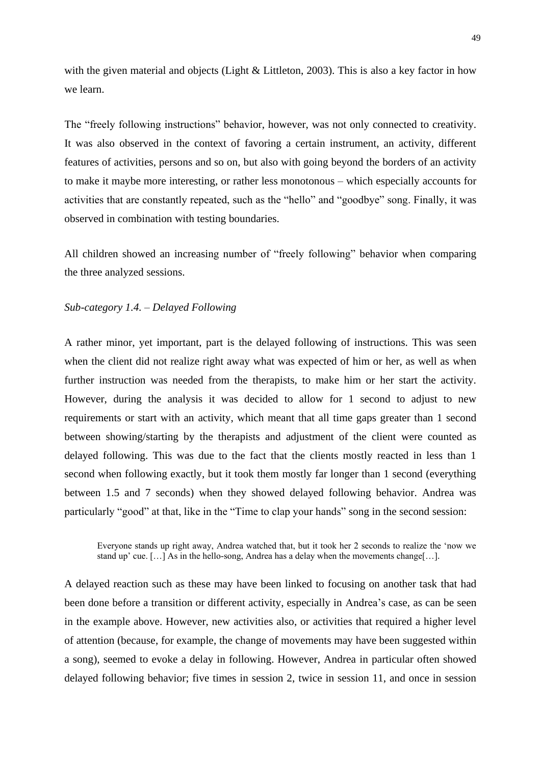with the given material and objects (Light & Littleton, 2003). This is also a key factor in how we learn.

The "freely following instructions" behavior, however, was not only connected to creativity. It was also observed in the context of favoring a certain instrument, an activity, different features of activities, persons and so on, but also with going beyond the borders of an activity to make it maybe more interesting, or rather less monotonous – which especially accounts for activities that are constantly repeated, such as the "hello" and "goodbye" song. Finally, it was observed in combination with testing boundaries.

All children showed an increasing number of "freely following" behavior when comparing the three analyzed sessions.

#### *Sub-category 1.4. – Delayed Following*

A rather minor, yet important, part is the delayed following of instructions. This was seen when the client did not realize right away what was expected of him or her, as well as when further instruction was needed from the therapists, to make him or her start the activity. However, during the analysis it was decided to allow for 1 second to adjust to new requirements or start with an activity, which meant that all time gaps greater than 1 second between showing/starting by the therapists and adjustment of the client were counted as delayed following. This was due to the fact that the clients mostly reacted in less than 1 second when following exactly, but it took them mostly far longer than 1 second (everything between 1.5 and 7 seconds) when they showed delayed following behavior. Andrea was particularly "good" at that, like in the "Time to clap your hands" song in the second session:

Everyone stands up right away, Andrea watched that, but it took her 2 seconds to realize the 'now we stand up' cue.  $[\ldots]$  As in the hello-song, Andrea has a delay when the movements change $[\ldots]$ .

A delayed reaction such as these may have been linked to focusing on another task that had been done before a transition or different activity, especially in Andrea's case, as can be seen in the example above. However, new activities also, or activities that required a higher level of attention (because, for example, the change of movements may have been suggested within a song), seemed to evoke a delay in following. However, Andrea in particular often showed delayed following behavior; five times in session 2, twice in session 11, and once in session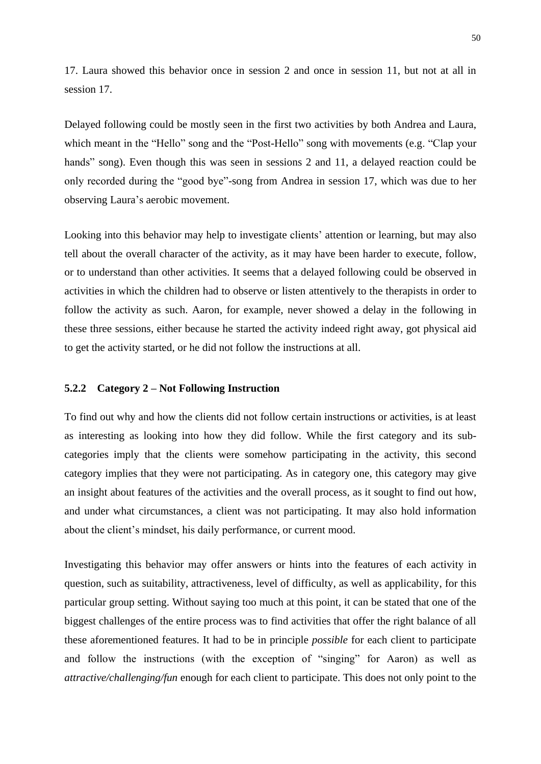17. Laura showed this behavior once in session 2 and once in session 11, but not at all in session 17.

Delayed following could be mostly seen in the first two activities by both Andrea and Laura, which meant in the "Hello" song and the "Post-Hello" song with movements (e.g. "Clap your hands" song). Even though this was seen in sessions 2 and 11, a delayed reaction could be only recorded during the "good bye"-song from Andrea in session 17, which was due to her observing Laura's aerobic movement.

Looking into this behavior may help to investigate clients' attention or learning, but may also tell about the overall character of the activity, as it may have been harder to execute, follow, or to understand than other activities. It seems that a delayed following could be observed in activities in which the children had to observe or listen attentively to the therapists in order to follow the activity as such. Aaron, for example, never showed a delay in the following in these three sessions, either because he started the activity indeed right away, got physical aid to get the activity started, or he did not follow the instructions at all.

#### **5.2.2 Category 2 – Not Following Instruction**

To find out why and how the clients did not follow certain instructions or activities, is at least as interesting as looking into how they did follow. While the first category and its subcategories imply that the clients were somehow participating in the activity, this second category implies that they were not participating. As in category one, this category may give an insight about features of the activities and the overall process, as it sought to find out how, and under what circumstances, a client was not participating. It may also hold information about the client's mindset, his daily performance, or current mood.

Investigating this behavior may offer answers or hints into the features of each activity in question, such as suitability, attractiveness, level of difficulty, as well as applicability, for this particular group setting. Without saying too much at this point, it can be stated that one of the biggest challenges of the entire process was to find activities that offer the right balance of all these aforementioned features. It had to be in principle *possible* for each client to participate and follow the instructions (with the exception of "singing" for Aaron) as well as *attractive/challenging/fun* enough for each client to participate. This does not only point to the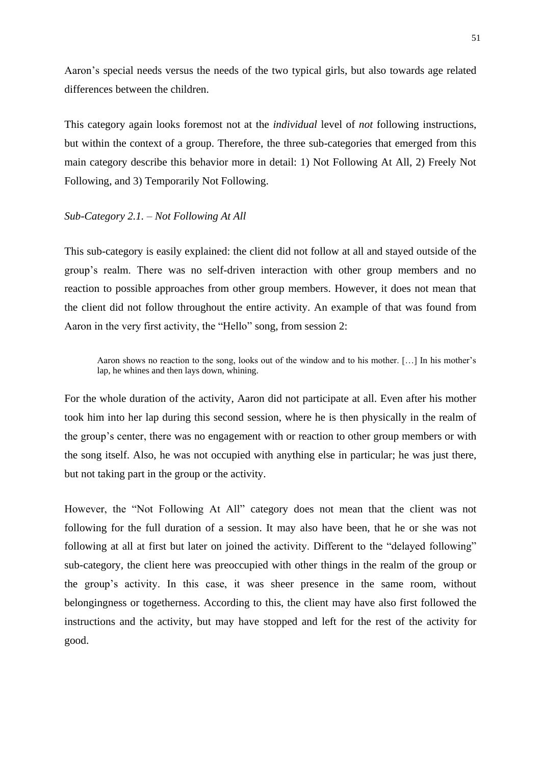Aaron's special needs versus the needs of the two typical girls, but also towards age related differences between the children.

This category again looks foremost not at the *individual* level of *not* following instructions, but within the context of a group. Therefore, the three sub-categories that emerged from this main category describe this behavior more in detail: 1) Not Following At All, 2) Freely Not Following, and 3) Temporarily Not Following.

### *Sub-Category 2.1. – Not Following At All*

This sub-category is easily explained: the client did not follow at all and stayed outside of the group's realm. There was no self-driven interaction with other group members and no reaction to possible approaches from other group members. However, it does not mean that the client did not follow throughout the entire activity. An example of that was found from Aaron in the very first activity, the "Hello" song, from session 2:

Aaron shows no reaction to the song, looks out of the window and to his mother. […] In his mother's lap, he whines and then lays down, whining.

For the whole duration of the activity, Aaron did not participate at all. Even after his mother took him into her lap during this second session, where he is then physically in the realm of the group's center, there was no engagement with or reaction to other group members or with the song itself. Also, he was not occupied with anything else in particular; he was just there, but not taking part in the group or the activity.

However, the "Not Following At All" category does not mean that the client was not following for the full duration of a session. It may also have been, that he or she was not following at all at first but later on joined the activity. Different to the "delayed following" sub-category, the client here was preoccupied with other things in the realm of the group or the group's activity. In this case, it was sheer presence in the same room, without belongingness or togetherness. According to this, the client may have also first followed the instructions and the activity, but may have stopped and left for the rest of the activity for good.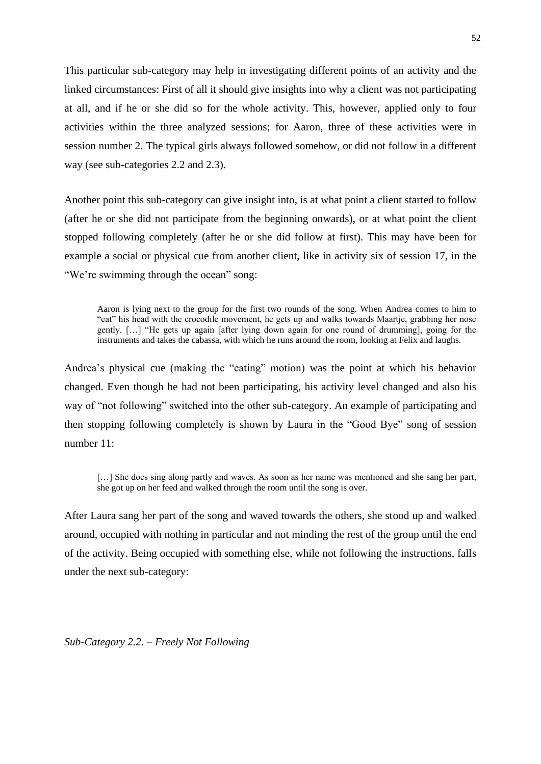This particular sub-category may help in investigating different points of an activity and the linked circumstances: First of all it should give insights into why a client was not participating at all, and if he or she did so for the whole activity. This, however, applied only to four activities within the three analyzed sessions; for Aaron, three of these activities were in session number 2. The typical girls always followed somehow, or did not follow in a different way (see sub-categories 2.2 and 2.3).

Another point this sub-category can give insight into, is at what point a client started to follow (after he or she did not participate from the beginning onwards), or at what point the client stopped following completely (after he or she did follow at first). This may have been for example a social or physical cue from another client, like in activity six of session 17, in the "We're swimming through the ocean" song:

Aaron is lying next to the group for the first two rounds of the song. When Andrea comes to him to "eat" his head with the crocodile movement, he gets up and walks towards Maartje, grabbing her nose gently. […] "He gets up again [after lying down again for one round of drumming], going for the instruments and takes the cabassa, with which he runs around the room, looking at Felix and laughs.

Andrea's physical cue (making the "eating" motion) was the point at which his behavior changed. Even though he had not been participating, his activity level changed and also his way of "not following" switched into the other sub-category. An example of participating and then stopping following completely is shown by Laura in the "Good Bye" song of session number 11:

[...] She does sing along partly and waves. As soon as her name was mentioned and she sang her part, she got up on her feed and walked through the room until the song is over.

After Laura sang her part of the song and waved towards the others, she stood up and walked around, occupied with nothing in particular and not minding the rest of the group until the end of the activity. Being occupied with something else, while not following the instructions, falls under the next sub-category:

*Sub-Category 2.2. – Freely Not Following*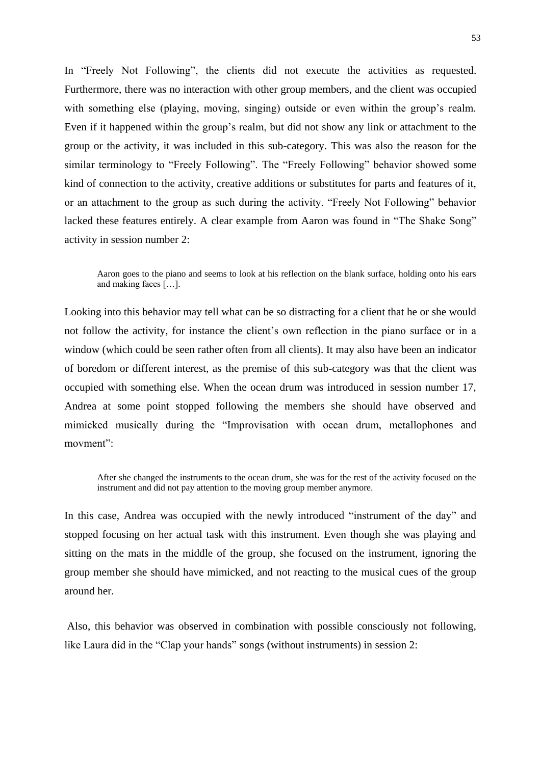In "Freely Not Following", the clients did not execute the activities as requested. Furthermore, there was no interaction with other group members, and the client was occupied with something else (playing, moving, singing) outside or even within the group's realm. Even if it happened within the group's realm, but did not show any link or attachment to the group or the activity, it was included in this sub-category. This was also the reason for the similar terminology to "Freely Following". The "Freely Following" behavior showed some kind of connection to the activity, creative additions or substitutes for parts and features of it, or an attachment to the group as such during the activity. "Freely Not Following" behavior lacked these features entirely. A clear example from Aaron was found in "The Shake Song" activity in session number 2:

Aaron goes to the piano and seems to look at his reflection on the blank surface, holding onto his ears and making faces […].

Looking into this behavior may tell what can be so distracting for a client that he or she would not follow the activity, for instance the client's own reflection in the piano surface or in a window (which could be seen rather often from all clients). It may also have been an indicator of boredom or different interest, as the premise of this sub-category was that the client was occupied with something else. When the ocean drum was introduced in session number 17, Andrea at some point stopped following the members she should have observed and mimicked musically during the "Improvisation with ocean drum, metallophones and movment":

After she changed the instruments to the ocean drum, she was for the rest of the activity focused on the instrument and did not pay attention to the moving group member anymore.

In this case, Andrea was occupied with the newly introduced "instrument of the day" and stopped focusing on her actual task with this instrument. Even though she was playing and sitting on the mats in the middle of the group, she focused on the instrument, ignoring the group member she should have mimicked, and not reacting to the musical cues of the group around her.

Also, this behavior was observed in combination with possible consciously not following, like Laura did in the "Clap your hands" songs (without instruments) in session 2: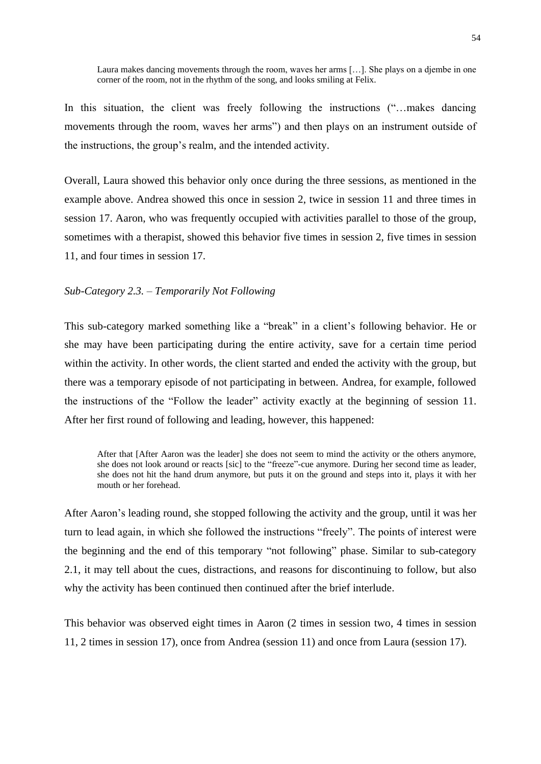Laura makes dancing movements through the room, waves her arms […]. She plays on a djembe in one corner of the room, not in the rhythm of the song, and looks smiling at Felix.

In this situation, the client was freely following the instructions ("...makes dancing movements through the room, waves her arms") and then plays on an instrument outside of the instructions, the group's realm, and the intended activity.

Overall, Laura showed this behavior only once during the three sessions, as mentioned in the example above. Andrea showed this once in session 2, twice in session 11 and three times in session 17. Aaron, who was frequently occupied with activities parallel to those of the group, sometimes with a therapist, showed this behavior five times in session 2, five times in session 11, and four times in session 17.

## *Sub-Category 2.3. – Temporarily Not Following*

This sub-category marked something like a "break" in a client's following behavior. He or she may have been participating during the entire activity, save for a certain time period within the activity. In other words, the client started and ended the activity with the group, but there was a temporary episode of not participating in between. Andrea, for example, followed the instructions of the "Follow the leader" activity exactly at the beginning of session 11. After her first round of following and leading, however, this happened:

After that [After Aaron was the leader] she does not seem to mind the activity or the others anymore, she does not look around or reacts [sic] to the "freeze"-cue anymore. During her second time as leader, she does not hit the hand drum anymore, but puts it on the ground and steps into it, plays it with her mouth or her forehead.

After Aaron's leading round, she stopped following the activity and the group, until it was her turn to lead again, in which she followed the instructions "freely". The points of interest were the beginning and the end of this temporary "not following" phase. Similar to sub-category 2.1, it may tell about the cues, distractions, and reasons for discontinuing to follow, but also why the activity has been continued then continued after the brief interlude.

This behavior was observed eight times in Aaron (2 times in session two, 4 times in session 11, 2 times in session 17), once from Andrea (session 11) and once from Laura (session 17).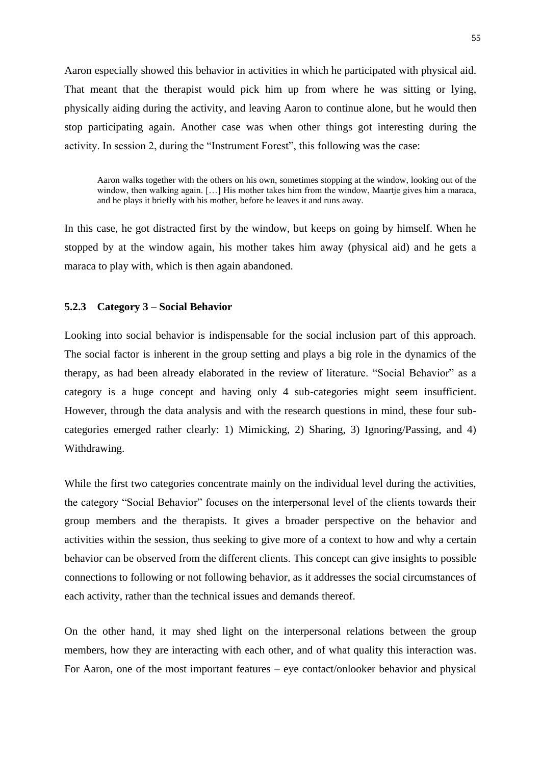Aaron especially showed this behavior in activities in which he participated with physical aid. That meant that the therapist would pick him up from where he was sitting or lying, physically aiding during the activity, and leaving Aaron to continue alone, but he would then stop participating again. Another case was when other things got interesting during the activity. In session 2, during the "Instrument Forest", this following was the case:

Aaron walks together with the others on his own, sometimes stopping at the window, looking out of the window, then walking again. [...] His mother takes him from the window, Maartje gives him a maraca, and he plays it briefly with his mother, before he leaves it and runs away.

In this case, he got distracted first by the window, but keeps on going by himself. When he stopped by at the window again, his mother takes him away (physical aid) and he gets a maraca to play with, which is then again abandoned.

### **5.2.3 Category 3 – Social Behavior**

Looking into social behavior is indispensable for the social inclusion part of this approach. The social factor is inherent in the group setting and plays a big role in the dynamics of the therapy, as had been already elaborated in the review of literature. "Social Behavior" as a category is a huge concept and having only 4 sub-categories might seem insufficient. However, through the data analysis and with the research questions in mind, these four subcategories emerged rather clearly: 1) Mimicking, 2) Sharing, 3) Ignoring/Passing, and 4) Withdrawing.

While the first two categories concentrate mainly on the individual level during the activities, the category "Social Behavior" focuses on the interpersonal level of the clients towards their group members and the therapists. It gives a broader perspective on the behavior and activities within the session, thus seeking to give more of a context to how and why a certain behavior can be observed from the different clients. This concept can give insights to possible connections to following or not following behavior, as it addresses the social circumstances of each activity, rather than the technical issues and demands thereof.

On the other hand, it may shed light on the interpersonal relations between the group members, how they are interacting with each other, and of what quality this interaction was. For Aaron, one of the most important features – eye contact/onlooker behavior and physical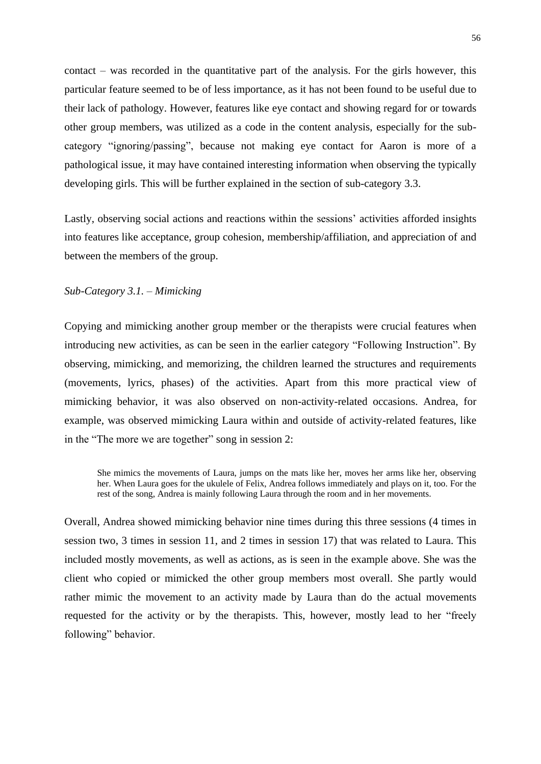contact – was recorded in the quantitative part of the analysis. For the girls however, this particular feature seemed to be of less importance, as it has not been found to be useful due to their lack of pathology. However, features like eye contact and showing regard for or towards other group members, was utilized as a code in the content analysis, especially for the subcategory "ignoring/passing", because not making eye contact for Aaron is more of a pathological issue, it may have contained interesting information when observing the typically developing girls. This will be further explained in the section of sub-category 3.3.

Lastly, observing social actions and reactions within the sessions' activities afforded insights into features like acceptance, group cohesion, membership/affiliation, and appreciation of and between the members of the group.

## *Sub-Category 3.1. – Mimicking*

Copying and mimicking another group member or the therapists were crucial features when introducing new activities, as can be seen in the earlier category "Following Instruction". By observing, mimicking, and memorizing, the children learned the structures and requirements (movements, lyrics, phases) of the activities. Apart from this more practical view of mimicking behavior, it was also observed on non-activity-related occasions. Andrea, for example, was observed mimicking Laura within and outside of activity-related features, like in the "The more we are together" song in session 2:

She mimics the movements of Laura, jumps on the mats like her, moves her arms like her, observing her. When Laura goes for the ukulele of Felix, Andrea follows immediately and plays on it, too. For the rest of the song, Andrea is mainly following Laura through the room and in her movements.

Overall, Andrea showed mimicking behavior nine times during this three sessions (4 times in session two, 3 times in session 11, and 2 times in session 17) that was related to Laura. This included mostly movements, as well as actions, as is seen in the example above. She was the client who copied or mimicked the other group members most overall. She partly would rather mimic the movement to an activity made by Laura than do the actual movements requested for the activity or by the therapists. This, however, mostly lead to her "freely following" behavior.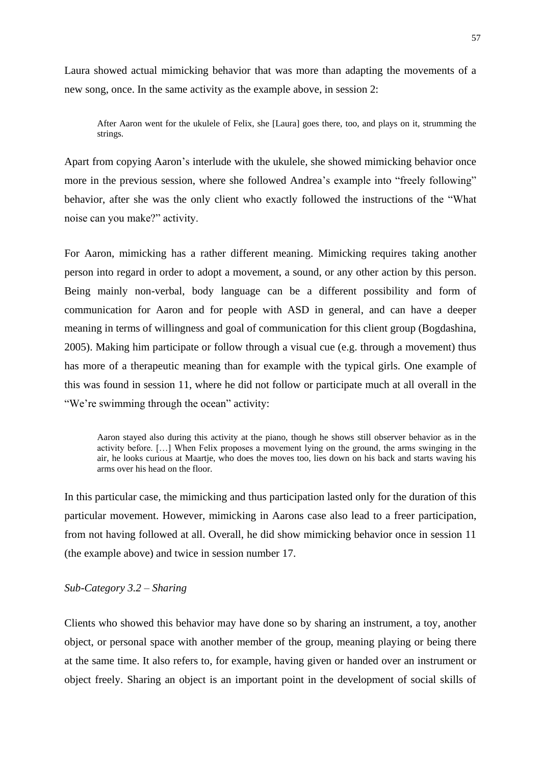Laura showed actual mimicking behavior that was more than adapting the movements of a new song, once. In the same activity as the example above, in session 2:

After Aaron went for the ukulele of Felix, she [Laura] goes there, too, and plays on it, strumming the strings.

Apart from copying Aaron's interlude with the ukulele, she showed mimicking behavior once more in the previous session, where she followed Andrea's example into "freely following" behavior, after she was the only client who exactly followed the instructions of the "What noise can you make?" activity.

For Aaron, mimicking has a rather different meaning. Mimicking requires taking another person into regard in order to adopt a movement, a sound, or any other action by this person. Being mainly non-verbal, body language can be a different possibility and form of communication for Aaron and for people with ASD in general, and can have a deeper meaning in terms of willingness and goal of communication for this client group (Bogdashina, 2005). Making him participate or follow through a visual cue (e.g. through a movement) thus has more of a therapeutic meaning than for example with the typical girls. One example of this was found in session 11, where he did not follow or participate much at all overall in the "We're swimming through the ocean" activity:

Aaron stayed also during this activity at the piano, though he shows still observer behavior as in the activity before. […] When Felix proposes a movement lying on the ground, the arms swinging in the air, he looks curious at Maartje, who does the moves too, lies down on his back and starts waving his arms over his head on the floor.

In this particular case, the mimicking and thus participation lasted only for the duration of this particular movement. However, mimicking in Aarons case also lead to a freer participation, from not having followed at all. Overall, he did show mimicking behavior once in session 11 (the example above) and twice in session number 17.

#### *Sub-Category 3.2 – Sharing*

Clients who showed this behavior may have done so by sharing an instrument, a toy, another object, or personal space with another member of the group, meaning playing or being there at the same time. It also refers to, for example, having given or handed over an instrument or object freely. Sharing an object is an important point in the development of social skills of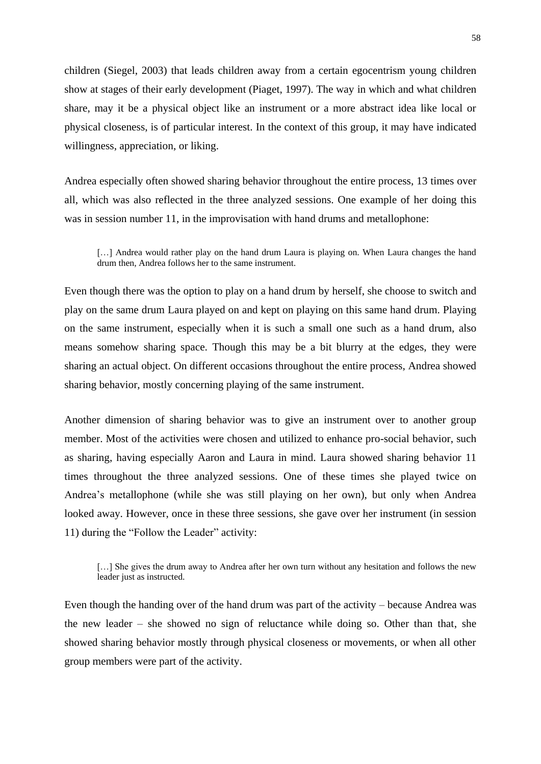children (Siegel, 2003) that leads children away from a certain egocentrism young children show at stages of their early development (Piaget, 1997). The way in which and what children share, may it be a physical object like an instrument or a more abstract idea like local or physical closeness, is of particular interest. In the context of this group, it may have indicated willingness, appreciation, or liking.

Andrea especially often showed sharing behavior throughout the entire process, 13 times over all, which was also reflected in the three analyzed sessions. One example of her doing this was in session number 11, in the improvisation with hand drums and metallophone:

[...] Andrea would rather play on the hand drum Laura is playing on. When Laura changes the hand drum then, Andrea follows her to the same instrument.

Even though there was the option to play on a hand drum by herself, she choose to switch and play on the same drum Laura played on and kept on playing on this same hand drum. Playing on the same instrument, especially when it is such a small one such as a hand drum, also means somehow sharing space. Though this may be a bit blurry at the edges, they were sharing an actual object. On different occasions throughout the entire process, Andrea showed sharing behavior, mostly concerning playing of the same instrument.

Another dimension of sharing behavior was to give an instrument over to another group member. Most of the activities were chosen and utilized to enhance pro-social behavior, such as sharing, having especially Aaron and Laura in mind. Laura showed sharing behavior 11 times throughout the three analyzed sessions. One of these times she played twice on Andrea's metallophone (while she was still playing on her own), but only when Andrea looked away. However, once in these three sessions, she gave over her instrument (in session 11) during the "Follow the Leader" activity:

[...] She gives the drum away to Andrea after her own turn without any hesitation and follows the new leader just as instructed.

Even though the handing over of the hand drum was part of the activity – because Andrea was the new leader – she showed no sign of reluctance while doing so. Other than that, she showed sharing behavior mostly through physical closeness or movements, or when all other group members were part of the activity.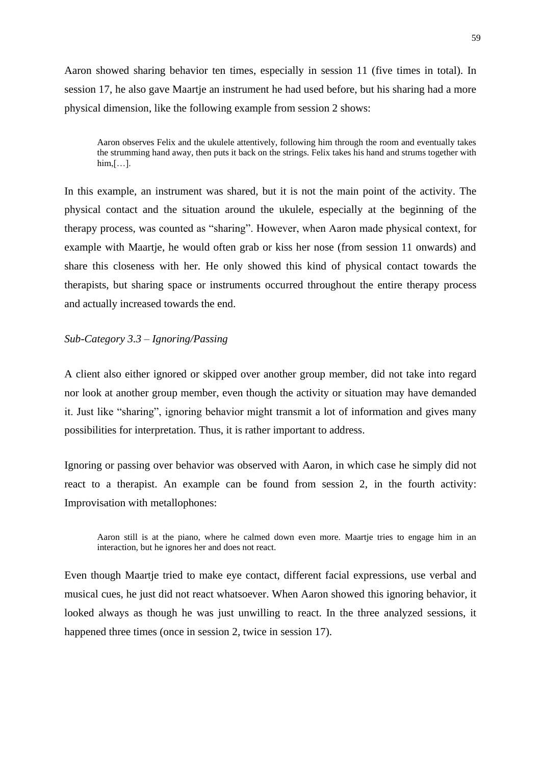Aaron showed sharing behavior ten times, especially in session 11 (five times in total). In session 17, he also gave Maartje an instrument he had used before, but his sharing had a more physical dimension, like the following example from session 2 shows:

Aaron observes Felix and the ukulele attentively, following him through the room and eventually takes the strumming hand away, then puts it back on the strings. Felix takes his hand and strums together with  $him, [\ldots]$ .

In this example, an instrument was shared, but it is not the main point of the activity. The physical contact and the situation around the ukulele, especially at the beginning of the therapy process, was counted as "sharing". However, when Aaron made physical context, for example with Maartje, he would often grab or kiss her nose (from session 11 onwards) and share this closeness with her. He only showed this kind of physical contact towards the therapists, but sharing space or instruments occurred throughout the entire therapy process and actually increased towards the end.

## *Sub-Category 3.3 – Ignoring/Passing*

A client also either ignored or skipped over another group member, did not take into regard nor look at another group member, even though the activity or situation may have demanded it. Just like "sharing", ignoring behavior might transmit a lot of information and gives many possibilities for interpretation. Thus, it is rather important to address.

Ignoring or passing over behavior was observed with Aaron, in which case he simply did not react to a therapist. An example can be found from session 2, in the fourth activity: Improvisation with metallophones:

Aaron still is at the piano, where he calmed down even more. Maartje tries to engage him in an interaction, but he ignores her and does not react.

Even though Maartje tried to make eye contact, different facial expressions, use verbal and musical cues, he just did not react whatsoever. When Aaron showed this ignoring behavior, it looked always as though he was just unwilling to react. In the three analyzed sessions, it happened three times (once in session 2, twice in session 17).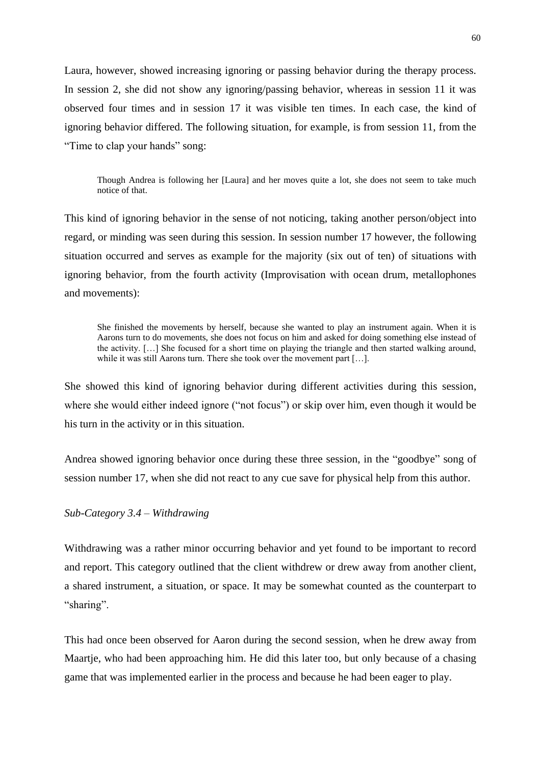Laura, however, showed increasing ignoring or passing behavior during the therapy process. In session 2, she did not show any ignoring/passing behavior, whereas in session 11 it was observed four times and in session 17 it was visible ten times. In each case, the kind of ignoring behavior differed. The following situation, for example, is from session 11, from the "Time to clap your hands" song:

Though Andrea is following her [Laura] and her moves quite a lot, she does not seem to take much notice of that.

This kind of ignoring behavior in the sense of not noticing, taking another person/object into regard, or minding was seen during this session. In session number 17 however, the following situation occurred and serves as example for the majority (six out of ten) of situations with ignoring behavior, from the fourth activity (Improvisation with ocean drum, metallophones and movements):

She finished the movements by herself, because she wanted to play an instrument again. When it is Aarons turn to do movements, she does not focus on him and asked for doing something else instead of the activity. […] She focused for a short time on playing the triangle and then started walking around, while it was still Aarons turn. There she took over the movement part [...].

She showed this kind of ignoring behavior during different activities during this session, where she would either indeed ignore ("not focus") or skip over him, even though it would be his turn in the activity or in this situation.

Andrea showed ignoring behavior once during these three session, in the "goodbye" song of session number 17, when she did not react to any cue save for physical help from this author.

## *Sub-Category 3.4 – Withdrawing*

Withdrawing was a rather minor occurring behavior and yet found to be important to record and report. This category outlined that the client withdrew or drew away from another client, a shared instrument, a situation, or space. It may be somewhat counted as the counterpart to "sharing".

This had once been observed for Aaron during the second session, when he drew away from Maartje, who had been approaching him. He did this later too, but only because of a chasing game that was implemented earlier in the process and because he had been eager to play.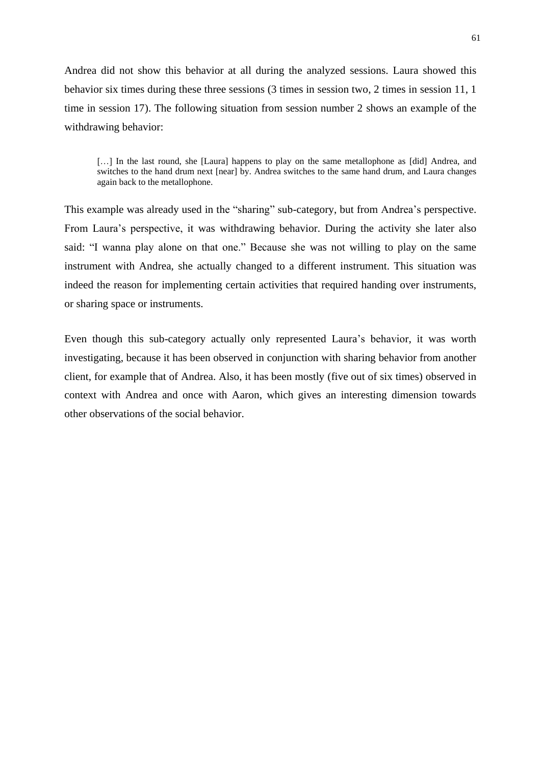Andrea did not show this behavior at all during the analyzed sessions. Laura showed this behavior six times during these three sessions (3 times in session two, 2 times in session 11, 1 time in session 17). The following situation from session number 2 shows an example of the withdrawing behavior:

[...] In the last round, she [Laura] happens to play on the same metallophone as [did] Andrea, and switches to the hand drum next [near] by. Andrea switches to the same hand drum, and Laura changes again back to the metallophone.

This example was already used in the "sharing" sub-category, but from Andrea's perspective. From Laura's perspective, it was withdrawing behavior. During the activity she later also said: "I wanna play alone on that one." Because she was not willing to play on the same instrument with Andrea, she actually changed to a different instrument. This situation was indeed the reason for implementing certain activities that required handing over instruments, or sharing space or instruments.

Even though this sub-category actually only represented Laura's behavior, it was worth investigating, because it has been observed in conjunction with sharing behavior from another client, for example that of Andrea. Also, it has been mostly (five out of six times) observed in context with Andrea and once with Aaron, which gives an interesting dimension towards other observations of the social behavior.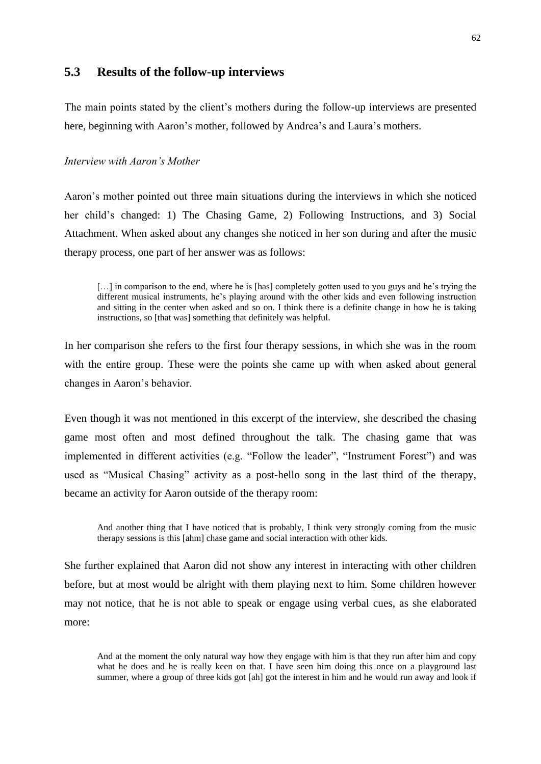## **5.3 Results of the follow-up interviews**

The main points stated by the client's mothers during the follow-up interviews are presented here, beginning with Aaron's mother, followed by Andrea's and Laura's mothers.

#### *Interview with Aaron's Mother*

Aaron's mother pointed out three main situations during the interviews in which she noticed her child's changed: 1) The Chasing Game, 2) Following Instructions, and 3) Social Attachment. When asked about any changes she noticed in her son during and after the music therapy process, one part of her answer was as follows:

[...] in comparison to the end, where he is [has] completely gotten used to you guys and he's trying the different musical instruments, he's playing around with the other kids and even following instruction and sitting in the center when asked and so on. I think there is a definite change in how he is taking instructions, so [that was] something that definitely was helpful.

In her comparison she refers to the first four therapy sessions, in which she was in the room with the entire group. These were the points she came up with when asked about general changes in Aaron's behavior.

Even though it was not mentioned in this excerpt of the interview, she described the chasing game most often and most defined throughout the talk. The chasing game that was implemented in different activities (e.g. "Follow the leader", "Instrument Forest") and was used as "Musical Chasing" activity as a post-hello song in the last third of the therapy, became an activity for Aaron outside of the therapy room:

And another thing that I have noticed that is probably, I think very strongly coming from the music therapy sessions is this [ahm] chase game and social interaction with other kids.

She further explained that Aaron did not show any interest in interacting with other children before, but at most would be alright with them playing next to him. Some children however may not notice, that he is not able to speak or engage using verbal cues, as she elaborated more:

And at the moment the only natural way how they engage with him is that they run after him and copy what he does and he is really keen on that. I have seen him doing this once on a playground last summer, where a group of three kids got [ah] got the interest in him and he would run away and look if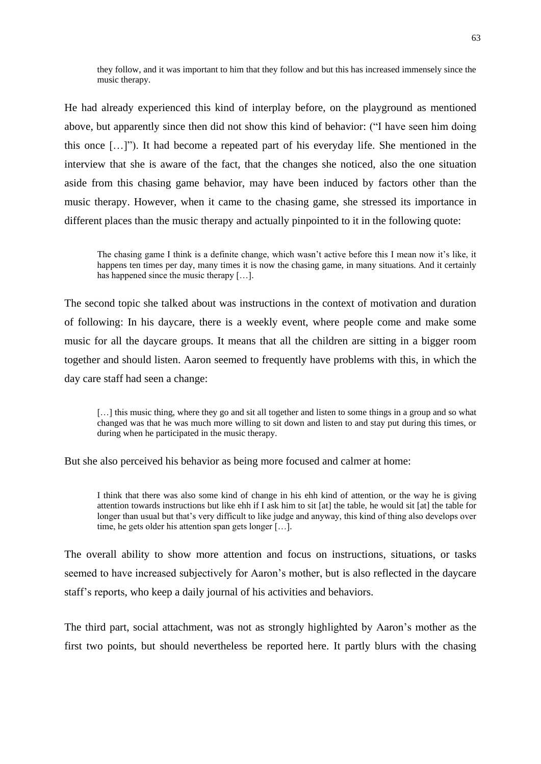they follow, and it was important to him that they follow and but this has increased immensely since the music therapy.

He had already experienced this kind of interplay before, on the playground as mentioned above, but apparently since then did not show this kind of behavior: ("I have seen him doing this once […]"). It had become a repeated part of his everyday life. She mentioned in the interview that she is aware of the fact, that the changes she noticed, also the one situation aside from this chasing game behavior, may have been induced by factors other than the music therapy. However, when it came to the chasing game, she stressed its importance in different places than the music therapy and actually pinpointed to it in the following quote:

The chasing game I think is a definite change, which wasn't active before this I mean now it's like, it happens ten times per day, many times it is now the chasing game, in many situations. And it certainly has happened since the music therapy [...].

The second topic she talked about was instructions in the context of motivation and duration of following: In his daycare, there is a weekly event, where people come and make some music for all the daycare groups. It means that all the children are sitting in a bigger room together and should listen. Aaron seemed to frequently have problems with this, in which the day care staff had seen a change:

[...] this music thing, where they go and sit all together and listen to some things in a group and so what changed was that he was much more willing to sit down and listen to and stay put during this times, or during when he participated in the music therapy.

But she also perceived his behavior as being more focused and calmer at home:

I think that there was also some kind of change in his ehh kind of attention, or the way he is giving attention towards instructions but like ehh if I ask him to sit [at] the table, he would sit [at] the table for longer than usual but that's very difficult to like judge and anyway, this kind of thing also develops over time, he gets older his attention span gets longer […].

The overall ability to show more attention and focus on instructions, situations, or tasks seemed to have increased subjectively for Aaron's mother, but is also reflected in the daycare staff's reports, who keep a daily journal of his activities and behaviors.

The third part, social attachment, was not as strongly highlighted by Aaron's mother as the first two points, but should nevertheless be reported here. It partly blurs with the chasing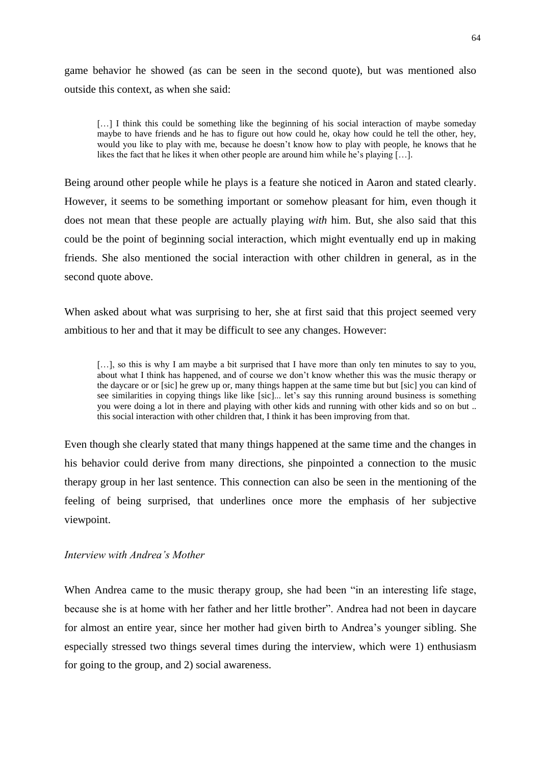game behavior he showed (as can be seen in the second quote), but was mentioned also outside this context, as when she said:

[...] I think this could be something like the beginning of his social interaction of maybe someday maybe to have friends and he has to figure out how could he, okay how could he tell the other, hey, would you like to play with me, because he doesn't know how to play with people, he knows that he likes the fact that he likes it when other people are around him while he's playing […].

Being around other people while he plays is a feature she noticed in Aaron and stated clearly. However, it seems to be something important or somehow pleasant for him, even though it does not mean that these people are actually playing *with* him. But, she also said that this could be the point of beginning social interaction, which might eventually end up in making friends. She also mentioned the social interaction with other children in general, as in the second quote above.

When asked about what was surprising to her, she at first said that this project seemed very ambitious to her and that it may be difficult to see any changes. However:

[...], so this is why I am maybe a bit surprised that I have more than only ten minutes to say to you, about what I think has happened, and of course we don't know whether this was the music therapy or the daycare or or [sic] he grew up or, many things happen at the same time but but [sic] you can kind of see similarities in copying things like like [sic]... let's say this running around business is something you were doing a lot in there and playing with other kids and running with other kids and so on but .. this social interaction with other children that, I think it has been improving from that.

Even though she clearly stated that many things happened at the same time and the changes in his behavior could derive from many directions, she pinpointed a connection to the music therapy group in her last sentence. This connection can also be seen in the mentioning of the feeling of being surprised, that underlines once more the emphasis of her subjective viewpoint.

### *Interview with Andrea's Mother*

When Andrea came to the music therapy group, she had been "in an interesting life stage, because she is at home with her father and her little brother". Andrea had not been in daycare for almost an entire year, since her mother had given birth to Andrea's younger sibling. She especially stressed two things several times during the interview, which were 1) enthusiasm for going to the group, and 2) social awareness.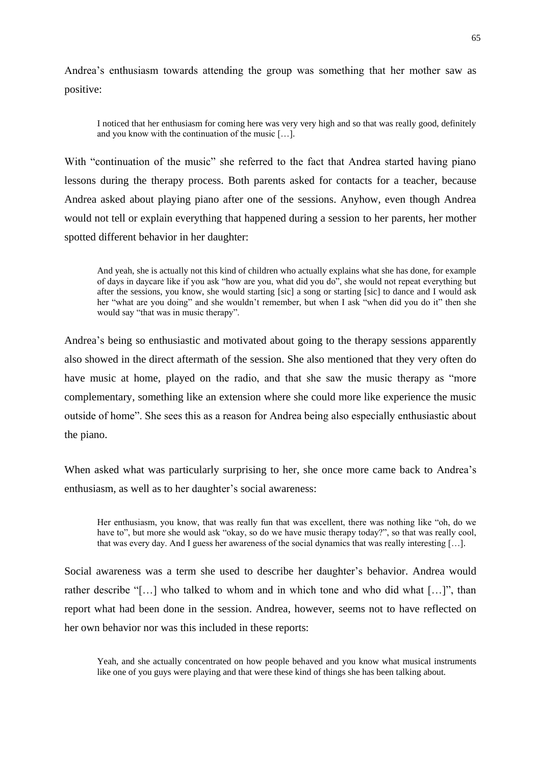Andrea's enthusiasm towards attending the group was something that her mother saw as positive:

I noticed that her enthusiasm for coming here was very very high and so that was really good, definitely and you know with the continuation of the music […].

With "continuation of the music" she referred to the fact that Andrea started having piano lessons during the therapy process. Both parents asked for contacts for a teacher, because Andrea asked about playing piano after one of the sessions. Anyhow, even though Andrea would not tell or explain everything that happened during a session to her parents, her mother spotted different behavior in her daughter:

And yeah, she is actually not this kind of children who actually explains what she has done, for example of days in daycare like if you ask "how are you, what did you do", she would not repeat everything but after the sessions, you know, she would starting [sic] a song or starting [sic] to dance and I would ask her "what are you doing" and she wouldn't remember, but when I ask "when did you do it" then she would say "that was in music therapy".

Andrea's being so enthusiastic and motivated about going to the therapy sessions apparently also showed in the direct aftermath of the session. She also mentioned that they very often do have music at home, played on the radio, and that she saw the music therapy as "more complementary, something like an extension where she could more like experience the music outside of home". She sees this as a reason for Andrea being also especially enthusiastic about the piano.

When asked what was particularly surprising to her, she once more came back to Andrea's enthusiasm, as well as to her daughter's social awareness:

Her enthusiasm, you know, that was really fun that was excellent, there was nothing like "oh, do we have to", but more she would ask "okay, so do we have music therapy today?", so that was really cool, that was every day. And I guess her awareness of the social dynamics that was really interesting […].

Social awareness was a term she used to describe her daughter's behavior. Andrea would rather describe "[…] who talked to whom and in which tone and who did what […]", than report what had been done in the session. Andrea, however, seems not to have reflected on her own behavior nor was this included in these reports:

Yeah, and she actually concentrated on how people behaved and you know what musical instruments like one of you guys were playing and that were these kind of things she has been talking about.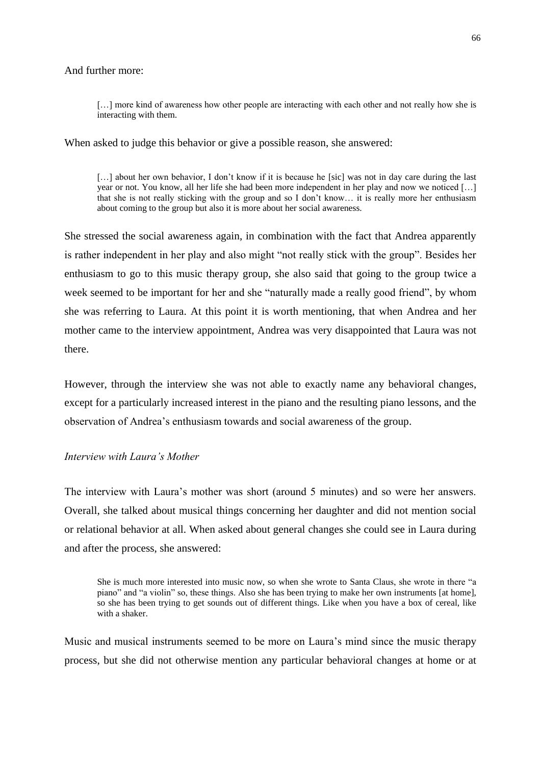### And further more:

[...] more kind of awareness how other people are interacting with each other and not really how she is interacting with them.

When asked to judge this behavior or give a possible reason, she answered:

[...] about her own behavior, I don't know if it is because he [sic] was not in day care during the last year or not. You know, all her life she had been more independent in her play and now we noticed […] that she is not really sticking with the group and so I don't know… it is really more her enthusiasm about coming to the group but also it is more about her social awareness.

She stressed the social awareness again, in combination with the fact that Andrea apparently is rather independent in her play and also might "not really stick with the group". Besides her enthusiasm to go to this music therapy group, she also said that going to the group twice a week seemed to be important for her and she "naturally made a really good friend", by whom she was referring to Laura. At this point it is worth mentioning, that when Andrea and her mother came to the interview appointment, Andrea was very disappointed that Laura was not there.

However, through the interview she was not able to exactly name any behavioral changes, except for a particularly increased interest in the piano and the resulting piano lessons, and the observation of Andrea's enthusiasm towards and social awareness of the group.

## *Interview with Laura's Mother*

The interview with Laura's mother was short (around 5 minutes) and so were her answers. Overall, she talked about musical things concerning her daughter and did not mention social or relational behavior at all. When asked about general changes she could see in Laura during and after the process, she answered:

She is much more interested into music now, so when she wrote to Santa Claus, she wrote in there "a piano" and "a violin" so, these things. Also she has been trying to make her own instruments [at home], so she has been trying to get sounds out of different things. Like when you have a box of cereal, like with a shaker.

Music and musical instruments seemed to be more on Laura's mind since the music therapy process, but she did not otherwise mention any particular behavioral changes at home or at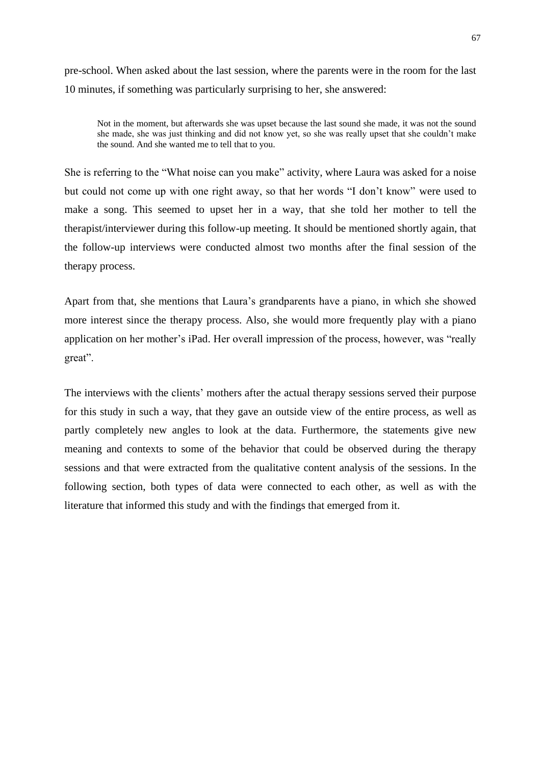pre-school. When asked about the last session, where the parents were in the room for the last 10 minutes, if something was particularly surprising to her, she answered:

Not in the moment, but afterwards she was upset because the last sound she made, it was not the sound she made, she was just thinking and did not know yet, so she was really upset that she couldn't make the sound. And she wanted me to tell that to you.

She is referring to the "What noise can you make" activity, where Laura was asked for a noise but could not come up with one right away, so that her words "I don't know" were used to make a song. This seemed to upset her in a way, that she told her mother to tell the therapist/interviewer during this follow-up meeting. It should be mentioned shortly again, that the follow-up interviews were conducted almost two months after the final session of the therapy process.

Apart from that, she mentions that Laura's grandparents have a piano, in which she showed more interest since the therapy process. Also, she would more frequently play with a piano application on her mother's iPad. Her overall impression of the process, however, was "really great".

The interviews with the clients' mothers after the actual therapy sessions served their purpose for this study in such a way, that they gave an outside view of the entire process, as well as partly completely new angles to look at the data. Furthermore, the statements give new meaning and contexts to some of the behavior that could be observed during the therapy sessions and that were extracted from the qualitative content analysis of the sessions. In the following section, both types of data were connected to each other, as well as with the literature that informed this study and with the findings that emerged from it.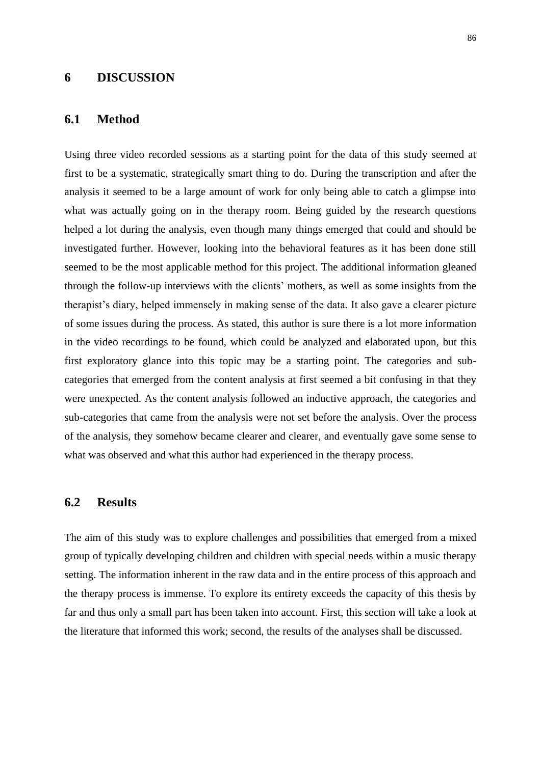## **6 DISCUSSION**

## **6.1 Method**

Using three video recorded sessions as a starting point for the data of this study seemed at first to be a systematic, strategically smart thing to do. During the transcription and after the analysis it seemed to be a large amount of work for only being able to catch a glimpse into what was actually going on in the therapy room. Being guided by the research questions helped a lot during the analysis, even though many things emerged that could and should be investigated further. However, looking into the behavioral features as it has been done still seemed to be the most applicable method for this project. The additional information gleaned through the follow-up interviews with the clients' mothers, as well as some insights from the therapist's diary, helped immensely in making sense of the data. It also gave a clearer picture of some issues during the process. As stated, this author is sure there is a lot more information in the video recordings to be found, which could be analyzed and elaborated upon, but this first exploratory glance into this topic may be a starting point. The categories and subcategories that emerged from the content analysis at first seemed a bit confusing in that they were unexpected. As the content analysis followed an inductive approach, the categories and sub-categories that came from the analysis were not set before the analysis. Over the process of the analysis, they somehow became clearer and clearer, and eventually gave some sense to what was observed and what this author had experienced in the therapy process.

## **6.2 Results**

The aim of this study was to explore challenges and possibilities that emerged from a mixed group of typically developing children and children with special needs within a music therapy setting. The information inherent in the raw data and in the entire process of this approach and the therapy process is immense. To explore its entirety exceeds the capacity of this thesis by far and thus only a small part has been taken into account. First, this section will take a look at the literature that informed this work; second, the results of the analyses shall be discussed.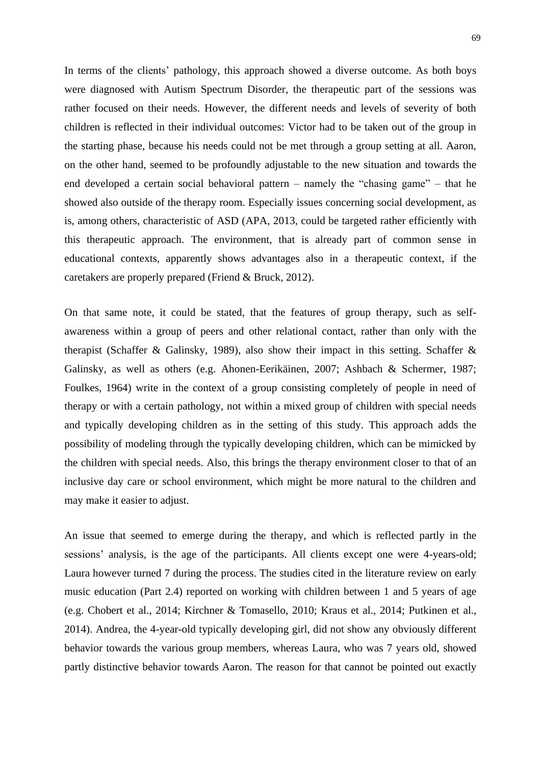In terms of the clients' pathology, this approach showed a diverse outcome. As both boys were diagnosed with Autism Spectrum Disorder, the therapeutic part of the sessions was rather focused on their needs. However, the different needs and levels of severity of both children is reflected in their individual outcomes: Victor had to be taken out of the group in the starting phase, because his needs could not be met through a group setting at all. Aaron, on the other hand, seemed to be profoundly adjustable to the new situation and towards the end developed a certain social behavioral pattern – namely the "chasing game" – that he showed also outside of the therapy room. Especially issues concerning social development, as is, among others, characteristic of ASD (APA, 2013, could be targeted rather efficiently with this therapeutic approach. The environment, that is already part of common sense in educational contexts, apparently shows advantages also in a therapeutic context, if the caretakers are properly prepared (Friend & Bruck, 2012).

On that same note, it could be stated, that the features of group therapy, such as selfawareness within a group of peers and other relational contact, rather than only with the therapist (Schaffer & Galinsky, 1989), also show their impact in this setting. Schaffer & Galinsky, as well as others (e.g. Ahonen-Eerikäinen, 2007; Ashbach & Schermer, 1987; Foulkes, 1964) write in the context of a group consisting completely of people in need of therapy or with a certain pathology, not within a mixed group of children with special needs and typically developing children as in the setting of this study. This approach adds the possibility of modeling through the typically developing children, which can be mimicked by the children with special needs. Also, this brings the therapy environment closer to that of an inclusive day care or school environment, which might be more natural to the children and may make it easier to adjust.

An issue that seemed to emerge during the therapy, and which is reflected partly in the sessions' analysis, is the age of the participants. All clients except one were 4-years-old; Laura however turned 7 during the process. The studies cited in the literature review on early music education (Part 2.4) reported on working with children between 1 and 5 years of age (e.g. Chobert et al., 2014; Kirchner & Tomasello, 2010; Kraus et al., 2014; Putkinen et al., 2014). Andrea, the 4-year-old typically developing girl, did not show any obviously different behavior towards the various group members, whereas Laura, who was 7 years old, showed partly distinctive behavior towards Aaron. The reason for that cannot be pointed out exactly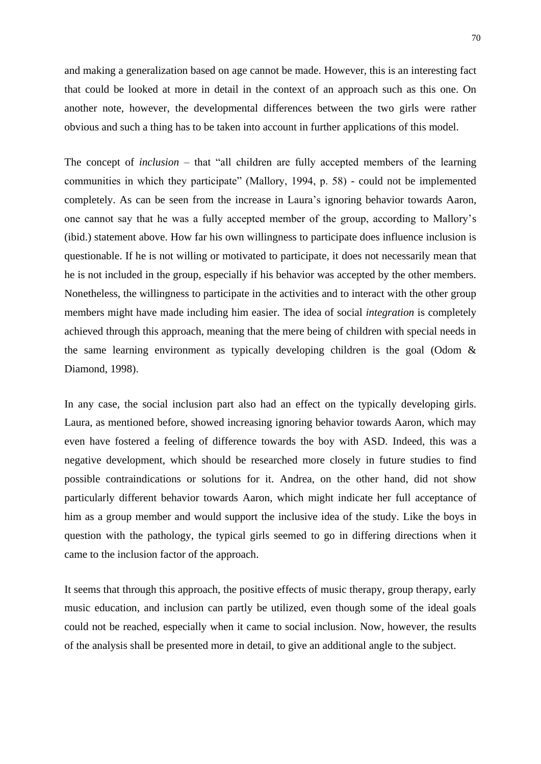and making a generalization based on age cannot be made. However, this is an interesting fact that could be looked at more in detail in the context of an approach such as this one. On another note, however, the developmental differences between the two girls were rather obvious and such a thing has to be taken into account in further applications of this model.

The concept of *inclusion* – that "all children are fully accepted members of the learning communities in which they participate" (Mallory, 1994, p. 58) - could not be implemented completely. As can be seen from the increase in Laura's ignoring behavior towards Aaron, one cannot say that he was a fully accepted member of the group, according to Mallory's (ibid.) statement above. How far his own willingness to participate does influence inclusion is questionable. If he is not willing or motivated to participate, it does not necessarily mean that he is not included in the group, especially if his behavior was accepted by the other members. Nonetheless, the willingness to participate in the activities and to interact with the other group members might have made including him easier. The idea of social *integration* is completely achieved through this approach, meaning that the mere being of children with special needs in the same learning environment as typically developing children is the goal (Odom & Diamond, 1998).

In any case, the social inclusion part also had an effect on the typically developing girls. Laura, as mentioned before, showed increasing ignoring behavior towards Aaron, which may even have fostered a feeling of difference towards the boy with ASD. Indeed, this was a negative development, which should be researched more closely in future studies to find possible contraindications or solutions for it. Andrea, on the other hand, did not show particularly different behavior towards Aaron, which might indicate her full acceptance of him as a group member and would support the inclusive idea of the study. Like the boys in question with the pathology, the typical girls seemed to go in differing directions when it came to the inclusion factor of the approach.

It seems that through this approach, the positive effects of music therapy, group therapy, early music education, and inclusion can partly be utilized, even though some of the ideal goals could not be reached, especially when it came to social inclusion. Now, however, the results of the analysis shall be presented more in detail, to give an additional angle to the subject.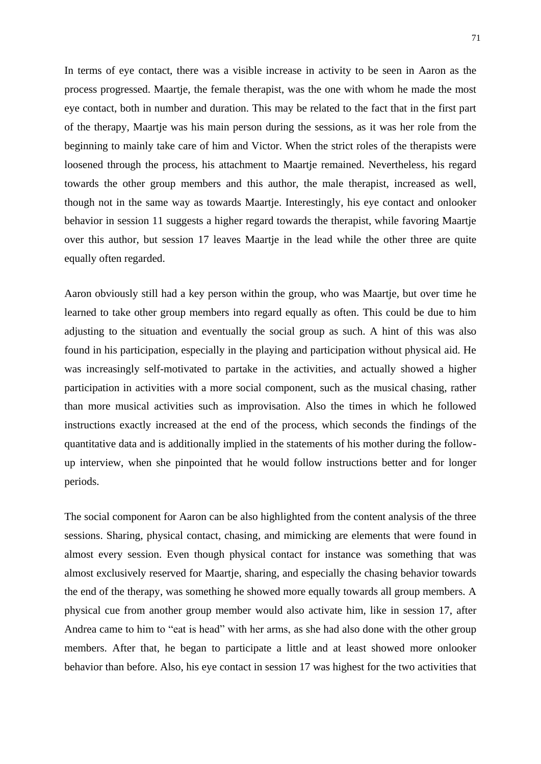In terms of eye contact, there was a visible increase in activity to be seen in Aaron as the process progressed. Maartje, the female therapist, was the one with whom he made the most eye contact, both in number and duration. This may be related to the fact that in the first part of the therapy, Maartje was his main person during the sessions, as it was her role from the beginning to mainly take care of him and Victor. When the strict roles of the therapists were loosened through the process, his attachment to Maartje remained. Nevertheless, his regard towards the other group members and this author, the male therapist, increased as well, though not in the same way as towards Maartje. Interestingly, his eye contact and onlooker behavior in session 11 suggests a higher regard towards the therapist, while favoring Maartje over this author, but session 17 leaves Maartje in the lead while the other three are quite equally often regarded.

Aaron obviously still had a key person within the group, who was Maartje, but over time he learned to take other group members into regard equally as often. This could be due to him adjusting to the situation and eventually the social group as such. A hint of this was also found in his participation, especially in the playing and participation without physical aid. He was increasingly self-motivated to partake in the activities, and actually showed a higher participation in activities with a more social component, such as the musical chasing, rather than more musical activities such as improvisation. Also the times in which he followed instructions exactly increased at the end of the process, which seconds the findings of the quantitative data and is additionally implied in the statements of his mother during the followup interview, when she pinpointed that he would follow instructions better and for longer periods.

The social component for Aaron can be also highlighted from the content analysis of the three sessions. Sharing, physical contact, chasing, and mimicking are elements that were found in almost every session. Even though physical contact for instance was something that was almost exclusively reserved for Maartje, sharing, and especially the chasing behavior towards the end of the therapy, was something he showed more equally towards all group members. A physical cue from another group member would also activate him, like in session 17, after Andrea came to him to "eat is head" with her arms, as she had also done with the other group members. After that, he began to participate a little and at least showed more onlooker behavior than before. Also, his eye contact in session 17 was highest for the two activities that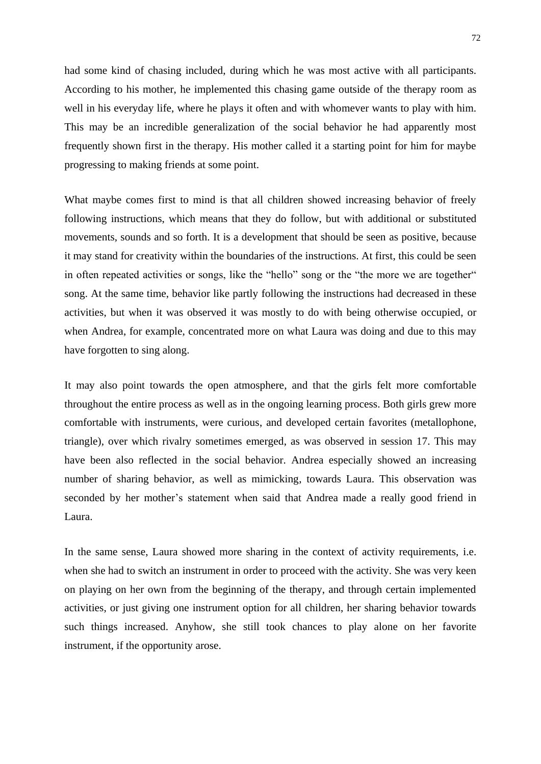had some kind of chasing included, during which he was most active with all participants. According to his mother, he implemented this chasing game outside of the therapy room as well in his everyday life, where he plays it often and with whomever wants to play with him. This may be an incredible generalization of the social behavior he had apparently most frequently shown first in the therapy. His mother called it a starting point for him for maybe progressing to making friends at some point.

What maybe comes first to mind is that all children showed increasing behavior of freely following instructions, which means that they do follow, but with additional or substituted movements, sounds and so forth. It is a development that should be seen as positive, because it may stand for creativity within the boundaries of the instructions. At first, this could be seen in often repeated activities or songs, like the "hello" song or the "the more we are together" song. At the same time, behavior like partly following the instructions had decreased in these activities, but when it was observed it was mostly to do with being otherwise occupied, or when Andrea, for example, concentrated more on what Laura was doing and due to this may have forgotten to sing along.

It may also point towards the open atmosphere, and that the girls felt more comfortable throughout the entire process as well as in the ongoing learning process. Both girls grew more comfortable with instruments, were curious, and developed certain favorites (metallophone, triangle), over which rivalry sometimes emerged, as was observed in session 17. This may have been also reflected in the social behavior. Andrea especially showed an increasing number of sharing behavior, as well as mimicking, towards Laura. This observation was seconded by her mother's statement when said that Andrea made a really good friend in Laura.

In the same sense, Laura showed more sharing in the context of activity requirements, i.e. when she had to switch an instrument in order to proceed with the activity. She was very keen on playing on her own from the beginning of the therapy, and through certain implemented activities, or just giving one instrument option for all children, her sharing behavior towards such things increased. Anyhow, she still took chances to play alone on her favorite instrument, if the opportunity arose.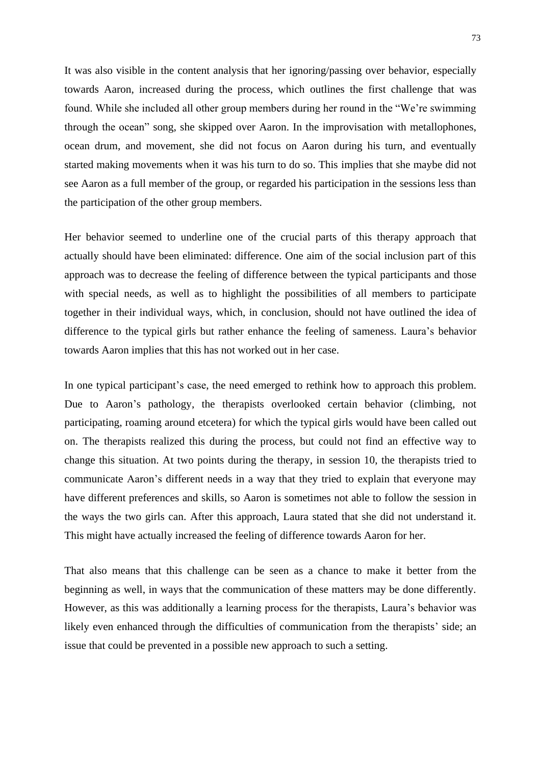It was also visible in the content analysis that her ignoring/passing over behavior, especially towards Aaron, increased during the process, which outlines the first challenge that was found. While she included all other group members during her round in the "We're swimming through the ocean" song, she skipped over Aaron. In the improvisation with metallophones, ocean drum, and movement, she did not focus on Aaron during his turn, and eventually started making movements when it was his turn to do so. This implies that she maybe did not see Aaron as a full member of the group, or regarded his participation in the sessions less than the participation of the other group members.

Her behavior seemed to underline one of the crucial parts of this therapy approach that actually should have been eliminated: difference. One aim of the social inclusion part of this approach was to decrease the feeling of difference between the typical participants and those with special needs, as well as to highlight the possibilities of all members to participate together in their individual ways, which, in conclusion, should not have outlined the idea of difference to the typical girls but rather enhance the feeling of sameness. Laura's behavior towards Aaron implies that this has not worked out in her case.

In one typical participant's case, the need emerged to rethink how to approach this problem. Due to Aaron's pathology, the therapists overlooked certain behavior (climbing, not participating, roaming around etcetera) for which the typical girls would have been called out on. The therapists realized this during the process, but could not find an effective way to change this situation. At two points during the therapy, in session 10, the therapists tried to communicate Aaron's different needs in a way that they tried to explain that everyone may have different preferences and skills, so Aaron is sometimes not able to follow the session in the ways the two girls can. After this approach, Laura stated that she did not understand it. This might have actually increased the feeling of difference towards Aaron for her.

That also means that this challenge can be seen as a chance to make it better from the beginning as well, in ways that the communication of these matters may be done differently. However, as this was additionally a learning process for the therapists, Laura's behavior was likely even enhanced through the difficulties of communication from the therapists' side; an issue that could be prevented in a possible new approach to such a setting.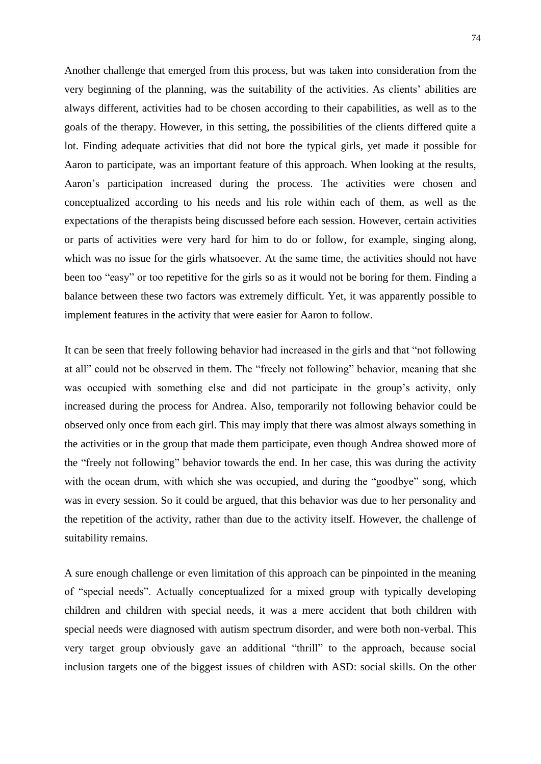Another challenge that emerged from this process, but was taken into consideration from the very beginning of the planning, was the suitability of the activities. As clients' abilities are always different, activities had to be chosen according to their capabilities, as well as to the goals of the therapy. However, in this setting, the possibilities of the clients differed quite a lot. Finding adequate activities that did not bore the typical girls, yet made it possible for Aaron to participate, was an important feature of this approach. When looking at the results, Aaron's participation increased during the process. The activities were chosen and conceptualized according to his needs and his role within each of them, as well as the expectations of the therapists being discussed before each session. However, certain activities or parts of activities were very hard for him to do or follow, for example, singing along, which was no issue for the girls whatsoever. At the same time, the activities should not have been too "easy" or too repetitive for the girls so as it would not be boring for them. Finding a balance between these two factors was extremely difficult. Yet, it was apparently possible to implement features in the activity that were easier for Aaron to follow.

It can be seen that freely following behavior had increased in the girls and that "not following at all" could not be observed in them. The "freely not following" behavior, meaning that she was occupied with something else and did not participate in the group's activity, only increased during the process for Andrea. Also, temporarily not following behavior could be observed only once from each girl. This may imply that there was almost always something in the activities or in the group that made them participate, even though Andrea showed more of the "freely not following" behavior towards the end. In her case, this was during the activity with the ocean drum, with which she was occupied, and during the "goodbye" song, which was in every session. So it could be argued, that this behavior was due to her personality and the repetition of the activity, rather than due to the activity itself. However, the challenge of suitability remains.

A sure enough challenge or even limitation of this approach can be pinpointed in the meaning of "special needs". Actually conceptualized for a mixed group with typically developing children and children with special needs, it was a mere accident that both children with special needs were diagnosed with autism spectrum disorder, and were both non-verbal. This very target group obviously gave an additional "thrill" to the approach, because social inclusion targets one of the biggest issues of children with ASD: social skills. On the other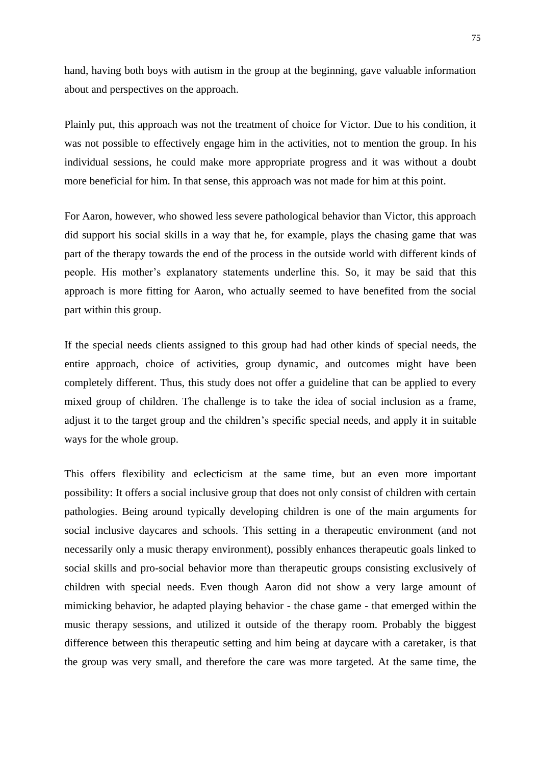hand, having both boys with autism in the group at the beginning, gave valuable information about and perspectives on the approach.

Plainly put, this approach was not the treatment of choice for Victor. Due to his condition, it was not possible to effectively engage him in the activities, not to mention the group. In his individual sessions, he could make more appropriate progress and it was without a doubt more beneficial for him. In that sense, this approach was not made for him at this point.

For Aaron, however, who showed less severe pathological behavior than Victor, this approach did support his social skills in a way that he, for example, plays the chasing game that was part of the therapy towards the end of the process in the outside world with different kinds of people. His mother's explanatory statements underline this. So, it may be said that this approach is more fitting for Aaron, who actually seemed to have benefited from the social part within this group.

If the special needs clients assigned to this group had had other kinds of special needs, the entire approach, choice of activities, group dynamic, and outcomes might have been completely different. Thus, this study does not offer a guideline that can be applied to every mixed group of children. The challenge is to take the idea of social inclusion as a frame, adjust it to the target group and the children's specific special needs, and apply it in suitable ways for the whole group.

This offers flexibility and eclecticism at the same time, but an even more important possibility: It offers a social inclusive group that does not only consist of children with certain pathologies. Being around typically developing children is one of the main arguments for social inclusive daycares and schools. This setting in a therapeutic environment (and not necessarily only a music therapy environment), possibly enhances therapeutic goals linked to social skills and pro-social behavior more than therapeutic groups consisting exclusively of children with special needs. Even though Aaron did not show a very large amount of mimicking behavior, he adapted playing behavior - the chase game - that emerged within the music therapy sessions, and utilized it outside of the therapy room. Probably the biggest difference between this therapeutic setting and him being at daycare with a caretaker, is that the group was very small, and therefore the care was more targeted. At the same time, the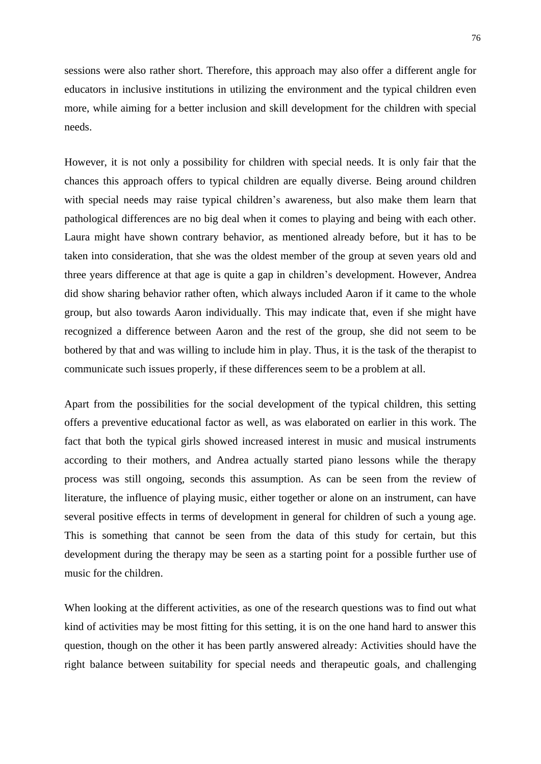sessions were also rather short. Therefore, this approach may also offer a different angle for educators in inclusive institutions in utilizing the environment and the typical children even more, while aiming for a better inclusion and skill development for the children with special needs.

However, it is not only a possibility for children with special needs. It is only fair that the chances this approach offers to typical children are equally diverse. Being around children with special needs may raise typical children's awareness, but also make them learn that pathological differences are no big deal when it comes to playing and being with each other. Laura might have shown contrary behavior, as mentioned already before, but it has to be taken into consideration, that she was the oldest member of the group at seven years old and three years difference at that age is quite a gap in children's development. However, Andrea did show sharing behavior rather often, which always included Aaron if it came to the whole group, but also towards Aaron individually. This may indicate that, even if she might have recognized a difference between Aaron and the rest of the group, she did not seem to be bothered by that and was willing to include him in play. Thus, it is the task of the therapist to communicate such issues properly, if these differences seem to be a problem at all.

Apart from the possibilities for the social development of the typical children, this setting offers a preventive educational factor as well, as was elaborated on earlier in this work. The fact that both the typical girls showed increased interest in music and musical instruments according to their mothers, and Andrea actually started piano lessons while the therapy process was still ongoing, seconds this assumption. As can be seen from the review of literature, the influence of playing music, either together or alone on an instrument, can have several positive effects in terms of development in general for children of such a young age. This is something that cannot be seen from the data of this study for certain, but this development during the therapy may be seen as a starting point for a possible further use of music for the children.

When looking at the different activities, as one of the research questions was to find out what kind of activities may be most fitting for this setting, it is on the one hand hard to answer this question, though on the other it has been partly answered already: Activities should have the right balance between suitability for special needs and therapeutic goals, and challenging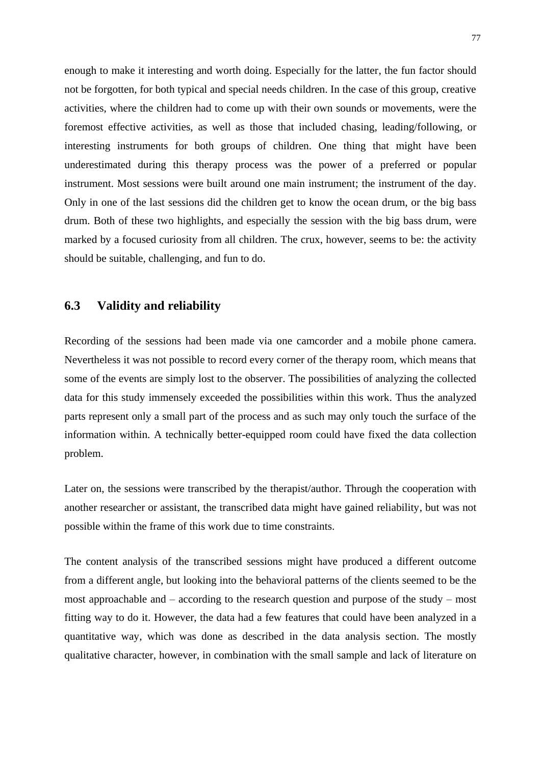enough to make it interesting and worth doing. Especially for the latter, the fun factor should not be forgotten, for both typical and special needs children. In the case of this group, creative activities, where the children had to come up with their own sounds or movements, were the foremost effective activities, as well as those that included chasing, leading/following, or interesting instruments for both groups of children. One thing that might have been underestimated during this therapy process was the power of a preferred or popular instrument. Most sessions were built around one main instrument; the instrument of the day. Only in one of the last sessions did the children get to know the ocean drum, or the big bass drum. Both of these two highlights, and especially the session with the big bass drum, were marked by a focused curiosity from all children. The crux, however, seems to be: the activity should be suitable, challenging, and fun to do.

## **6.3 Validity and reliability**

Recording of the sessions had been made via one camcorder and a mobile phone camera. Nevertheless it was not possible to record every corner of the therapy room, which means that some of the events are simply lost to the observer. The possibilities of analyzing the collected data for this study immensely exceeded the possibilities within this work. Thus the analyzed parts represent only a small part of the process and as such may only touch the surface of the information within. A technically better-equipped room could have fixed the data collection problem.

Later on, the sessions were transcribed by the therapist/author. Through the cooperation with another researcher or assistant, the transcribed data might have gained reliability, but was not possible within the frame of this work due to time constraints.

The content analysis of the transcribed sessions might have produced a different outcome from a different angle, but looking into the behavioral patterns of the clients seemed to be the most approachable and – according to the research question and purpose of the study – most fitting way to do it. However, the data had a few features that could have been analyzed in a quantitative way, which was done as described in the data analysis section. The mostly qualitative character, however, in combination with the small sample and lack of literature on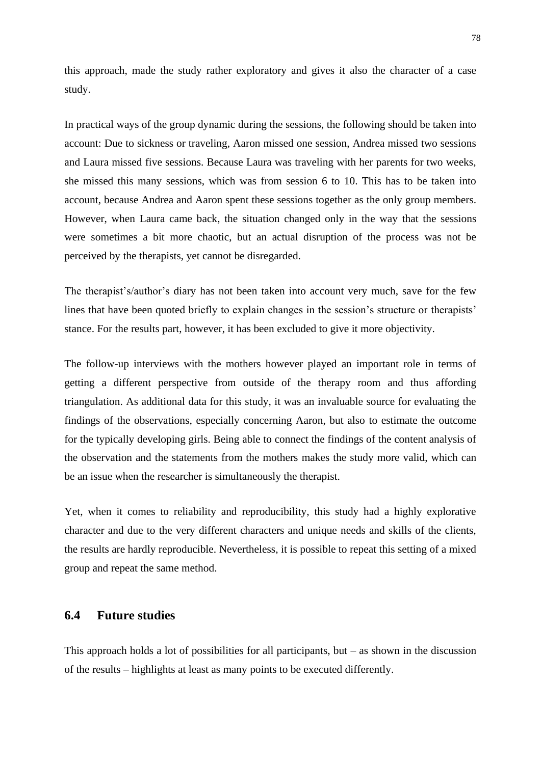this approach, made the study rather exploratory and gives it also the character of a case study.

In practical ways of the group dynamic during the sessions, the following should be taken into account: Due to sickness or traveling, Aaron missed one session, Andrea missed two sessions and Laura missed five sessions. Because Laura was traveling with her parents for two weeks, she missed this many sessions, which was from session 6 to 10. This has to be taken into account, because Andrea and Aaron spent these sessions together as the only group members. However, when Laura came back, the situation changed only in the way that the sessions were sometimes a bit more chaotic, but an actual disruption of the process was not be perceived by the therapists, yet cannot be disregarded.

The therapist's/author's diary has not been taken into account very much, save for the few lines that have been quoted briefly to explain changes in the session's structure or therapists' stance. For the results part, however, it has been excluded to give it more objectivity.

The follow-up interviews with the mothers however played an important role in terms of getting a different perspective from outside of the therapy room and thus affording triangulation. As additional data for this study, it was an invaluable source for evaluating the findings of the observations, especially concerning Aaron, but also to estimate the outcome for the typically developing girls. Being able to connect the findings of the content analysis of the observation and the statements from the mothers makes the study more valid, which can be an issue when the researcher is simultaneously the therapist.

Yet, when it comes to reliability and reproducibility, this study had a highly explorative character and due to the very different characters and unique needs and skills of the clients, the results are hardly reproducible. Nevertheless, it is possible to repeat this setting of a mixed group and repeat the same method.

## **6.4 Future studies**

This approach holds a lot of possibilities for all participants, but  $-$  as shown in the discussion of the results – highlights at least as many points to be executed differently.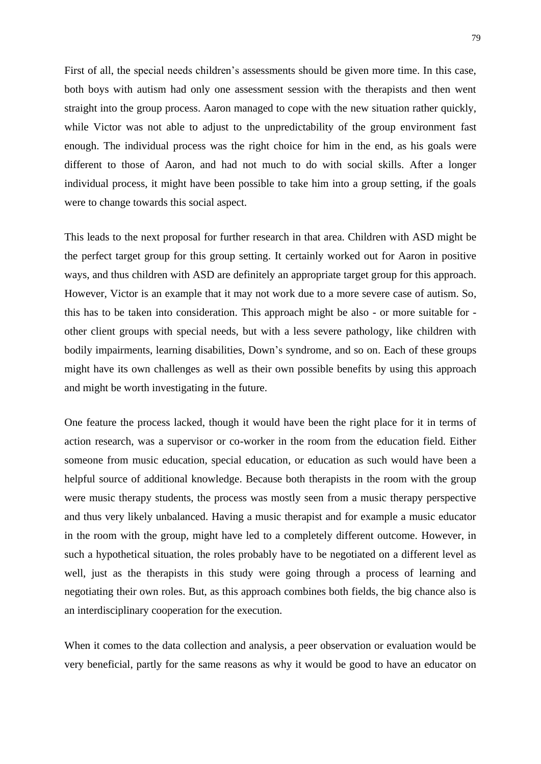First of all, the special needs children's assessments should be given more time. In this case, both boys with autism had only one assessment session with the therapists and then went straight into the group process. Aaron managed to cope with the new situation rather quickly, while Victor was not able to adjust to the unpredictability of the group environment fast enough. The individual process was the right choice for him in the end, as his goals were different to those of Aaron, and had not much to do with social skills. After a longer individual process, it might have been possible to take him into a group setting, if the goals were to change towards this social aspect.

This leads to the next proposal for further research in that area. Children with ASD might be the perfect target group for this group setting. It certainly worked out for Aaron in positive ways, and thus children with ASD are definitely an appropriate target group for this approach. However, Victor is an example that it may not work due to a more severe case of autism. So, this has to be taken into consideration. This approach might be also - or more suitable for other client groups with special needs, but with a less severe pathology, like children with bodily impairments, learning disabilities, Down's syndrome, and so on. Each of these groups might have its own challenges as well as their own possible benefits by using this approach and might be worth investigating in the future.

One feature the process lacked, though it would have been the right place for it in terms of action research, was a supervisor or co-worker in the room from the education field. Either someone from music education, special education, or education as such would have been a helpful source of additional knowledge. Because both therapists in the room with the group were music therapy students, the process was mostly seen from a music therapy perspective and thus very likely unbalanced. Having a music therapist and for example a music educator in the room with the group, might have led to a completely different outcome. However, in such a hypothetical situation, the roles probably have to be negotiated on a different level as well, just as the therapists in this study were going through a process of learning and negotiating their own roles. But, as this approach combines both fields, the big chance also is an interdisciplinary cooperation for the execution.

When it comes to the data collection and analysis, a peer observation or evaluation would be very beneficial, partly for the same reasons as why it would be good to have an educator on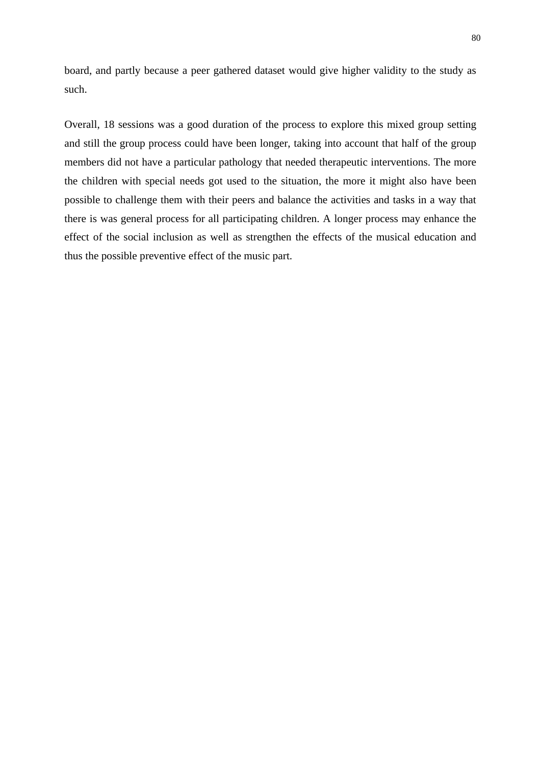board, and partly because a peer gathered dataset would give higher validity to the study as such.

Overall, 18 sessions was a good duration of the process to explore this mixed group setting and still the group process could have been longer, taking into account that half of the group members did not have a particular pathology that needed therapeutic interventions. The more the children with special needs got used to the situation, the more it might also have been possible to challenge them with their peers and balance the activities and tasks in a way that there is was general process for all participating children. A longer process may enhance the effect of the social inclusion as well as strengthen the effects of the musical education and thus the possible preventive effect of the music part.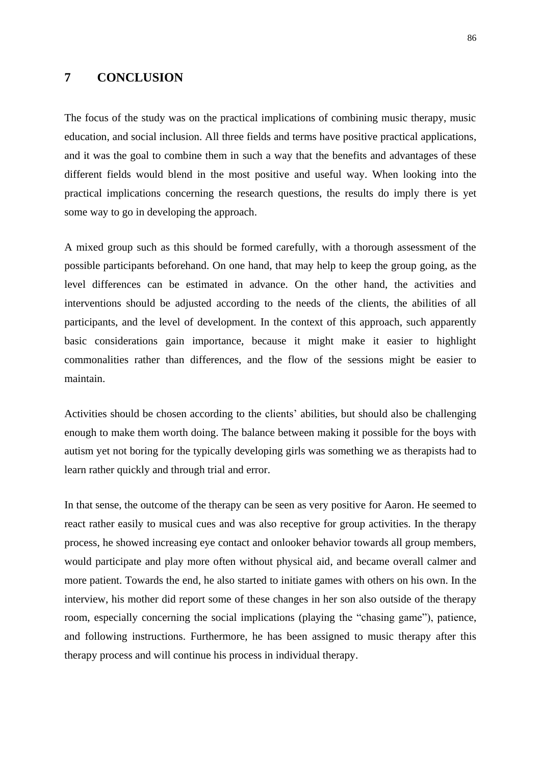## **7 CONCLUSION**

The focus of the study was on the practical implications of combining music therapy, music education, and social inclusion. All three fields and terms have positive practical applications, and it was the goal to combine them in such a way that the benefits and advantages of these different fields would blend in the most positive and useful way. When looking into the practical implications concerning the research questions, the results do imply there is yet some way to go in developing the approach.

A mixed group such as this should be formed carefully, with a thorough assessment of the possible participants beforehand. On one hand, that may help to keep the group going, as the level differences can be estimated in advance. On the other hand, the activities and interventions should be adjusted according to the needs of the clients, the abilities of all participants, and the level of development. In the context of this approach, such apparently basic considerations gain importance, because it might make it easier to highlight commonalities rather than differences, and the flow of the sessions might be easier to maintain.

Activities should be chosen according to the clients' abilities, but should also be challenging enough to make them worth doing. The balance between making it possible for the boys with autism yet not boring for the typically developing girls was something we as therapists had to learn rather quickly and through trial and error.

In that sense, the outcome of the therapy can be seen as very positive for Aaron. He seemed to react rather easily to musical cues and was also receptive for group activities. In the therapy process, he showed increasing eye contact and onlooker behavior towards all group members, would participate and play more often without physical aid, and became overall calmer and more patient. Towards the end, he also started to initiate games with others on his own. In the interview, his mother did report some of these changes in her son also outside of the therapy room, especially concerning the social implications (playing the "chasing game"), patience, and following instructions. Furthermore, he has been assigned to music therapy after this therapy process and will continue his process in individual therapy.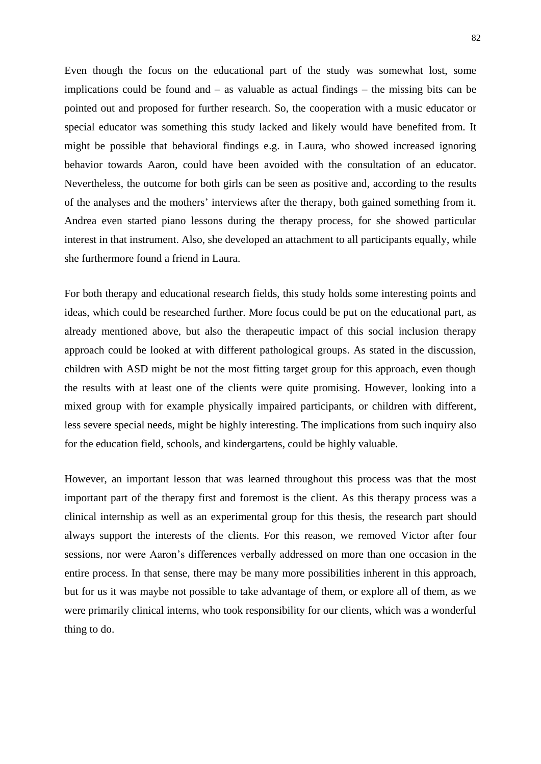Even though the focus on the educational part of the study was somewhat lost, some implications could be found and – as valuable as actual findings – the missing bits can be pointed out and proposed for further research. So, the cooperation with a music educator or special educator was something this study lacked and likely would have benefited from. It might be possible that behavioral findings e.g. in Laura, who showed increased ignoring behavior towards Aaron, could have been avoided with the consultation of an educator. Nevertheless, the outcome for both girls can be seen as positive and, according to the results of the analyses and the mothers' interviews after the therapy, both gained something from it. Andrea even started piano lessons during the therapy process, for she showed particular interest in that instrument. Also, she developed an attachment to all participants equally, while she furthermore found a friend in Laura.

For both therapy and educational research fields, this study holds some interesting points and ideas, which could be researched further. More focus could be put on the educational part, as already mentioned above, but also the therapeutic impact of this social inclusion therapy approach could be looked at with different pathological groups. As stated in the discussion, children with ASD might be not the most fitting target group for this approach, even though the results with at least one of the clients were quite promising. However, looking into a mixed group with for example physically impaired participants, or children with different, less severe special needs, might be highly interesting. The implications from such inquiry also for the education field, schools, and kindergartens, could be highly valuable.

However, an important lesson that was learned throughout this process was that the most important part of the therapy first and foremost is the client. As this therapy process was a clinical internship as well as an experimental group for this thesis, the research part should always support the interests of the clients. For this reason, we removed Victor after four sessions, nor were Aaron's differences verbally addressed on more than one occasion in the entire process. In that sense, there may be many more possibilities inherent in this approach, but for us it was maybe not possible to take advantage of them, or explore all of them, as we were primarily clinical interns, who took responsibility for our clients, which was a wonderful thing to do.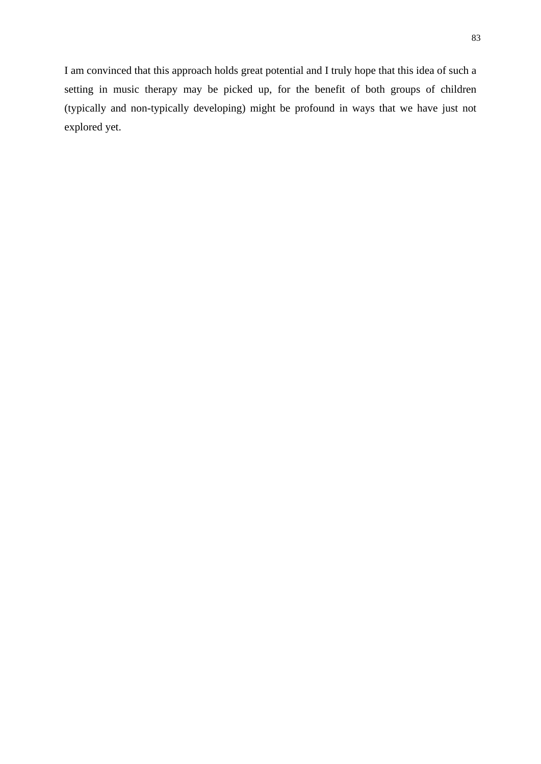I am convinced that this approach holds great potential and I truly hope that this idea of such a setting in music therapy may be picked up, for the benefit of both groups of children (typically and non-typically developing) might be profound in ways that we have just not explored yet.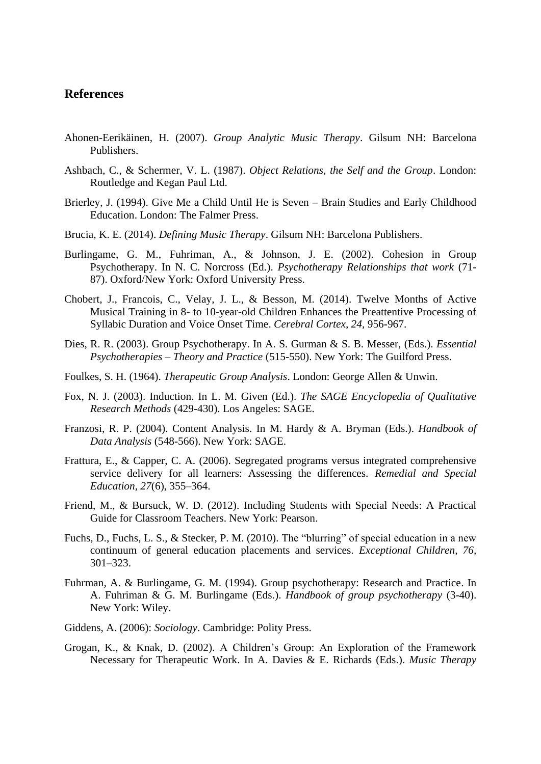## **References**

- Ahonen-Eerikäinen, H. (2007). *Group Analytic Music Therapy*. Gilsum NH: Barcelona Publishers.
- Ashbach, C., & Schermer, V. L. (1987). *Object Relations, the Self and the Group*. London: Routledge and Kegan Paul Ltd.
- Brierley, J. (1994). Give Me a Child Until He is Seven Brain Studies and Early Childhood Education. London: The Falmer Press.
- Brucia, K. E. (2014). *Defining Music Therapy*. Gilsum NH: Barcelona Publishers.
- Burlingame, G. M., Fuhriman, A., & Johnson, J. E. (2002). Cohesion in Group Psychotherapy. In N. C. Norcross (Ed.). *Psychotherapy Relationships that work* (71- 87). Oxford/New York: Oxford University Press.
- Chobert, J., Francois, C., Velay, J. L., & Besson, M. (2014). Twelve Months of Active Musical Training in 8- to 10-year-old Children Enhances the Preattentive Processing of Syllabic Duration and Voice Onset Time. *Cerebral Cortex, 24,* 956-967.
- Dies, R. R. (2003). Group Psychotherapy. In A. S. Gurman & S. B. Messer, (Eds.). *Essential Psychotherapies – Theory and Practice* (515-550). New York: The Guilford Press.
- Foulkes, S. H. (1964). *Therapeutic Group Analysis*. London: George Allen & Unwin.
- Fox, N. J. (2003). Induction. In L. M. Given (Ed.). *The SAGE Encyclopedia of Qualitative Research Methods* (429-430). Los Angeles: SAGE.
- Franzosi, R. P. (2004). Content Analysis. In M. Hardy & A. Bryman (Eds.). *Handbook of Data Analysis* (548-566). New York: SAGE.
- Frattura, E., & Capper, C. A. (2006). Segregated programs versus integrated comprehensive service delivery for all learners: Assessing the differences. *Remedial and Special Education, 27*(6), 355–364.
- Friend, M., & Bursuck, W. D. (2012). Including Students with Special Needs: A Practical Guide for Classroom Teachers. New York: Pearson.
- Fuchs, D., Fuchs, L. S., & Stecker, P. M. (2010). The "blurring" of special education in a new continuum of general education placements and services. *Exceptional Children, 76,* 301–323.
- Fuhrman, A. & Burlingame, G. M. (1994). Group psychotherapy: Research and Practice. In A. Fuhriman & G. M. Burlingame (Eds.). *Handbook of group psychotherapy* (3-40). New York: Wiley.
- Giddens, A. (2006): *Sociology*. Cambridge: Polity Press.
- Grogan, K., & Knak, D. (2002). A Children's Group: An Exploration of the Framework Necessary for Therapeutic Work. In A. Davies & E. Richards (Eds.). *Music Therapy*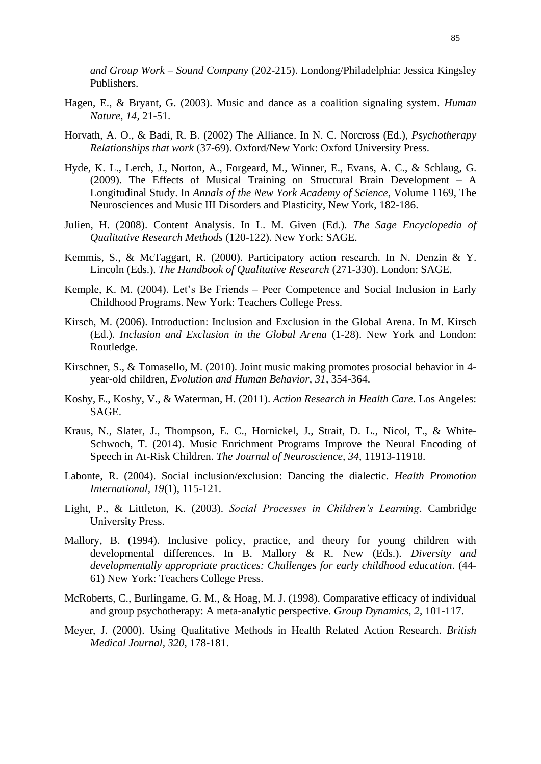*and Group Work – Sound Company* (202-215). Londong/Philadelphia: Jessica Kingsley Publishers.

- Hagen, E., & Bryant, G. (2003). Music and dance as a coalition signaling system. *Human Nature, 14,* 21-51.
- Horvath, A. O., & Badi, R. B. (2002) The Alliance. In N. C. Norcross (Ed.), *Psychotherapy Relationships that work* (37-69). Oxford/New York: Oxford University Press.
- Hyde, K. L., Lerch, J., Norton, A., Forgeard, M., Winner, E., Evans, A. C., & Schlaug, G. (2009). The Effects of Musical Training on Structural Brain Development – A Longitudinal Study. In *Annals of the New York Academy of Science*, Volume 1169, The Neurosciences and Music III Disorders and Plasticity, New York, 182-186.
- Julien, H. (2008). Content Analysis. In L. M. Given (Ed.). *The Sage Encyclopedia of Qualitative Research Methods* (120-122). New York: SAGE.
- Kemmis, S., & McTaggart, R. (2000). Participatory action research. In N. Denzin & Y. Lincoln (Eds.). *The Handbook of Qualitative Research* (271-330). London: SAGE.
- Kemple, K. M. (2004). Let's Be Friends Peer Competence and Social Inclusion in Early Childhood Programs. New York: Teachers College Press.
- Kirsch, M. (2006). Introduction: Inclusion and Exclusion in the Global Arena. In M. Kirsch (Ed.). *Inclusion and Exclusion in the Global Arena* (1-28). New York and London: Routledge.
- Kirschner, S., & Tomasello, M. (2010)*.* Joint music making promotes prosocial behavior in 4 year-old children, *Evolution and Human Behavior, 31,* 354-364.
- Koshy, E., Koshy, V., & Waterman, H. (2011). *Action Research in Health Care*. Los Angeles: SAGE.
- Kraus, N., Slater, J., Thompson, E. C., Hornickel, J., Strait, D. L., Nicol, T., & White-Schwoch, T. (2014). Music Enrichment Programs Improve the Neural Encoding of Speech in At-Risk Children. *The Journal of Neuroscience, 34*, 11913-11918.
- Labonte, R. (2004). Social inclusion/exclusion: Dancing the dialectic. *Health Promotion International, 19*(1), 115-121.
- Light, P., & Littleton, K. (2003). *Social Processes in Children's Learning*. Cambridge University Press.
- Mallory, B. (1994). Inclusive policy, practice, and theory for young children with developmental differences. In B. Mallory & R. New (Eds.). *Diversity and developmentally appropriate practices: Challenges for early childhood education*. (44- 61) New York: Teachers College Press.
- McRoberts, C., Burlingame, G. M., & Hoag, M. J. (1998). Comparative efficacy of individual and group psychotherapy: A meta-analytic perspective. *Group Dynamics, 2*, 101-117.
- Meyer, J. (2000). Using Qualitative Methods in Health Related Action Research. *British Medical Journal, 320*, 178-181.